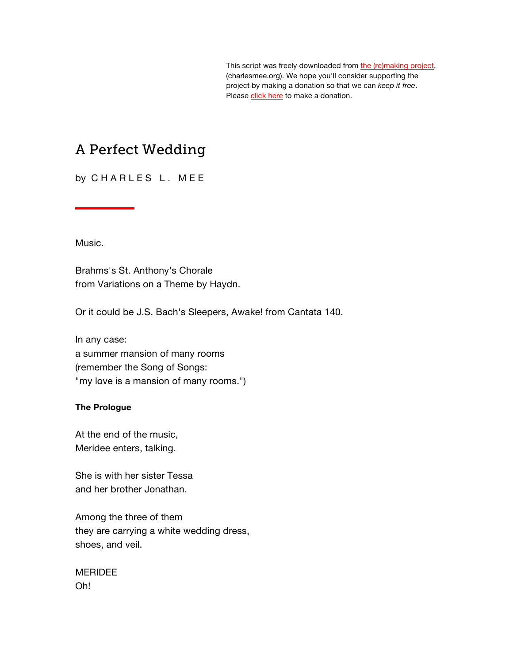This script was freely downloaded from [the \(re\)making project,](http://www.charlesmee.org/)  (charlesmee.org). We hope you'll consider supporting the project by making a donation so that we can *keep it free*. Pleas[e click here](http://www.charlesmee.org/support-the-project.shtml) to make a donation.

# A Perfect Wedding

by CHARLES L. MEE

Music.

Brahms's St. Anthony's Chorale from Variations on a Theme by Haydn.

Or it could be J.S. Bach's Sleepers, Awake! from Cantata 140.

In any case: a summer mansion of many rooms (remember the Song of Songs: "my love is a mansion of many rooms.")

#### **The Prologue**

At the end of the music, Meridee enters, talking.

She is with her sister Tessa and her brother Jonathan.

Among the three of them they are carrying a white wedding dress, shoes, and veil.

MERIDEE Oh!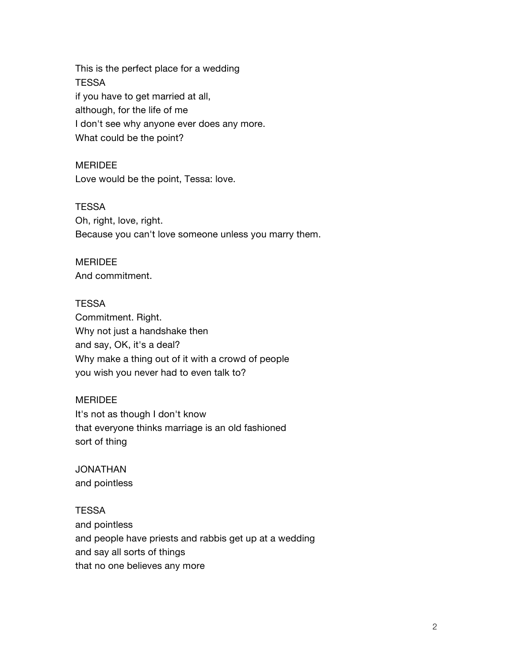This is the perfect place for a wedding **TESSA** if you have to get married at all, although, for the life of me I don't see why anyone ever does any more. What could be the point?

**MERIDEE** Love would be the point, Tessa: love.

**TESSA** Oh, right, love, right. Because you can't love someone unless you marry them.

# MERIDEE

And commitment.

## **TESSA**

Commitment. Right. Why not just a handshake then and say, OK, it's a deal? Why make a thing out of it with a crowd of people you wish you never had to even talk to?

## MERIDEE

It's not as though I don't know that everyone thinks marriage is an old fashioned sort of thing

JONATHAN and pointless

## **TESSA**

and pointless and people have priests and rabbis get up at a wedding and say all sorts of things that no one believes any more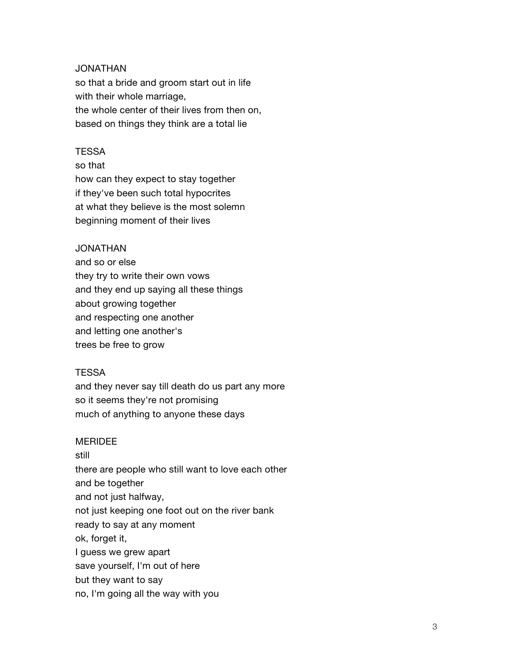#### JONATHAN

so that a bride and groom start out in life with their whole marriage, the whole center of their lives from then on, based on things they think are a total lie

#### **TESSA**

so that how can they expect to stay together if they've been such total hypocrites at what they believe is the most solemn beginning moment of their lives

#### JONATHAN

and so or else they try to write their own vows and they end up saying all these things about growing together and respecting one another and letting one another's trees be free to grow

#### **TESSA**

and they never say till death do us part any more so it seems they're not promising much of anything to anyone these days

#### MERIDEE

still there are people who still want to love each other and be together and not just halfway, not just keeping one foot out on the river bank ready to say at any moment ok, forget it, I guess we grew apart save yourself, I'm out of here but they want to say no, I'm going all the way with you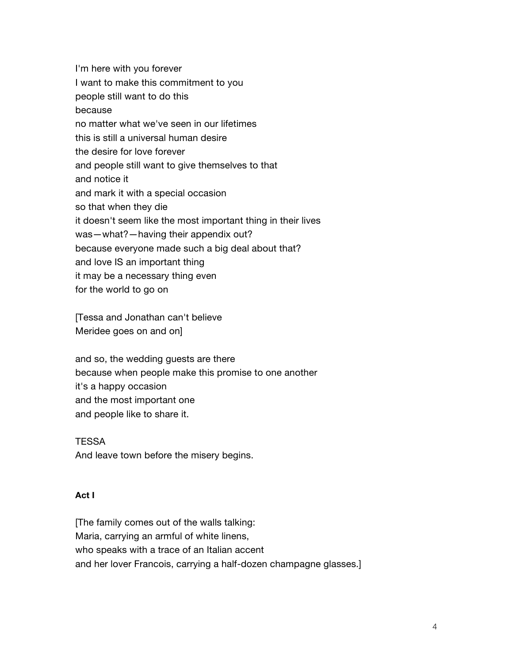I'm here with you forever I want to make this commitment to you people still want to do this because no matter what we've seen in our lifetimes this is still a universal human desire the desire for love forever and people still want to give themselves to that and notice it and mark it with a special occasion so that when they die it doesn't seem like the most important thing in their lives was—what?—having their appendix out? because everyone made such a big deal about that? and love IS an important thing it may be a necessary thing even for the world to go on

[Tessa and Jonathan can't believe Meridee goes on and on]

and so, the wedding guests are there because when people make this promise to one another it's a happy occasion and the most important one and people like to share it.

**TESSA** And leave town before the misery begins.

## **Act I**

[The family comes out of the walls talking: Maria, carrying an armful of white linens, who speaks with a trace of an Italian accent and her lover Francois, carrying a half-dozen champagne glasses.]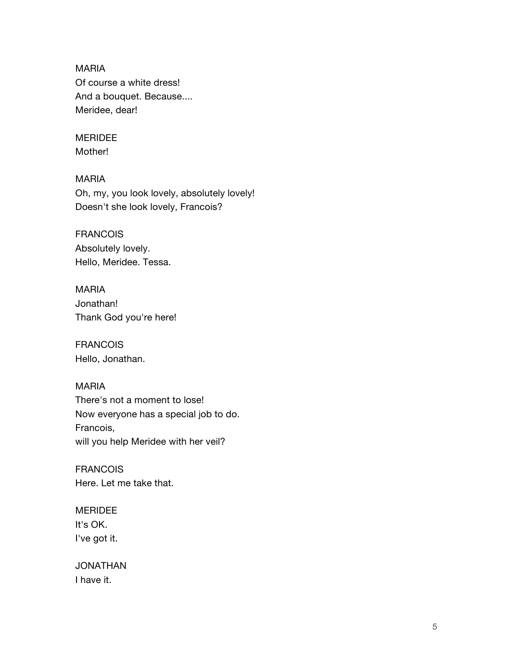MARIA Of course a white dress! And a bouquet. Because.... Meridee, dear!

## MERIDEE

Mother!

#### MARIA

Oh, my, you look lovely, absolutely lovely! Doesn't she look lovely, Francois?

## FRANCOIS

Absolutely lovely. Hello, Meridee. Tessa.

## MARIA Jonathan! Thank God you're here!

FRANCOIS Hello, Jonathan.

#### MARIA

There's not a moment to lose! Now everyone has a special job to do. Francois, will you help Meridee with her veil?

**FRANCOIS** Here. Let me take that.

#### MERIDEE

It's OK. I've got it.

JONATHAN I have it.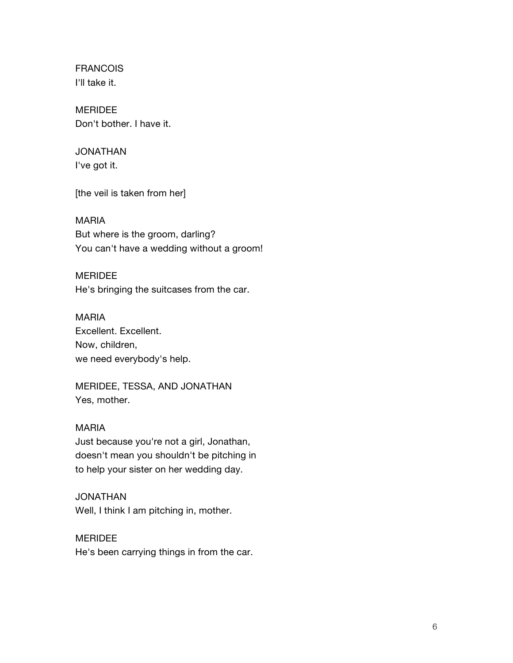FRANCOIS I'll take it.

MERIDEE Don't bother. I have it.

# JONATHAN

I've got it.

[the veil is taken from her]

# MARIA

But where is the groom, darling? You can't have a wedding without a groom!

# MERIDEE

He's bringing the suitcases from the car.

## MARIA Excellent. Excellent.

Now, children, we need everybody's help.

MERIDEE, TESSA, AND JONATHAN Yes, mother.

# MARIA

Just because you're not a girl, Jonathan, doesn't mean you shouldn't be pitching in to help your sister on her wedding day.

# JONATHAN

Well, I think I am pitching in, mother.

# MERIDEE

He's been carrying things in from the car.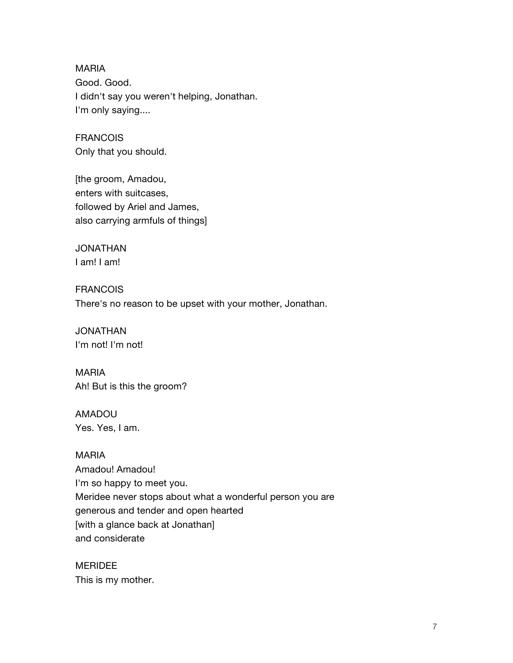MARIA Good. Good. I didn't say you weren't helping, Jonathan. I'm only saying....

FRANCOIS Only that you should.

[the groom, Amadou, enters with suitcases, followed by Ariel and James, also carrying armfuls of things]

JONATHAN I am! I am!

**FRANCOIS** There's no reason to be upset with your mother, Jonathan.

JONATHAN I'm not! I'm not!

MARIA Ah! But is this the groom?

AMADOU Yes. Yes, I am.

MARIA Amadou! Amadou! I'm so happy to meet you. Meridee never stops about what a wonderful person you are generous and tender and open hearted [with a glance back at Jonathan] and considerate

MERIDEE This is my mother.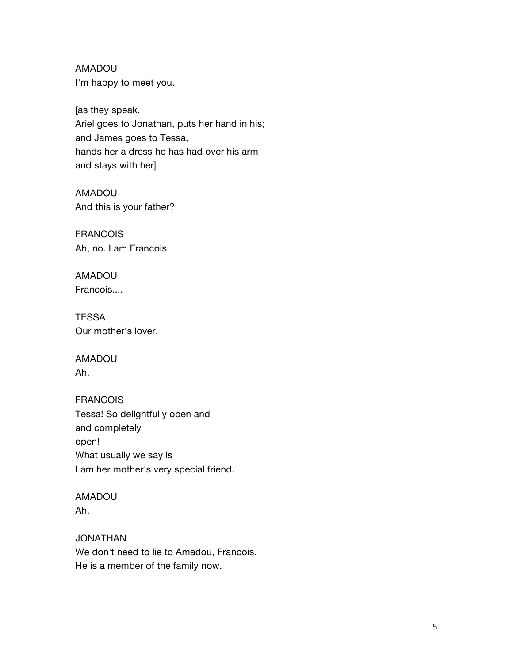AMADOU I'm happy to meet you.

[as they speak, Ariel goes to Jonathan, puts her hand in his; and James goes to Tessa, hands her a dress he has had over his arm and stays with her]

AMADOU And this is your father?

FRANCOIS Ah, no. I am Francois.

AMADOU Francois....

**TESSA** Our mother's lover.

AMADOU Ah.

FRANCOIS Tessa! So delightfully open and and completely open! What usually we say is I am her mother's very special friend.

AMADOU Ah.

JONATHAN We don't need to lie to Amadou, Francois. He is a member of the family now.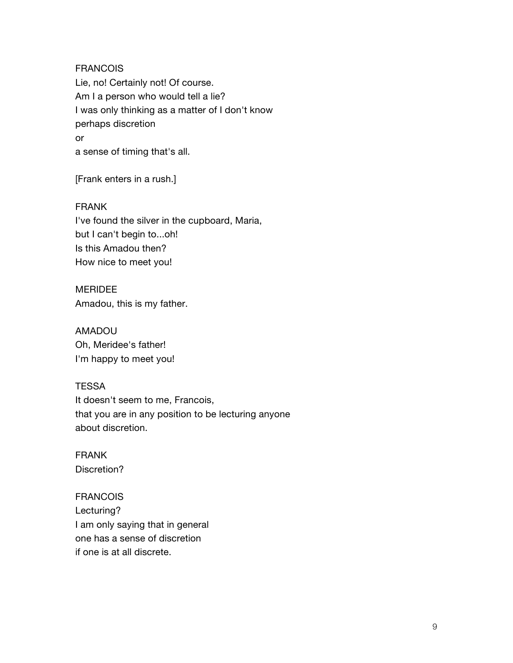FRANCOIS Lie, no! Certainly not! Of course. Am I a person who would tell a lie? I was only thinking as a matter of I don't know perhaps discretion or a sense of timing that's all.

[Frank enters in a rush.]

FRANK I've found the silver in the cupboard, Maria, but I can't begin to...oh! Is this Amadou then? How nice to meet you!

MERIDEE Amadou, this is my father.

AMADOU Oh, Meridee's father! I'm happy to meet you!

**TESSA** It doesn't seem to me, Francois, that you are in any position to be lecturing anyone about discretion.

FRANK Discretion?

FRANCOIS Lecturing? I am only saying that in general one has a sense of discretion if one is at all discrete.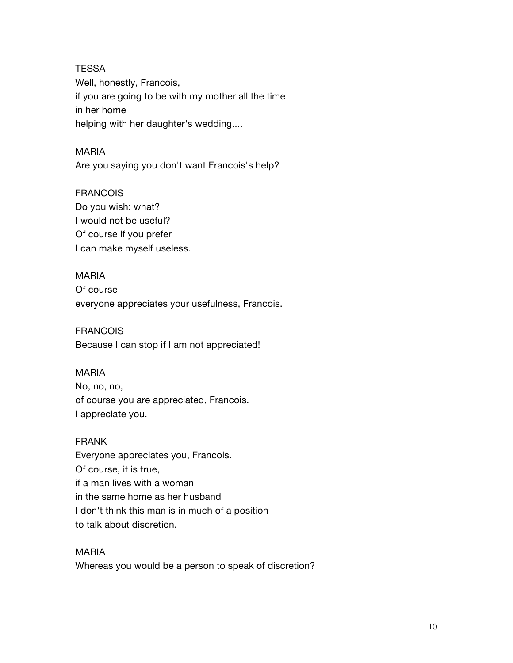**TESSA** Well, honestly, Francois, if you are going to be with my mother all the time in her home helping with her daughter's wedding....

#### MARIA

Are you saying you don't want Francois's help?

#### FRANCOIS

Do you wish: what? I would not be useful? Of course if you prefer I can make myself useless.

#### MARIA

Of course everyone appreciates your usefulness, Francois.

#### FRANCOIS

Because I can stop if I am not appreciated!

#### MARIA

No, no, no, of course you are appreciated, Francois. I appreciate you.

#### FRANK

Everyone appreciates you, Francois. Of course, it is true, if a man lives with a woman in the same home as her husband I don't think this man is in much of a position to talk about discretion.

#### MARIA

Whereas you would be a person to speak of discretion?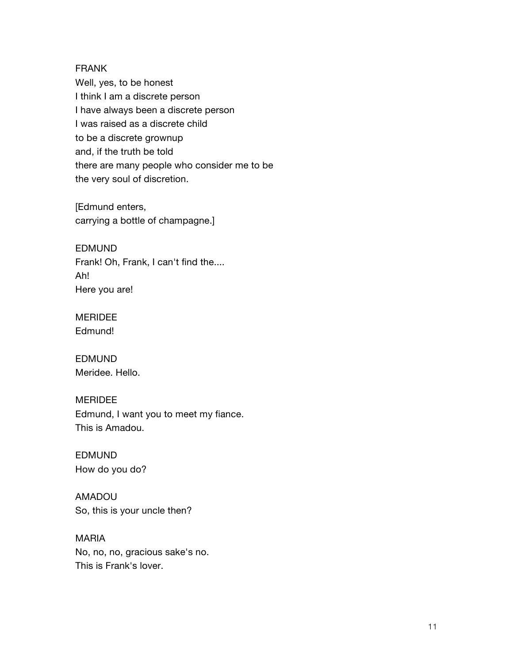#### FRANK

Well, yes, to be honest I think I am a discrete person I have always been a discrete person I was raised as a discrete child to be a discrete grownup and, if the truth be told there are many people who consider me to be the very soul of discretion.

[Edmund enters, carrying a bottle of champagne.]

EDMUND Frank! Oh, Frank, I can't find the.... Ah! Here you are!

MERIDEE Edmund!

EDMUND Meridee. Hello.

#### MERIDEE

Edmund, I want you to meet my fiance. This is Amadou.

EDMUND How do you do?

AMADOU So, this is your uncle then?

MARIA No, no, no, gracious sake's no. This is Frank's lover.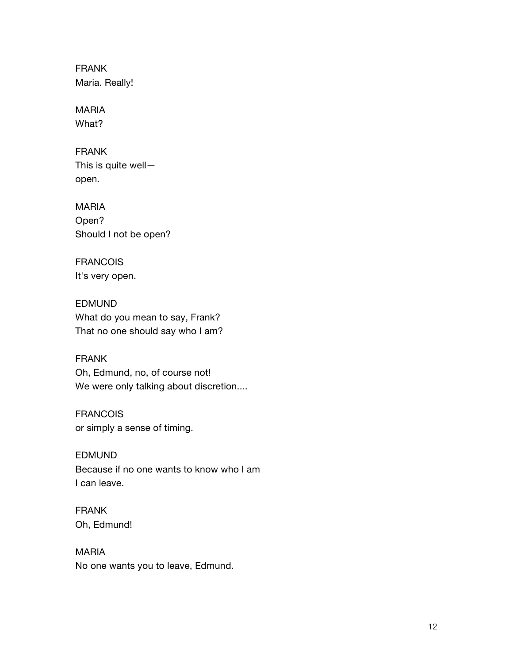FRANK Maria. Really!

MARIA What?

FRANK This is quite well open.

MARIA Open? Should I not be open?

FRANCOIS It's very open.

EDMUND What do you mean to say, Frank? That no one should say who I am?

FRANK Oh, Edmund, no, of course not! We were only talking about discretion....

FRANCOIS or simply a sense of timing.

EDMUND Because if no one wants to know who I am I can leave.

FRANK Oh, Edmund!

MARIA No one wants you to leave, Edmund.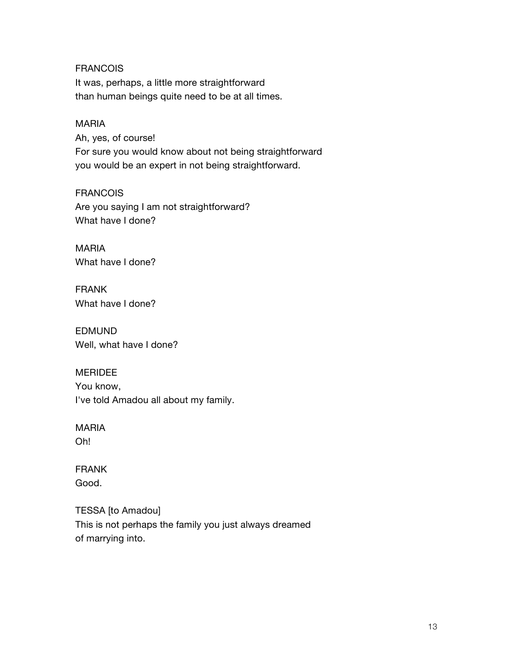**FRANCOIS** It was, perhaps, a little more straightforward than human beings quite need to be at all times.

## MARIA

Ah, yes, of course! For sure you would know about not being straightforward you would be an expert in not being straightforward.

FRANCOIS

Are you saying I am not straightforward? What have I done?

MARIA What have I done?

FRANK What have I done?

EDMUND Well, what have I done?

## MERIDEE

You know, I've told Amadou all about my family.

## MARIA

Oh!

FRANK Good.

TESSA [to Amadou] This is not perhaps the family you just always dreamed of marrying into.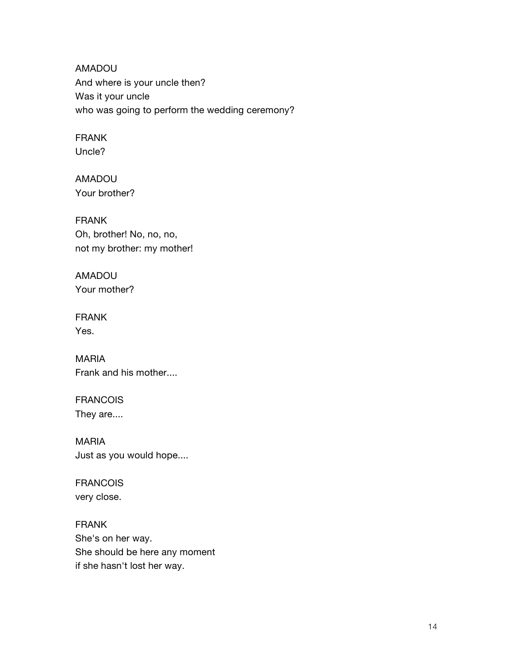AMADOU And where is your uncle then? Was it your uncle who was going to perform the wedding ceremony?

## FRANK Uncle?

AMADOU Your brother?

FRANK Oh, brother! No, no, no, not my brother: my mother!

AMADOU Your mother?

FRANK Yes.

MARIA Frank and his mother....

FRANCOIS They are....

MARIA Just as you would hope....

FRANCOIS very close.

FRANK She's on her way. She should be here any moment if she hasn't lost her way.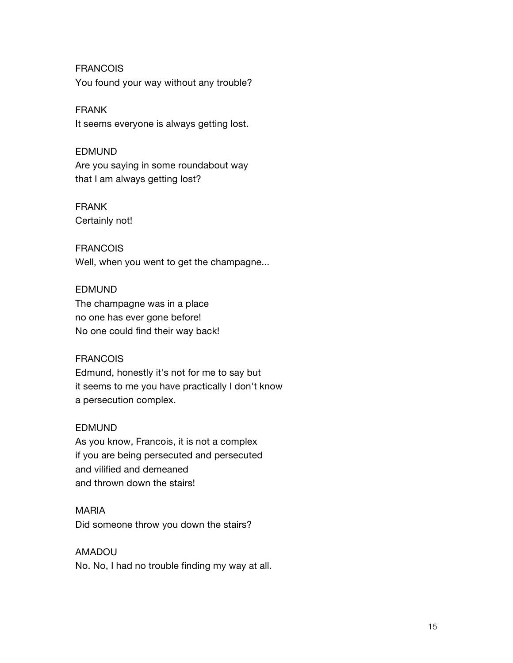FRANCOIS You found your way without any trouble?

FRANK

It seems everyone is always getting lost.

#### EDMUND

Are you saying in some roundabout way that I am always getting lost?

## FRANK

Certainly not!

## **FRANCOIS**

Well, when you went to get the champagne...

#### EDMUND

The champagne was in a place no one has ever gone before! No one could find their way back!

## FRANCOIS

Edmund, honestly it's not for me to say but it seems to me you have practically I don't know a persecution complex.

## EDMUND

As you know, Francois, it is not a complex if you are being persecuted and persecuted and vilified and demeaned and thrown down the stairs!

#### MARIA

Did someone throw you down the stairs?

## AMADOU

No. No, I had no trouble finding my way at all.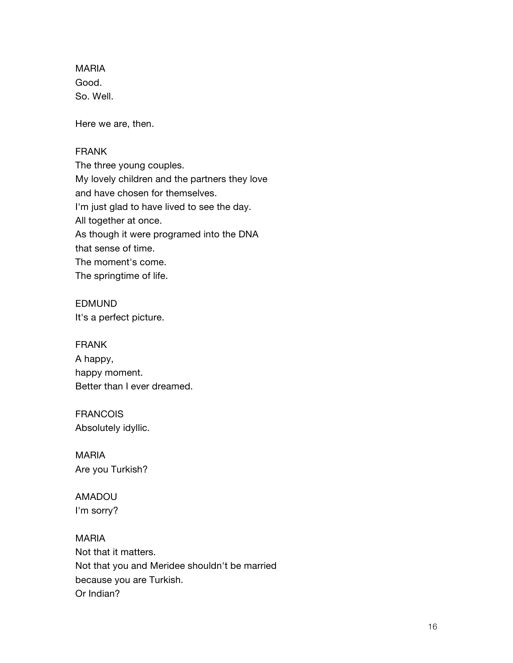MARIA Good. So. Well.

Here we are, then.

#### FRANK

The three young couples. My lovely children and the partners they love and have chosen for themselves. I'm just glad to have lived to see the day. All together at once. As though it were programed into the DNA that sense of time. The moment's come. The springtime of life.

EDMUND It's a perfect picture.

FRANK A happy,

happy moment. Better than I ever dreamed.

FRANCOIS Absolutely idyllic.

MARIA Are you Turkish?

AMADOU I'm sorry?

MARIA Not that it matters. Not that you and Meridee shouldn't be married because you are Turkish. Or Indian?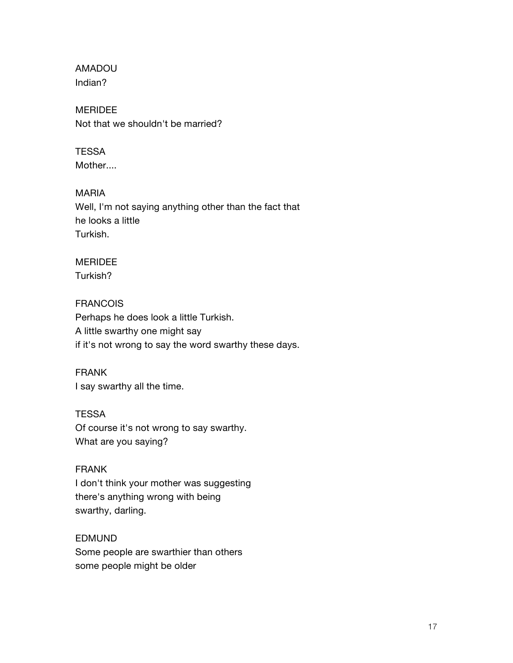AMADOU Indian?

MERIDEE Not that we shouldn't be married?

## **TESSA**

Mother....

#### MARIA

Well, I'm not saying anything other than the fact that he looks a little Turkish.

# MERIDEE

Turkish?

## FRANCOIS

Perhaps he does look a little Turkish. A little swarthy one might say if it's not wrong to say the word swarthy these days.

## FRANK

I say swarthy all the time.

## **TESSA**

Of course it's not wrong to say swarthy. What are you saying?

## FRANK

I don't think your mother was suggesting there's anything wrong with being swarthy, darling.

## EDMUND

Some people are swarthier than others some people might be older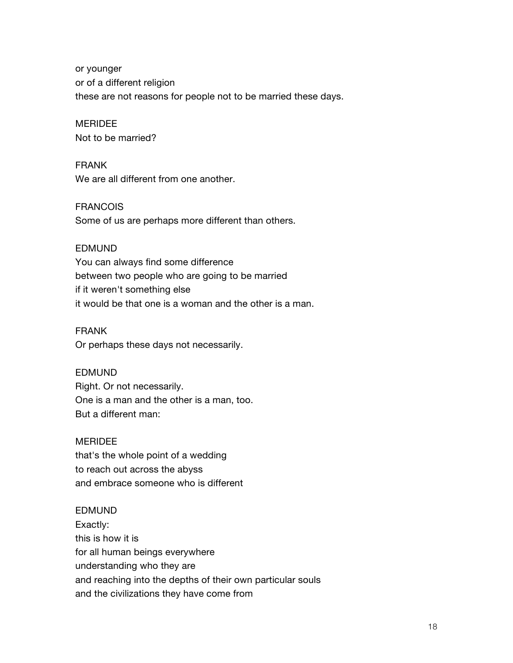or younger or of a different religion these are not reasons for people not to be married these days.

## **MERIDEE**

Not to be married?

#### FRANK

We are all different from one another.

#### FRANCOIS

Some of us are perhaps more different than others.

#### EDMUND

You can always find some difference between two people who are going to be married if it weren't something else it would be that one is a woman and the other is a man.

#### FRANK

Or perhaps these days not necessarily.

#### EDMUND

Right. Or not necessarily. One is a man and the other is a man, too. But a different man:

#### MERIDEE

that's the whole point of a wedding to reach out across the abyss and embrace someone who is different

#### EDMUND

Exactly: this is how it is for all human beings everywhere understanding who they are and reaching into the depths of their own particular souls and the civilizations they have come from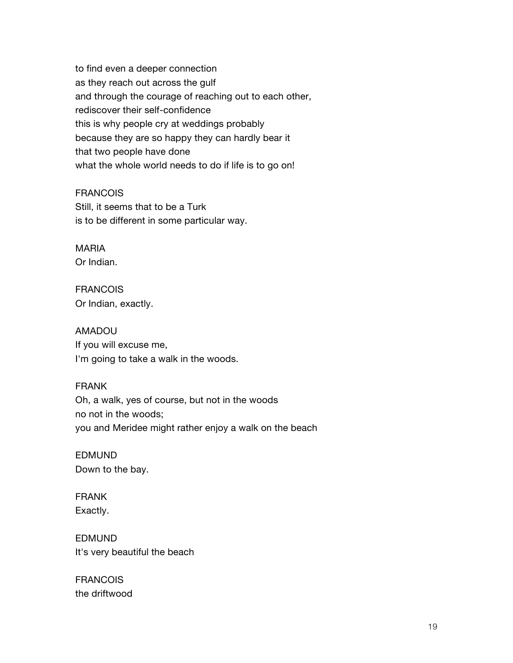to find even a deeper connection as they reach out across the gulf and through the courage of reaching out to each other, rediscover their self-confidence this is why people cry at weddings probably because they are so happy they can hardly bear it that two people have done what the whole world needs to do if life is to go on!

#### FRANCOIS

Still, it seems that to be a Turk is to be different in some particular way.

# MARIA

Or Indian.

## **FRANCOIS** Or Indian, exactly.

## AMADOU

If you will excuse me, I'm going to take a walk in the woods.

#### FRANK

Oh, a walk, yes of course, but not in the woods no not in the woods; you and Meridee might rather enjoy a walk on the beach

EDMUND Down to the bay.

## FRANK Exactly.

EDMUND It's very beautiful the beach

FRANCOIS the driftwood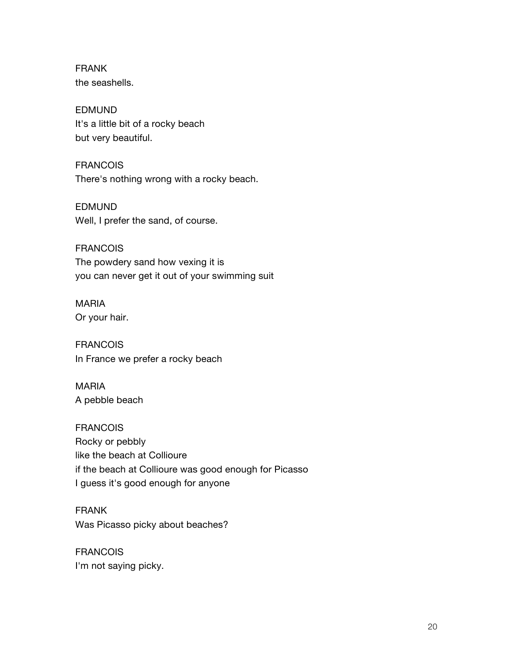FRANK the seashells.

EDMUND It's a little bit of a rocky beach but very beautiful.

FRANCOIS There's nothing wrong with a rocky beach.

EDMUND Well, I prefer the sand, of course.

FRANCOIS The powdery sand how vexing it is you can never get it out of your swimming suit

MARIA Or your hair.

FRANCOIS In France we prefer a rocky beach

MARIA A pebble beach

FRANCOIS Rocky or pebbly like the beach at Collioure if the beach at Collioure was good enough for Picasso I guess it's good enough for anyone

FRANK Was Picasso picky about beaches?

FRANCOIS I'm not saying picky.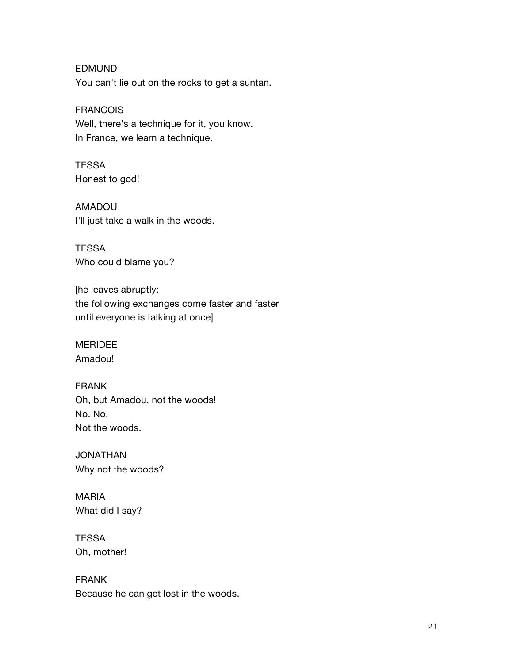EDMUND You can't lie out on the rocks to get a suntan.

FRANCOIS

Well, there's a technique for it, you know. In France, we learn a technique.

**TESSA** Honest to god!

AMADOU I'll just take a walk in the woods.

**TESSA** Who could blame you?

[he leaves abruptly; the following exchanges come faster and faster until everyone is talking at once]

MERIDEE Amadou!

FRANK Oh, but Amadou, not the woods! No. No. Not the woods.

JONATHAN Why not the woods?

MARIA What did I say?

**TESSA** Oh, mother!

FRANK Because he can get lost in the woods.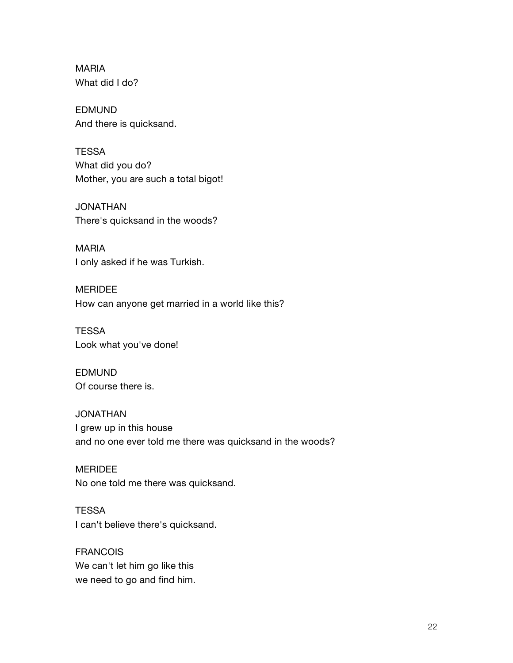MARIA What did I do?

EDMUND And there is quicksand.

**TESSA** What did you do? Mother, you are such a total bigot!

JONATHAN There's quicksand in the woods?

MARIA I only asked if he was Turkish.

MERIDEE How can anyone get married in a world like this?

**TESSA** Look what you've done!

EDMUND Of course there is.

JONATHAN I grew up in this house and no one ever told me there was quicksand in the woods?

MERIDEE No one told me there was quicksand.

**TESSA** I can't believe there's quicksand.

FRANCOIS We can't let him go like this we need to go and find him.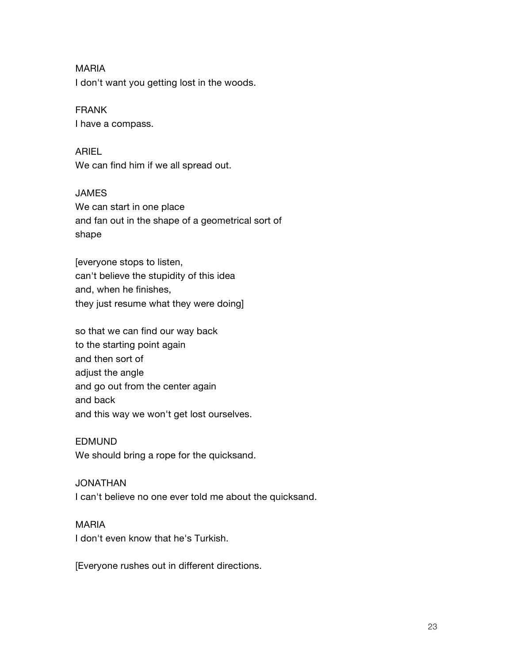#### MARIA

I don't want you getting lost in the woods.

#### FRANK

I have a compass.

#### ARIEL

We can find him if we all spread out.

#### JAMES

We can start in one place and fan out in the shape of a geometrical sort of shape

[everyone stops to listen, can't believe the stupidity of this idea and, when he finishes, they just resume what they were doing]

so that we can find our way back to the starting point again and then sort of adjust the angle and go out from the center again and back and this way we won't get lost ourselves.

#### EDMUND

We should bring a rope for the quicksand.

#### JONATHAN

I can't believe no one ever told me about the quicksand.

#### MARIA

I don't even know that he's Turkish.

[Everyone rushes out in different directions.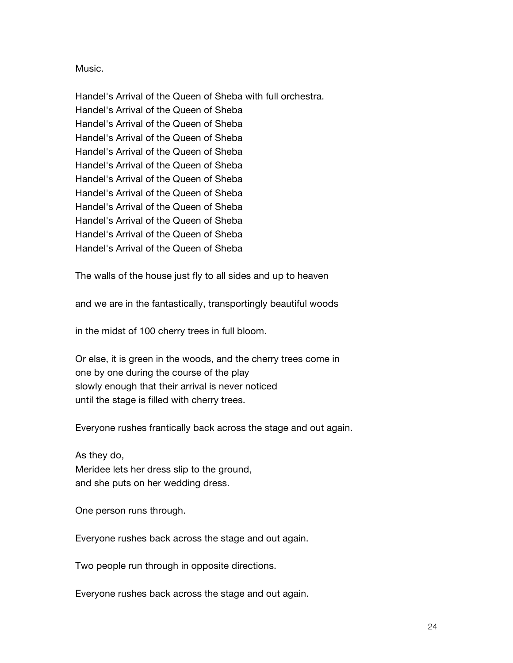#### Music.

Handel's Arrival of the Queen of Sheba with full orchestra. Handel's Arrival of the Queen of Sheba Handel's Arrival of the Queen of Sheba Handel's Arrival of the Queen of Sheba Handel's Arrival of the Queen of Sheba Handel's Arrival of the Queen of Sheba Handel's Arrival of the Queen of Sheba Handel's Arrival of the Queen of Sheba Handel's Arrival of the Queen of Sheba Handel's Arrival of the Queen of Sheba Handel's Arrival of the Queen of Sheba Handel's Arrival of the Queen of Sheba

The walls of the house just fly to all sides and up to heaven

and we are in the fantastically, transportingly beautiful woods

in the midst of 100 cherry trees in full bloom.

Or else, it is green in the woods, and the cherry trees come in one by one during the course of the play slowly enough that their arrival is never noticed until the stage is filled with cherry trees.

Everyone rushes frantically back across the stage and out again.

As they do, Meridee lets her dress slip to the ground, and she puts on her wedding dress.

One person runs through.

Everyone rushes back across the stage and out again.

Two people run through in opposite directions.

Everyone rushes back across the stage and out again.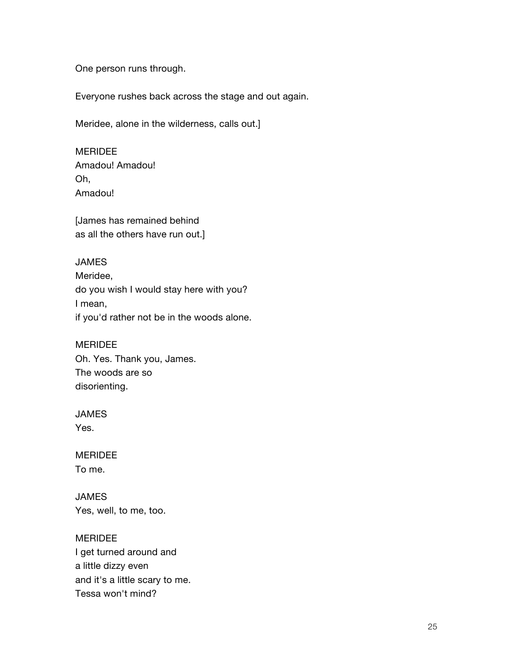One person runs through.

Everyone rushes back across the stage and out again.

Meridee, alone in the wilderness, calls out.]

MERIDEE Amadou! Amadou! Oh, Amadou!

[James has remained behind as all the others have run out.]

#### JAMES

Meridee, do you wish I would stay here with you? I mean, if you'd rather not be in the woods alone.

## MERIDEE

Oh. Yes. Thank you, James. The woods are so disorienting.

#### JAMES

Yes.

## MERIDEE To me.

JAMES Yes, well, to me, too.

MERIDEE I get turned around and a little dizzy even and it's a little scary to me. Tessa won't mind?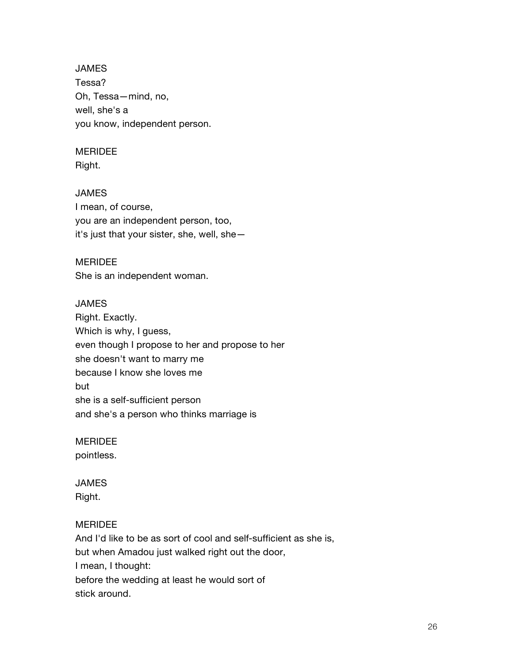**JAMES** Tessa? Oh, Tessa—mind, no, well, she's a you know, independent person.

## MERIDEE

Right.

## JAMES

I mean, of course, you are an independent person, too, it's just that your sister, she, well, she—

## MERIDEE

She is an independent woman.

## JAMES

Right. Exactly. Which is why, I guess, even though I propose to her and propose to her she doesn't want to marry me because I know she loves me but she is a self-sufficient person and she's a person who thinks marriage is

## MERIDEE

pointless.

# JAMES

Right.

## MERIDEE

And I'd like to be as sort of cool and self-sufficient as she is, but when Amadou just walked right out the door, I mean, I thought: before the wedding at least he would sort of stick around.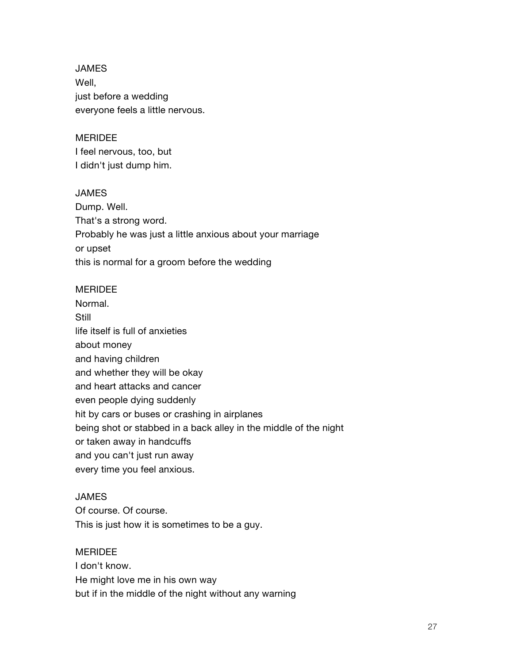JAMES Well, just before a wedding everyone feels a little nervous.

## MERIDEE

I feel nervous, too, but I didn't just dump him.

#### JAMES

Dump. Well. That's a strong word. Probably he was just a little anxious about your marriage or upset this is normal for a groom before the wedding

#### MERIDEE

Normal. **Still** life itself is full of anxieties about money and having children and whether they will be okay and heart attacks and cancer even people dying suddenly hit by cars or buses or crashing in airplanes being shot or stabbed in a back alley in the middle of the night or taken away in handcuffs and you can't just run away every time you feel anxious.

#### JAMES

Of course. Of course. This is just how it is sometimes to be a guy.

#### MERIDEE

I don't know. He might love me in his own way but if in the middle of the night without any warning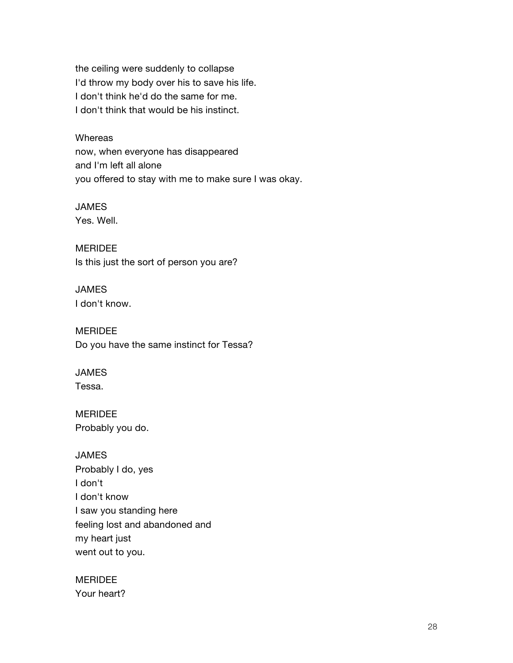the ceiling were suddenly to collapse I'd throw my body over his to save his life. I don't think he'd do the same for me. I don't think that would be his instinct.

**Whereas** now, when everyone has disappeared and I'm left all alone you offered to stay with me to make sure I was okay.

JAMES Yes. Well.

MERIDEE Is this just the sort of person you are?

**JAMES** I don't know.

MERIDEE Do you have the same instinct for Tessa?

JAMES Tessa.

MERIDEE Probably you do.

JAMES Probably I do, yes I don't I don't know I saw you standing here feeling lost and abandoned and my heart just went out to you.

MERIDEE Your heart?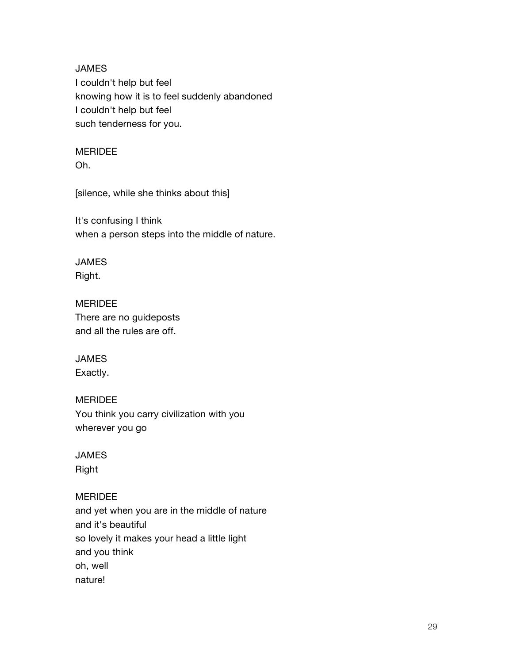JAMES I couldn't help but feel knowing how it is to feel suddenly abandoned I couldn't help but feel such tenderness for you.

## MERIDEE

Oh.

[silence, while she thinks about this]

It's confusing I think when a person steps into the middle of nature.

# JAMES

Right.

# MERIDEE

There are no guideposts and all the rules are off.

# JAMES

Exactly.

## MERIDEE

You think you carry civilization with you wherever you go

# JAMES

Right

## MERIDEE

and yet when you are in the middle of nature and it's beautiful so lovely it makes your head a little light and you think oh, well nature!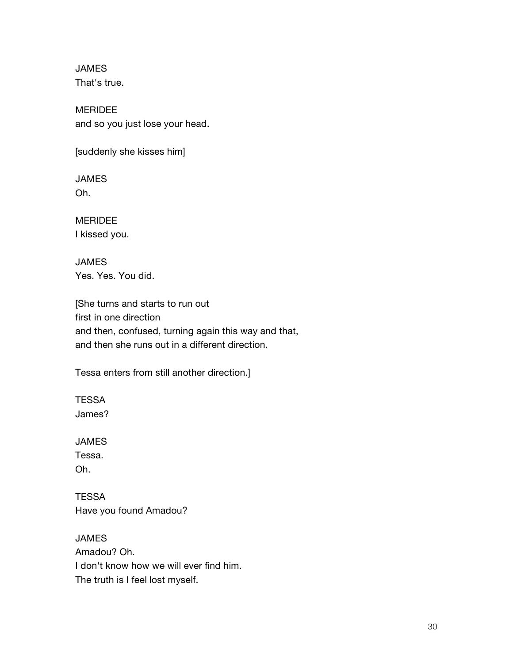JAMES That's true.

MERIDEE and so you just lose your head.

[suddenly she kisses him]

JAMES Oh.

MERIDEE I kissed you.

JAMES Yes. Yes. You did.

[She turns and starts to run out first in one direction and then, confused, turning again this way and that, and then she runs out in a different direction.

Tessa enters from still another direction.]

**TESSA** James?

JAMES

Tessa. Oh.

**TESSA** Have you found Amadou?

JAMES Amadou? Oh. I don't know how we will ever find him. The truth is I feel lost myself.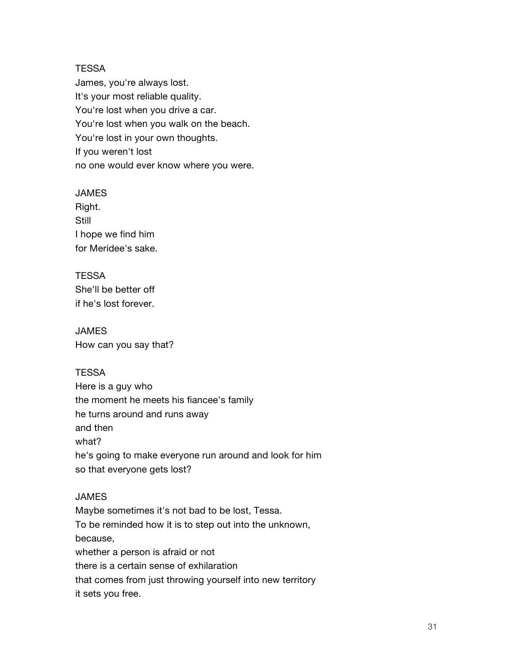#### **TESSA**

James, you're always lost. It's your most reliable quality. You're lost when you drive a car. You're lost when you walk on the beach. You're lost in your own thoughts. If you weren't lost no one would ever know where you were.

#### JAMES

Right. **Still** I hope we find him for Meridee's sake.

#### **TESSA**

She'll be better off if he's lost forever.

JAMES How can you say that?

## **TESSA**

Here is a guy who the moment he meets his fiancee's family he turns around and runs away and then what? he's going to make everyone run around and look for him so that everyone gets lost?

## **JAMES**

Maybe sometimes it's not bad to be lost, Tessa. To be reminded how it is to step out into the unknown, because, whether a person is afraid or not there is a certain sense of exhilaration that comes from just throwing yourself into new territory it sets you free.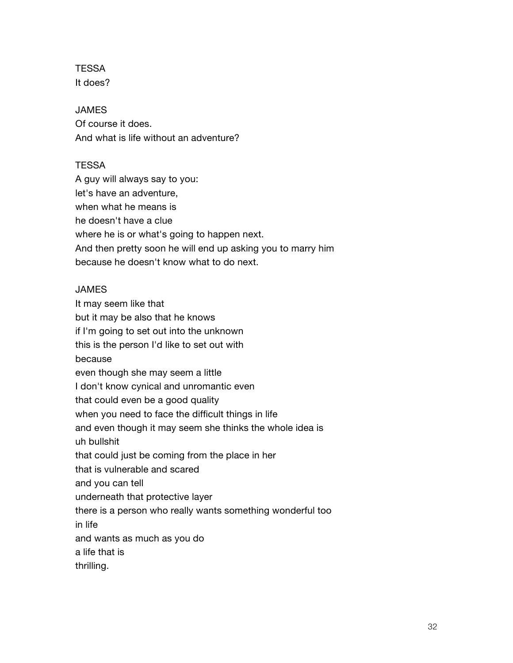**TESSA** It does?

#### **JAMES**

Of course it does. And what is life without an adventure?

#### **TESSA**

A guy will always say to you: let's have an adventure, when what he means is he doesn't have a clue where he is or what's going to happen next. And then pretty soon he will end up asking you to marry him because he doesn't know what to do next.

#### JAMES

It may seem like that but it may be also that he knows if I'm going to set out into the unknown this is the person I'd like to set out with because even though she may seem a little I don't know cynical and unromantic even that could even be a good quality when you need to face the difficult things in life and even though it may seem she thinks the whole idea is uh bullshit that could just be coming from the place in her that is vulnerable and scared and you can tell underneath that protective layer there is a person who really wants something wonderful too in life and wants as much as you do a life that is thrilling.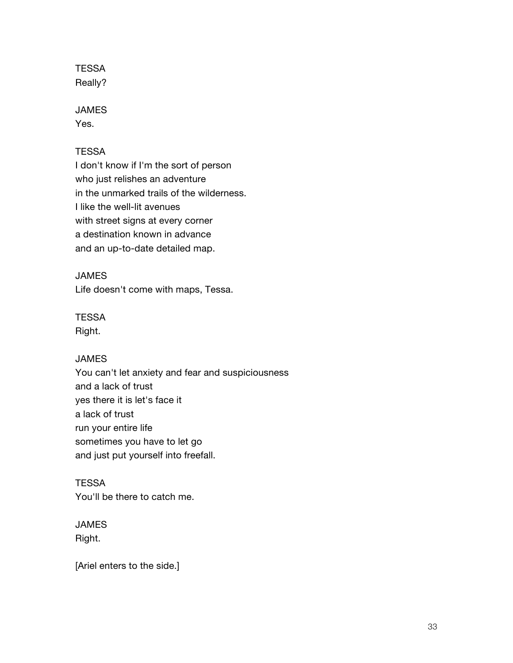**TESSA** Really?

#### JAMES

Yes.

## **TESSA**

I don't know if I'm the sort of person who just relishes an adventure in the unmarked trails of the wilderness. I like the well-lit avenues with street signs at every corner a destination known in advance and an up-to-date detailed map.

## **JAMES**

Life doesn't come with maps, Tessa.

# **TESSA**

Right.

## JAMES

You can't let anxiety and fear and suspiciousness and a lack of trust yes there it is let's face it a lack of trust run your entire life sometimes you have to let go and just put yourself into freefall.

## **TESSA**

You'll be there to catch me.

## JAMES

Right.

[Ariel enters to the side.]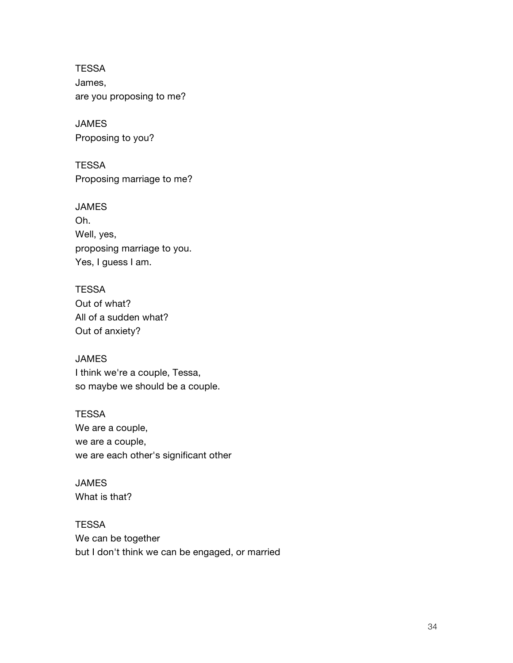**TESSA** James, are you proposing to me?

JAMES Proposing to you?

**TESSA** Proposing marriage to me?

JAMES Oh. Well, yes, proposing marriage to you. Yes, I guess I am.

**TESSA** Out of what? All of a sudden what? Out of anxiety?

JAMES I think we're a couple, Tessa, so maybe we should be a couple.

**TESSA** We are a couple, we are a couple, we are each other's significant other

JAMES What is that?

**TESSA** We can be together but I don't think we can be engaged, or married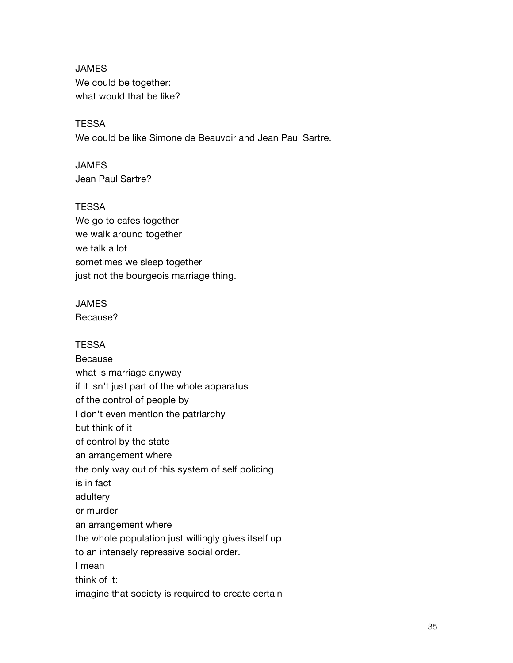JAMES We could be together: what would that be like?

**TESSA** We could be like Simone de Beauvoir and Jean Paul Sartre.

**JAMES** Jean Paul Sartre?

**TESSA** We go to cafes together we walk around together we talk a lot sometimes we sleep together just not the bourgeois marriage thing.

#### JAMES

Because?

#### **TESSA**

Because what is marriage anyway if it isn't just part of the whole apparatus of the control of people by I don't even mention the patriarchy but think of it of control by the state an arrangement where the only way out of this system of self policing is in fact adultery or murder an arrangement where the whole population just willingly gives itself up to an intensely repressive social order. I mean think of it: imagine that society is required to create certain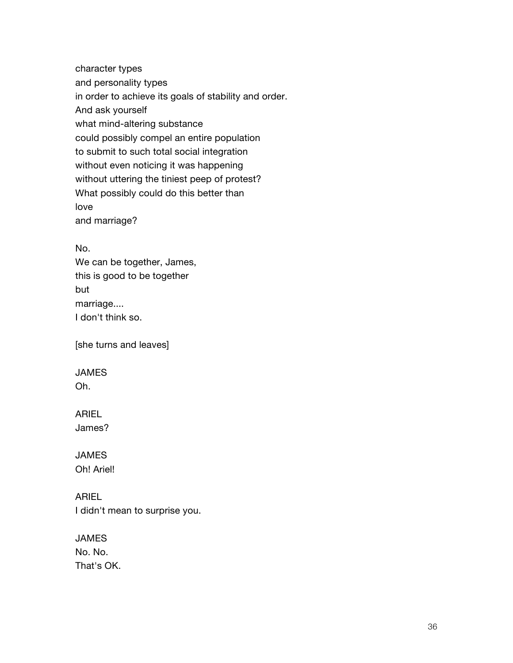character types and personality types in order to achieve its goals of stability and order. And ask yourself what mind-altering substance could possibly compel an entire population to submit to such total social integration without even noticing it was happening without uttering the tiniest peep of protest? What possibly could do this better than love and marriage?

No.

We can be together, James, this is good to be together but marriage.... I don't think so.

[she turns and leaves]

# JAMES

Oh.

# ARIEL

James?

#### JAMES Oh! Ariel!

ARIEL I didn't mean to surprise you.

# JAMES No. No. That's OK.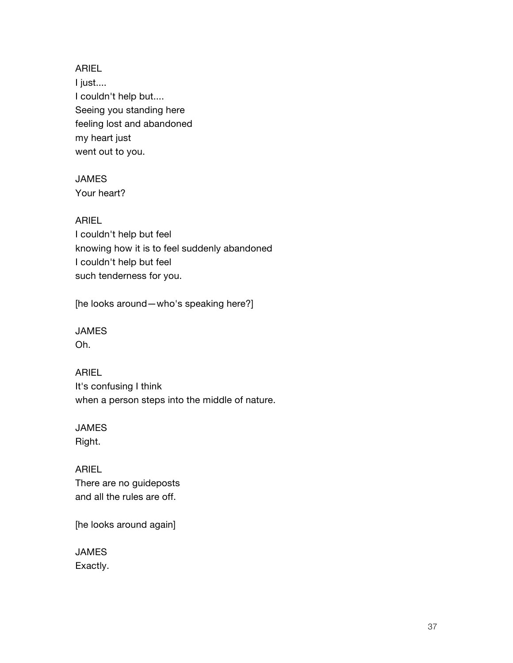ARIEL I just.... I couldn't help but.... Seeing you standing here feeling lost and abandoned my heart just went out to you.

## JAMES Your heart?

# ARIEL

I couldn't help but feel knowing how it is to feel suddenly abandoned I couldn't help but feel such tenderness for you.

[he looks around—who's speaking here?]

# JAMES

Oh.

ARIEL It's confusing I think when a person steps into the middle of nature.

# JAMES

Right.

ARIEL There are no guideposts and all the rules are off.

[he looks around again]

JAMES Exactly.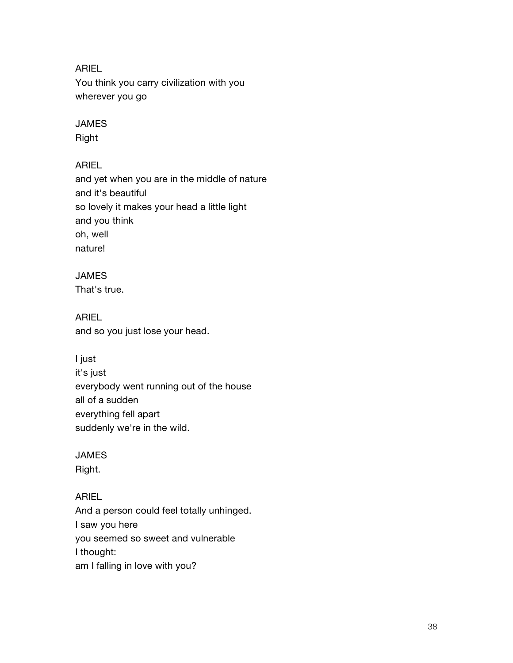# ARIEL

You think you carry civilization with you wherever you go

# JAMES

Right

# ARIEL

and yet when you are in the middle of nature and it's beautiful so lovely it makes your head a little light and you think oh, well nature!

# JAMES

That's true.

ARIEL and so you just lose your head.

# I just

it's just everybody went running out of the house all of a sudden everything fell apart suddenly we're in the wild.

# JAMES

Right.

# ARIEL

And a person could feel totally unhinged. I saw you here you seemed so sweet and vulnerable I thought: am I falling in love with you?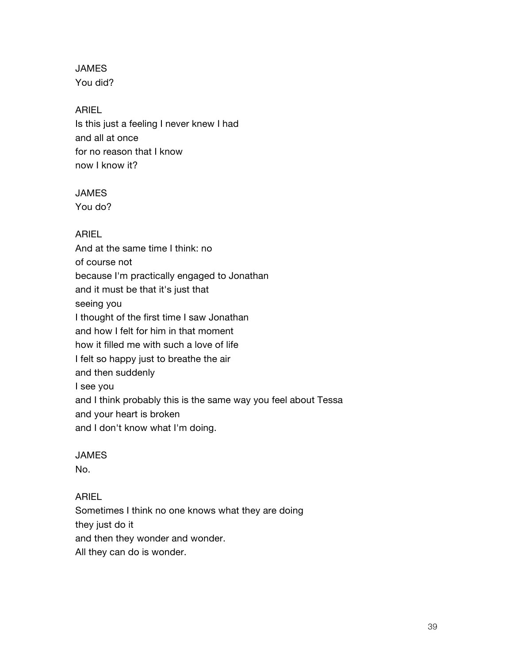**JAMES** You did?

# ARIEL

Is this just a feeling I never knew I had and all at once for no reason that I know now I know it?

# JAMES

You do?

ARIEL And at the same time I think: no of course not because I'm practically engaged to Jonathan and it must be that it's just that seeing you I thought of the first time I saw Jonathan and how I felt for him in that moment how it filled me with such a love of life I felt so happy just to breathe the air and then suddenly I see you and I think probably this is the same way you feel about Tessa and your heart is broken and I don't know what I'm doing.

# **JAMES**

No.

# ARIEL

Sometimes I think no one knows what they are doing they just do it and then they wonder and wonder. All they can do is wonder.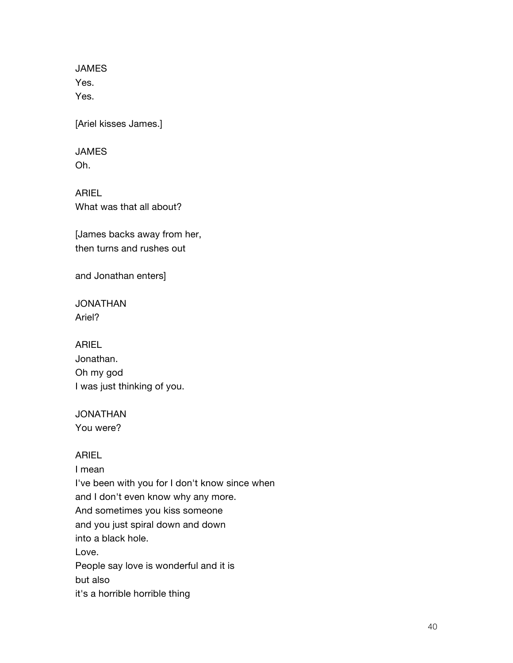JAMES Yes. Yes.

[Ariel kisses James.]

# JAMES

Oh.

ARIEL What was that all about?

[James backs away from her, then turns and rushes out

and Jonathan enters]

JONATHAN Ariel?

ARIEL Jonathan. Oh my god I was just thinking of you.

JONATHAN You were?

# ARIEL

I mean I've been with you for I don't know since when and I don't even know why any more. And sometimes you kiss someone and you just spiral down and down into a black hole. Love. People say love is wonderful and it is but also it's a horrible horrible thing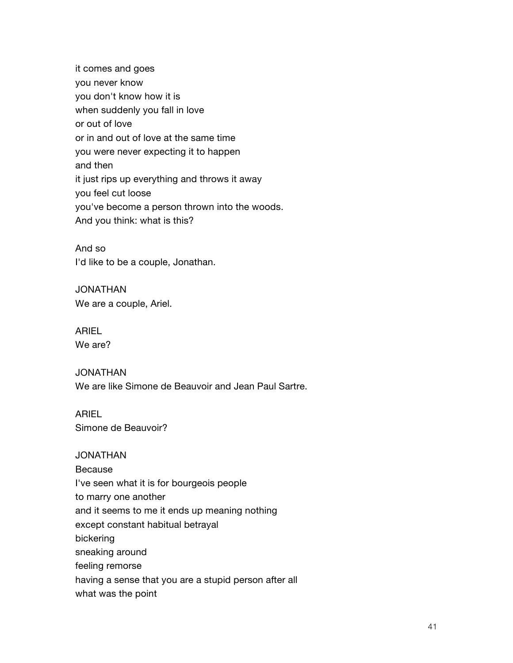it comes and goes you never know you don't know how it is when suddenly you fall in love or out of love or in and out of love at the same time you were never expecting it to happen and then it just rips up everything and throws it away you feel cut loose you've become a person thrown into the woods. And you think: what is this?

And so I'd like to be a couple, Jonathan.

JONATHAN We are a couple, Ariel.

ARIEL We are?

JONATHAN We are like Simone de Beauvoir and Jean Paul Sartre.

ARIEL Simone de Beauvoir?

#### JONATHAN

Because

I've seen what it is for bourgeois people

to marry one another

and it seems to me it ends up meaning nothing

except constant habitual betrayal

bickering

sneaking around

feeling remorse

having a sense that you are a stupid person after all

what was the point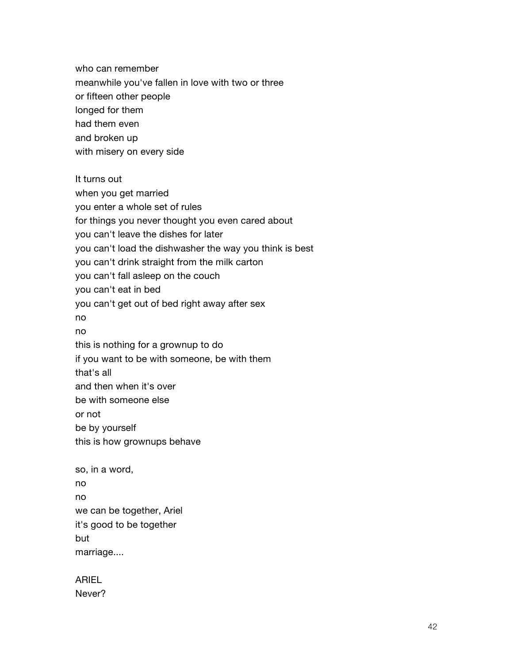who can remember meanwhile you've fallen in love with two or three or fifteen other people longed for them had them even and broken up with misery on every side

It turns out when you get married you enter a whole set of rules for things you never thought you even cared about you can't leave the dishes for later you can't load the dishwasher the way you think is best you can't drink straight from the milk carton you can't fall asleep on the couch you can't eat in bed you can't get out of bed right away after sex no no this is nothing for a grownup to do if you want to be with someone, be with them that's all and then when it's over be with someone else or not be by yourself this is how grownups behave so, in a word, no no

we can be together, Ariel it's good to be together but

marriage....

ARIEL Never?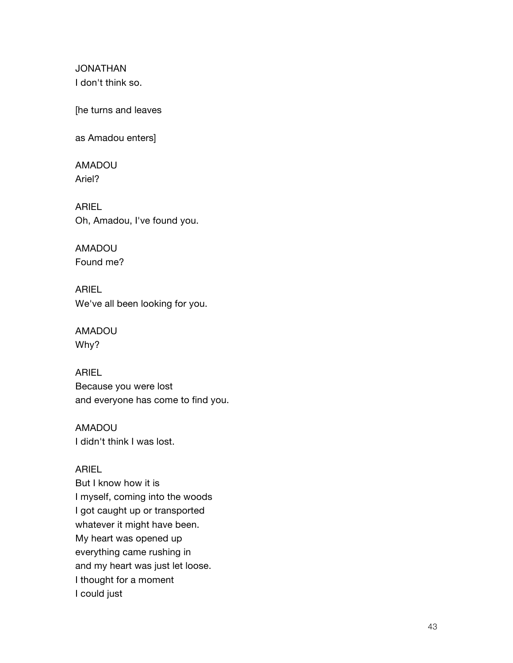JONATHAN I don't think so.

[he turns and leaves

as Amadou enters]

AMADOU Ariel?

ARIEL Oh, Amadou, I've found you.

AMADOU Found me?

ARIEL We've all been looking for you.

AMADOU Why?

ARIEL Because you were lost and everyone has come to find you.

AMADOU I didn't think I was lost.

## ARIEL

But I know how it is I myself, coming into the woods I got caught up or transported whatever it might have been. My heart was opened up everything came rushing in and my heart was just let loose. I thought for a moment I could just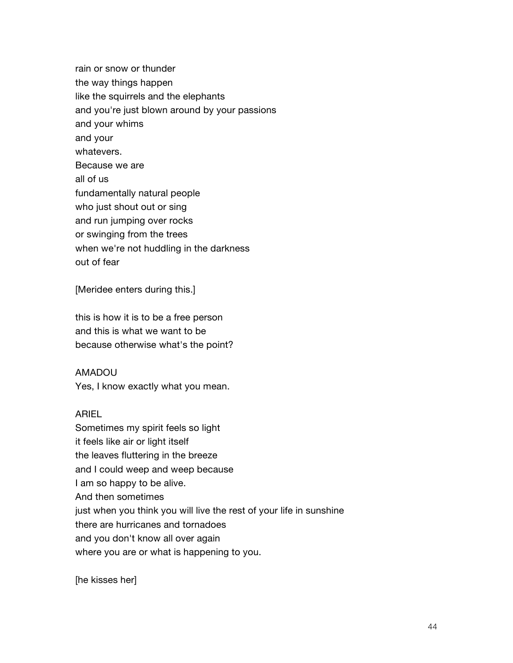rain or snow or thunder the way things happen like the squirrels and the elephants and you're just blown around by your passions and your whims and your whatevers. Because we are all of us fundamentally natural people who just shout out or sing and run jumping over rocks or swinging from the trees when we're not huddling in the darkness out of fear

[Meridee enters during this.]

this is how it is to be a free person and this is what we want to be because otherwise what's the point?

AMADOU

Yes, I know exactly what you mean.

#### ARIEL

Sometimes my spirit feels so light it feels like air or light itself the leaves fluttering in the breeze and I could weep and weep because I am so happy to be alive. And then sometimes just when you think you will live the rest of your life in sunshine there are hurricanes and tornadoes and you don't know all over again where you are or what is happening to you.

[he kisses her]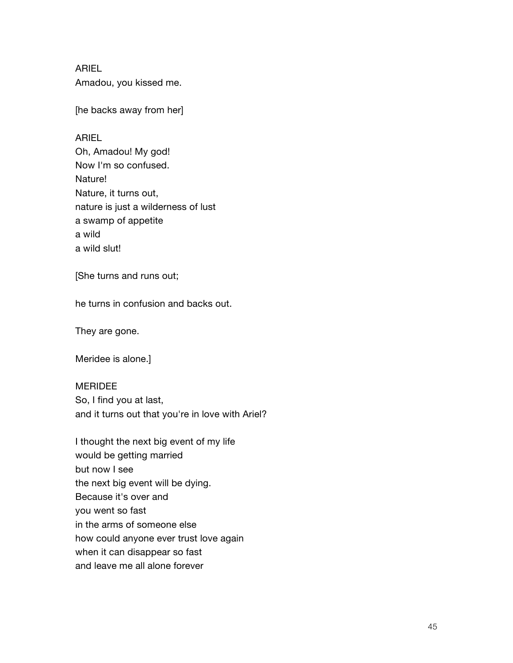ARIEL Amadou, you kissed me.

[he backs away from her]

#### ARIEL

Oh, Amadou! My god! Now I'm so confused. Nature! Nature, it turns out, nature is just a wilderness of lust a swamp of appetite a wild a wild slut!

[She turns and runs out;

he turns in confusion and backs out.

They are gone.

Meridee is alone.]

MERIDEE So, I find you at last, and it turns out that you're in love with Ariel?

I thought the next big event of my life would be getting married but now I see the next big event will be dying. Because it's over and you went so fast in the arms of someone else how could anyone ever trust love again when it can disappear so fast and leave me all alone forever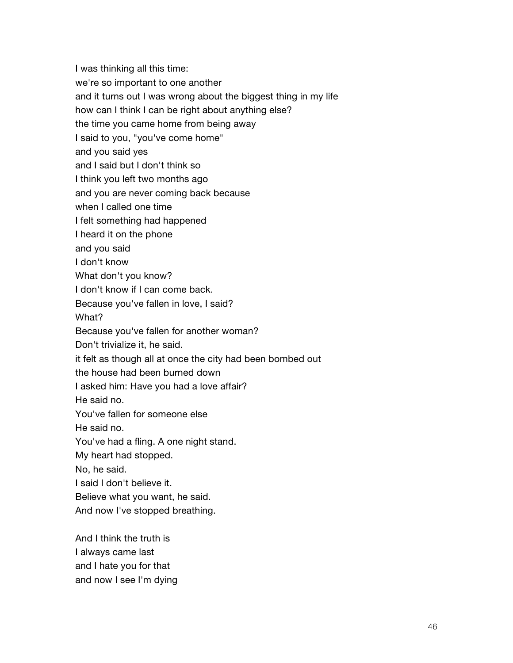I was thinking all this time: we're so important to one another and it turns out I was wrong about the biggest thing in my life how can I think I can be right about anything else? the time you came home from being away I said to you, "you've come home" and you said yes and I said but I don't think so I think you left two months ago and you are never coming back because when I called one time I felt something had happened I heard it on the phone and you said I don't know What don't you know? I don't know if I can come back. Because you've fallen in love, I said? What? Because you've fallen for another woman? Don't trivialize it, he said. it felt as though all at once the city had been bombed out the house had been burned down I asked him: Have you had a love affair? He said no. You've fallen for someone else He said no. You've had a fling. A one night stand. My heart had stopped. No, he said. I said I don't believe it. Believe what you want, he said. And now I've stopped breathing.

And I think the truth is I always came last and I hate you for that and now I see I'm dying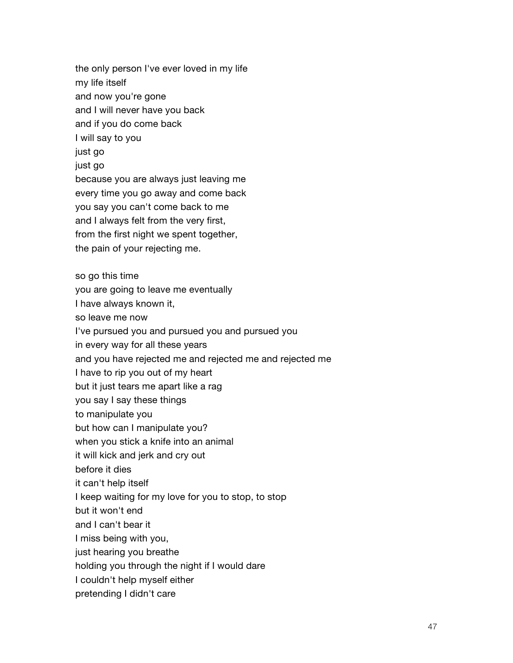the only person I've ever loved in my life my life itself and now you're gone and I will never have you back and if you do come back I will say to you just go just go because you are always just leaving me every time you go away and come back you say you can't come back to me and I always felt from the very first, from the first night we spent together, the pain of your rejecting me. so go this time you are going to leave me eventually I have always known it, so leave me now I've pursued you and pursued you and pursued you in every way for all these years and you have rejected me and rejected me and rejected me I have to rip you out of my heart but it just tears me apart like a rag you say I say these things to manipulate you but how can I manipulate you? when you stick a knife into an animal it will kick and jerk and cry out before it dies it can't help itself I keep waiting for my love for you to stop, to stop but it won't end and I can't bear it I miss being with you, just hearing you breathe holding you through the night if I would dare I couldn't help myself either pretending I didn't care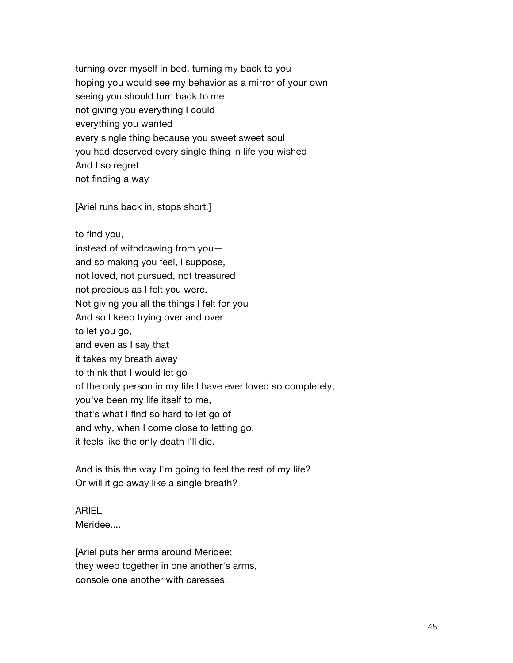turning over myself in bed, turning my back to you hoping you would see my behavior as a mirror of your own seeing you should turn back to me not giving you everything I could everything you wanted every single thing because you sweet sweet soul you had deserved every single thing in life you wished And I so regret not finding a way

[Ariel runs back in, stops short.]

to find you, instead of withdrawing from you and so making you feel, I suppose, not loved, not pursued, not treasured not precious as I felt you were. Not giving you all the things I felt for you And so I keep trying over and over to let you go, and even as I say that it takes my breath away to think that I would let go of the only person in my life I have ever loved so completely, you've been my life itself to me, that's what I find so hard to let go of and why, when I come close to letting go, it feels like the only death I'll die.

And is this the way I'm going to feel the rest of my life? Or will it go away like a single breath?

#### ARIEL

Meridee....

[Ariel puts her arms around Meridee; they weep together in one another's arms, console one another with caresses.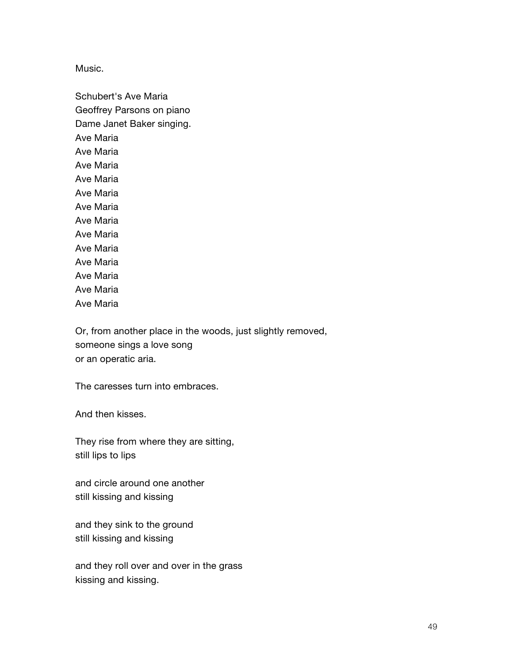Music.

Schubert's Ave Maria Geoffrey Parsons on piano Dame Janet Baker singing. Ave Maria Ave Maria Ave Maria Ave Maria Ave Maria Ave Maria Ave Maria Ave Maria Ave Maria Ave Maria Ave Maria Ave Maria Ave Maria

Or, from another place in the woods, just slightly removed, someone sings a love song or an operatic aria.

The caresses turn into embraces.

And then kisses.

They rise from where they are sitting, still lips to lips

and circle around one another still kissing and kissing

and they sink to the ground still kissing and kissing

and they roll over and over in the grass kissing and kissing.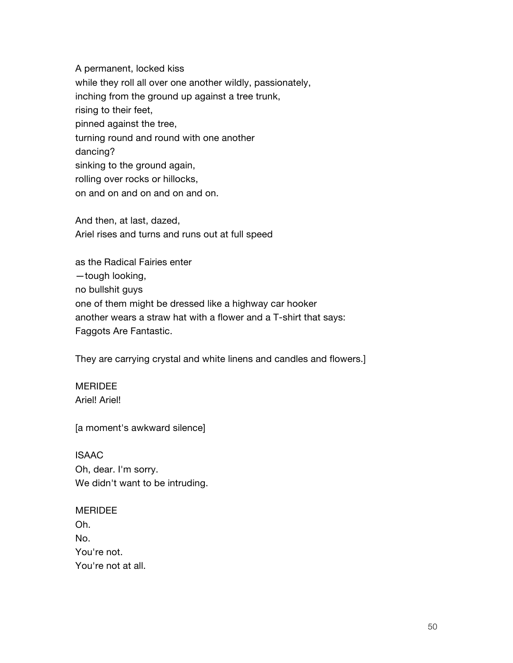A permanent, locked kiss while they roll all over one another wildly, passionately, inching from the ground up against a tree trunk, rising to their feet, pinned against the tree, turning round and round with one another dancing? sinking to the ground again, rolling over rocks or hillocks, on and on and on and on and on.

And then, at last, dazed, Ariel rises and turns and runs out at full speed

as the Radical Fairies enter —tough looking, no bullshit guys one of them might be dressed like a highway car hooker another wears a straw hat with a flower and a T-shirt that says: Faggots Are Fantastic.

They are carrying crystal and white linens and candles and flowers.]

# **MERIDEE**

Ariel! Ariel!

[a moment's awkward silence]

# ISAAC

Oh, dear. I'm sorry. We didn't want to be intruding.

## **MERIDEE**

Oh. No. You're not. You're not at all.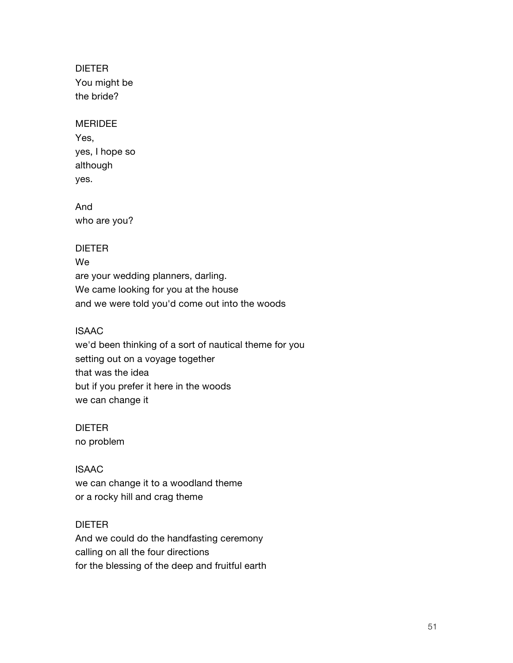DIETER You might be the bride?

#### MERIDEE

Yes, yes, I hope so although yes.

And who are you?

#### DIETER

We are your wedding planners, darling. We came looking for you at the house and we were told you'd come out into the woods

#### ISAAC

we'd been thinking of a sort of nautical theme for you setting out on a voyage together that was the idea but if you prefer it here in the woods we can change it

DIETER no problem

# ISAAC

we can change it to a woodland theme or a rocky hill and crag theme

## DIETER

And we could do the handfasting ceremony calling on all the four directions for the blessing of the deep and fruitful earth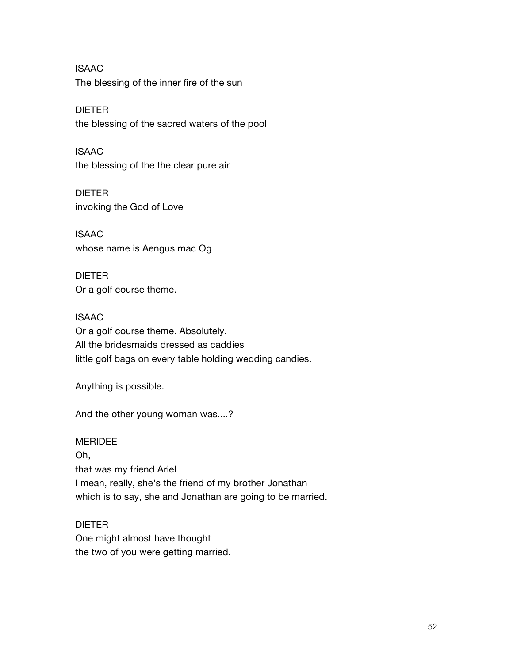ISAAC The blessing of the inner fire of the sun

DIETER the blessing of the sacred waters of the pool

ISAAC the blessing of the the clear pure air

DIETER invoking the God of Love

ISAAC whose name is Aengus mac Og

DIETER Or a golf course theme.

ISAAC Or a golf course theme. Absolutely. All the bridesmaids dressed as caddies little golf bags on every table holding wedding candies.

Anything is possible.

And the other young woman was....?

## **MERIDEE**

Oh, that was my friend Ariel I mean, really, she's the friend of my brother Jonathan which is to say, she and Jonathan are going to be married.

## DIETER

One might almost have thought the two of you were getting married.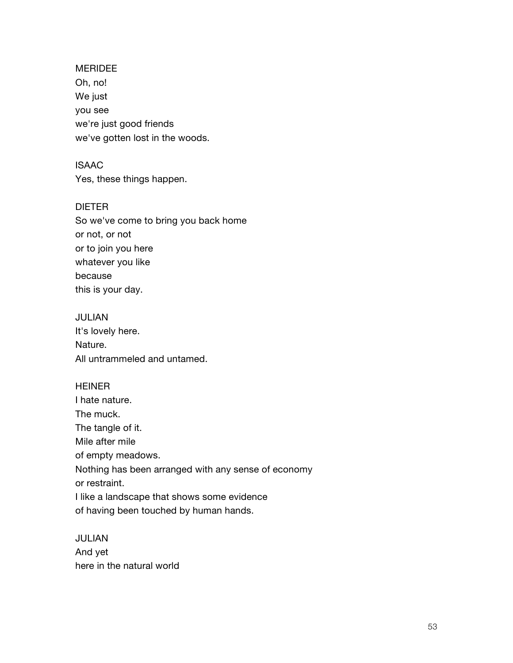# MERIDEE Oh, no! We just you see we're just good friends we've gotten lost in the woods.

ISAAC Yes, these things happen.

# DIETER So we've come to bring you back home or not, or not or to join you here whatever you like because this is your day.

## JULIAN

It's lovely here. Nature. All untrammeled and untamed.

#### **HEINER**

I hate nature. The muck. The tangle of it. Mile after mile of empty meadows. Nothing has been arranged with any sense of economy or restraint. I like a landscape that shows some evidence of having been touched by human hands.

# JULIAN And yet here in the natural world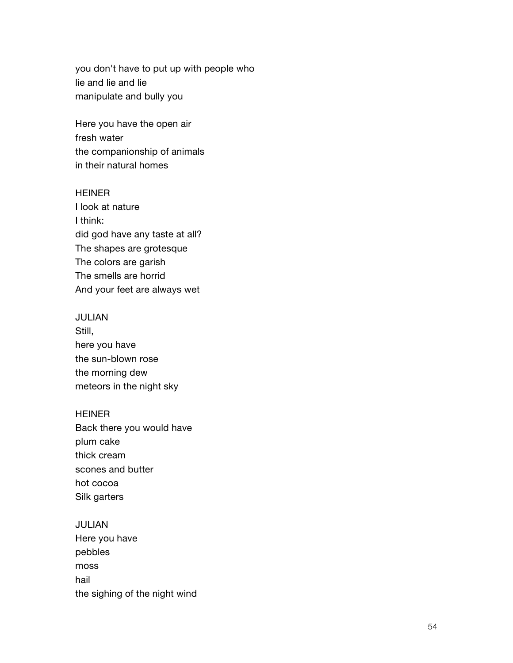you don't have to put up with people who lie and lie and lie manipulate and bully you

Here you have the open air fresh water the companionship of animals in their natural homes

#### **HEINER**

I look at nature I think: did god have any taste at all? The shapes are grotesque The colors are garish The smells are horrid And your feet are always wet

#### JULIAN

Still, here you have the sun-blown rose the morning dew meteors in the night sky

#### HEINER

Back there you would have plum cake thick cream scones and butter hot cocoa Silk garters

#### JULIAN

Here you have pebbles moss hail the sighing of the night wind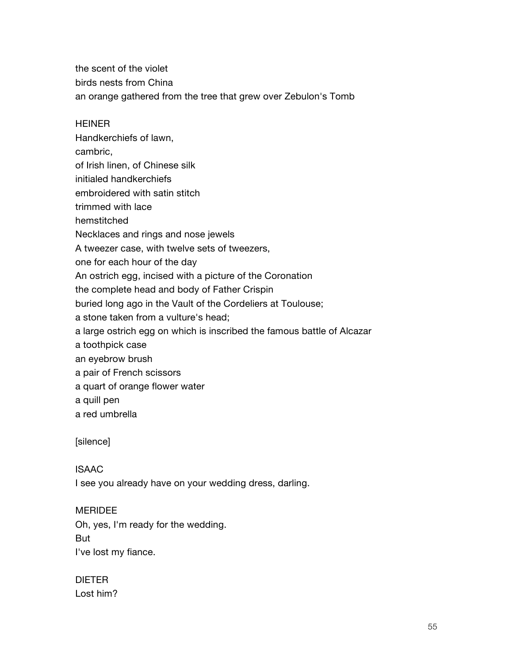the scent of the violet birds nests from China an orange gathered from the tree that grew over Zebulon's Tomb

#### HEINER

Handkerchiefs of lawn, cambric, of Irish linen, of Chinese silk initialed handkerchiefs embroidered with satin stitch trimmed with lace hemstitched Necklaces and rings and nose jewels A tweezer case, with twelve sets of tweezers, one for each hour of the day An ostrich egg, incised with a picture of the Coronation the complete head and body of Father Crispin buried long ago in the Vault of the Cordeliers at Toulouse; a stone taken from a vulture's head; a large ostrich egg on which is inscribed the famous battle of Alcazar a toothpick case an eyebrow brush a pair of French scissors a quart of orange flower water a quill pen

a red umbrella

[silence]

## ISAAC

I see you already have on your wedding dress, darling.

## MERIDEE

Oh, yes, I'm ready for the wedding.

But

I've lost my fiance.

# DIETER

Lost him?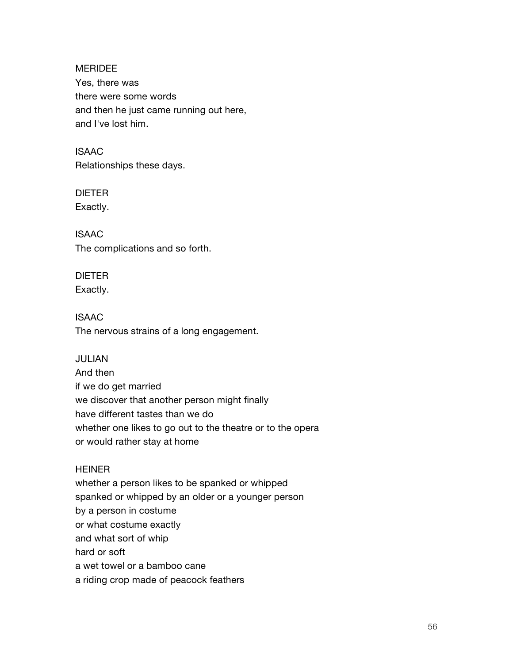MERIDEE Yes, there was there were some words and then he just came running out here, and I've lost him.

ISAAC Relationships these days.

DIETER Exactly.

ISAAC The complications and so forth.

DIETER Exactly.

ISAAC The nervous strains of a long engagement.

JULIAN

And then if we do get married we discover that another person might finally have different tastes than we do whether one likes to go out to the theatre or to the opera or would rather stay at home

# HEINER

whether a person likes to be spanked or whipped spanked or whipped by an older or a younger person by a person in costume or what costume exactly and what sort of whip hard or soft a wet towel or a bamboo cane a riding crop made of peacock feathers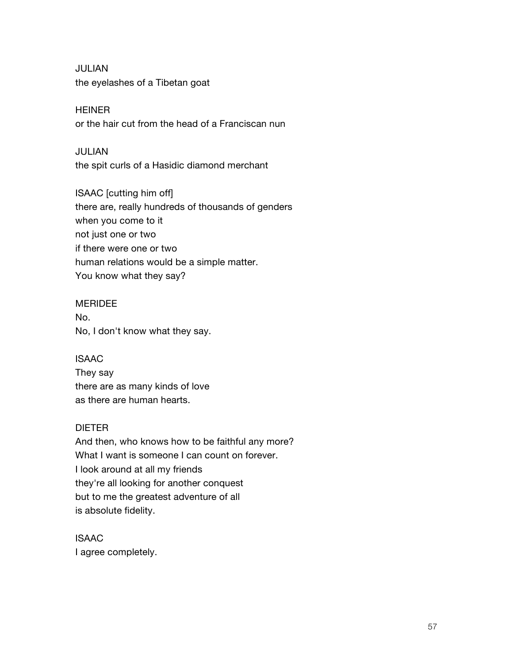JULIAN the eyelashes of a Tibetan goat

**HEINER** or the hair cut from the head of a Franciscan nun

JULIAN the spit curls of a Hasidic diamond merchant

ISAAC [cutting him off] there are, really hundreds of thousands of genders when you come to it not just one or two if there were one or two human relations would be a simple matter. You know what they say?

## MERIDEE

No. No, I don't know what they say.

ISAAC

They say there are as many kinds of love as there are human hearts.

# DIETER

And then, who knows how to be faithful any more? What I want is someone I can count on forever. I look around at all my friends they're all looking for another conquest but to me the greatest adventure of all is absolute fidelity.

ISAAC I agree completely.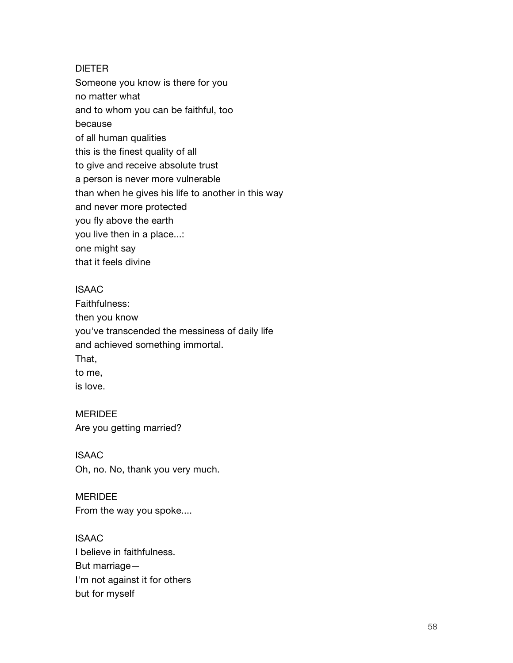#### DIETER

Someone you know is there for you no matter what and to whom you can be faithful, too because of all human qualities this is the finest quality of all to give and receive absolute trust a person is never more vulnerable than when he gives his life to another in this way and never more protected you fly above the earth you live then in a place...: one might say that it feels divine

#### ISAAC

Faithfulness: then you know you've transcended the messiness of daily life and achieved something immortal. That, to me, is love.

#### MERIDEE

Are you getting married?

## ISAAC

Oh, no. No, thank you very much.

#### MERIDEE

From the way you spoke....

# ISAAC

I believe in faithfulness. But marriage— I'm not against it for others but for myself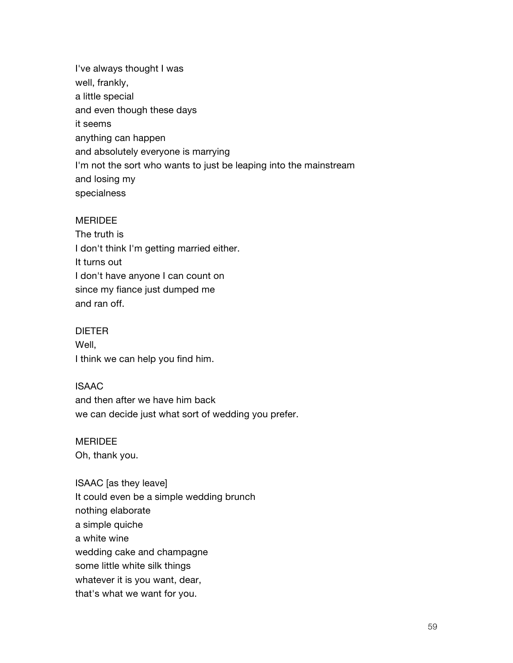I've always thought I was well, frankly, a little special and even though these days it seems anything can happen and absolutely everyone is marrying I'm not the sort who wants to just be leaping into the mainstream and losing my specialness

#### MERIDEE

The truth is I don't think I'm getting married either. It turns out I don't have anyone I can count on since my fiance just dumped me and ran off.

#### DIETER

Well, I think we can help you find him.

#### ISAAC

and then after we have him back we can decide just what sort of wedding you prefer.

#### **MERIDEE**

Oh, thank you.

ISAAC [as they leave] It could even be a simple wedding brunch nothing elaborate a simple quiche a white wine wedding cake and champagne some little white silk things whatever it is you want, dear, that's what we want for you.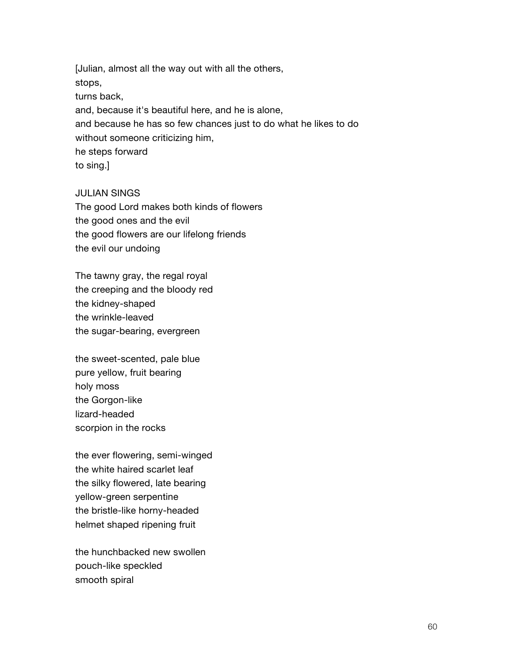[Julian, almost all the way out with all the others, stops, turns back, and, because it's beautiful here, and he is alone, and because he has so few chances just to do what he likes to do without someone criticizing him, he steps forward to sing.]

#### JULIAN SINGS

The good Lord makes both kinds of flowers the good ones and the evil the good flowers are our lifelong friends the evil our undoing

The tawny gray, the regal royal the creeping and the bloody red the kidney-shaped the wrinkle-leaved the sugar-bearing, evergreen

the sweet-scented, pale blue pure yellow, fruit bearing holy moss the Gorgon-like lizard-headed scorpion in the rocks

the ever flowering, semi-winged the white haired scarlet leaf the silky flowered, late bearing yellow-green serpentine the bristle-like horny-headed helmet shaped ripening fruit

the hunchbacked new swollen pouch-like speckled smooth spiral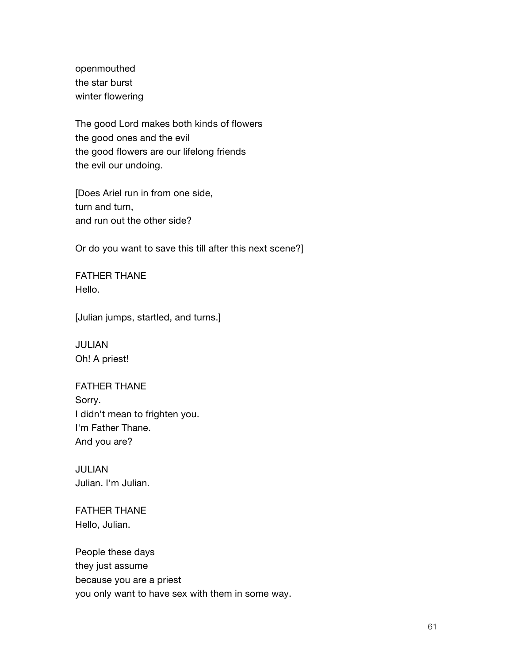openmouthed the star burst winter flowering

The good Lord makes both kinds of flowers the good ones and the evil the good flowers are our lifelong friends the evil our undoing.

[Does Ariel run in from one side, turn and turn, and run out the other side?

Or do you want to save this till after this next scene?]

FATHER THANE Hello.

[Julian jumps, startled, and turns.]

JULIAN Oh! A priest!

FATHER THANE Sorry. I didn't mean to frighten you. I'm Father Thane. And you are?

JULIAN Julian. I'm Julian.

FATHER THANE Hello, Julian.

People these days they just assume because you are a priest you only want to have sex with them in some way.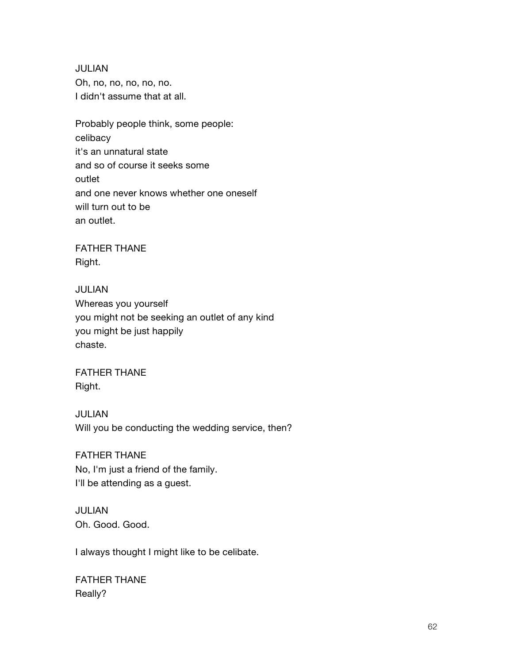JULIAN Oh, no, no, no, no, no. I didn't assume that at all.

Probably people think, some people: celibacy it's an unnatural state and so of course it seeks some outlet and one never knows whether one oneself will turn out to be an outlet.

FATHER THANE Right.

JULIAN Whereas you yourself you might not be seeking an outlet of any kind you might be just happily chaste.

FATHER THANE Right.

JULIAN Will you be conducting the wedding service, then?

FATHER THANE No, I'm just a friend of the family. I'll be attending as a guest.

JULIAN Oh. Good. Good.

I always thought I might like to be celibate.

FATHER THANE Really?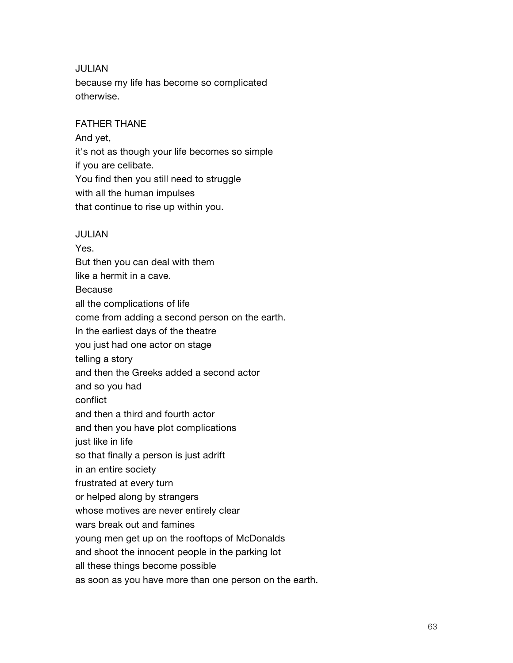#### JULIAN

because my life has become so complicated otherwise.

## FATHER THANE

And yet, it's not as though your life becomes so simple if you are celibate. You find then you still need to struggle with all the human impulses that continue to rise up within you.

#### JULIAN

Yes. But then you can deal with them like a hermit in a cave. Because all the complications of life come from adding a second person on the earth. In the earliest days of the theatre you just had one actor on stage telling a story and then the Greeks added a second actor and so you had conflict and then a third and fourth actor and then you have plot complications just like in life so that finally a person is just adrift in an entire society frustrated at every turn or helped along by strangers whose motives are never entirely clear wars break out and famines young men get up on the rooftops of McDonalds and shoot the innocent people in the parking lot all these things become possible as soon as you have more than one person on the earth.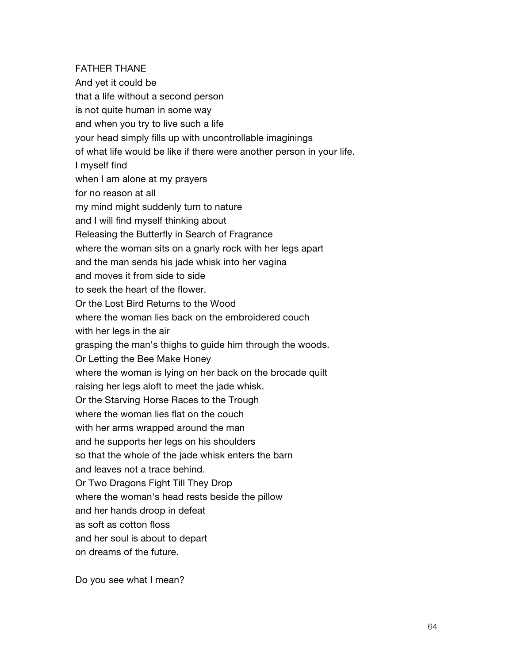#### FATHER THANE

And yet it could be that a life without a second person is not quite human in some way and when you try to live such a life your head simply fills up with uncontrollable imaginings of what life would be like if there were another person in your life. I myself find when I am alone at my prayers for no reason at all my mind might suddenly turn to nature and I will find myself thinking about Releasing the Butterfly in Search of Fragrance where the woman sits on a gnarly rock with her legs apart and the man sends his jade whisk into her vagina and moves it from side to side to seek the heart of the flower. Or the Lost Bird Returns to the Wood where the woman lies back on the embroidered couch with her legs in the air grasping the man's thighs to guide him through the woods. Or Letting the Bee Make Honey where the woman is lying on her back on the brocade quilt raising her legs aloft to meet the jade whisk. Or the Starving Horse Races to the Trough where the woman lies flat on the couch with her arms wrapped around the man and he supports her legs on his shoulders so that the whole of the jade whisk enters the barn and leaves not a trace behind. Or Two Dragons Fight Till They Drop where the woman's head rests beside the pillow and her hands droop in defeat as soft as cotton floss and her soul is about to depart on dreams of the future.

Do you see what I mean?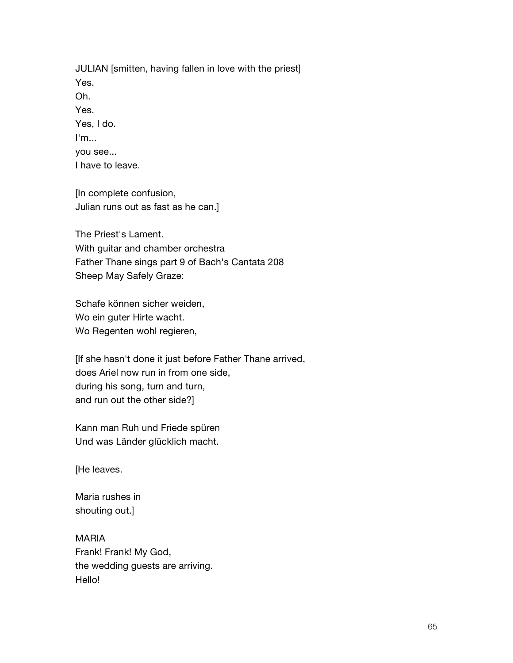JULIAN [smitten, having fallen in love with the priest] Yes. Oh. Yes. Yes, I do. I'm... you see...

I have to leave.

[In complete confusion, Julian runs out as fast as he can.]

The Priest's Lament. With guitar and chamber orchestra Father Thane sings part 9 of Bach's Cantata 208 Sheep May Safely Graze:

Schafe können sicher weiden, Wo ein guter Hirte wacht. Wo Regenten wohl regieren,

[If she hasn't done it just before Father Thane arrived, does Ariel now run in from one side, during his song, turn and turn, and run out the other side?]

Kann man Ruh und Friede spüren Und was Länder glücklich macht.

[He leaves.

Maria rushes in shouting out.]

MARIA Frank! Frank! My God, the wedding guests are arriving. Hello!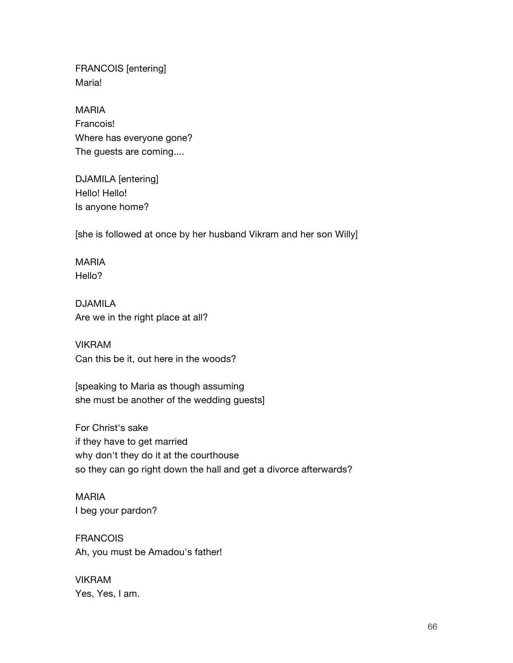FRANCOIS [entering] Maria!

MARIA Francois!

Where has everyone gone? The guests are coming....

DJAMILA [entering] Hello! Hello! Is anyone home?

[she is followed at once by her husband Vikram and her son Willy]

MARIA Hello?

DJAMILA Are we in the right place at all?

VIKRAM Can this be it, out here in the woods?

[speaking to Maria as though assuming she must be another of the wedding guests]

For Christ's sake if they have to get married why don't they do it at the courthouse so they can go right down the hall and get a divorce afterwards?

MARIA I beg your pardon?

**FRANCOIS** Ah, you must be Amadou's father!

VIKRAM Yes, Yes, I am.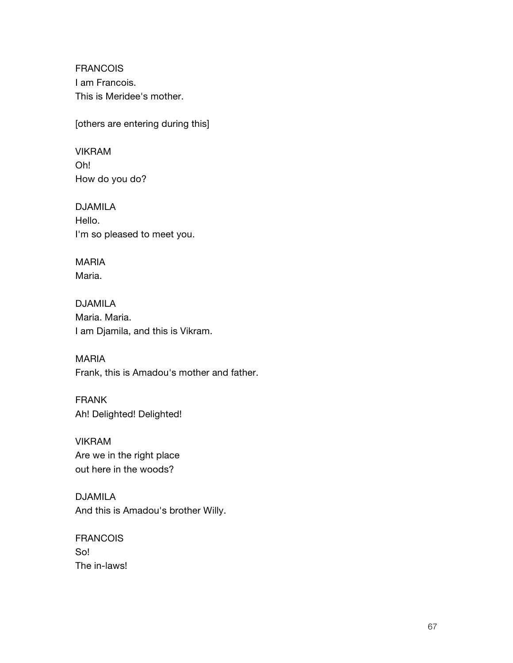FRANCOIS I am Francois. This is Meridee's mother.

[others are entering during this]

VIKRAM Oh! How do you do?

DJAMILA Hello. I'm so pleased to meet you.

MARIA Maria.

DJAMILA Maria. Maria. I am Djamila, and this is Vikram.

MARIA Frank, this is Amadou's mother and father.

FRANK Ah! Delighted! Delighted!

VIKRAM Are we in the right place out here in the woods?

DJAMILA And this is Amadou's brother Willy.

FRANCOIS So! The in-laws!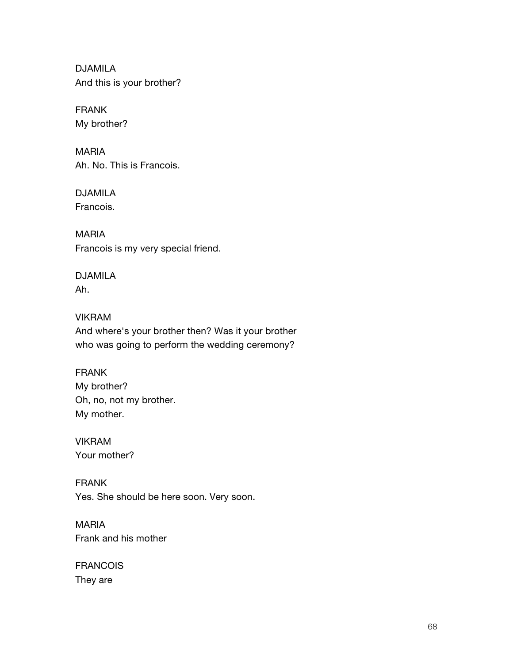DJAMILA And this is your brother?

FRANK My brother?

MARIA Ah. No. This is Francois.

DJAMILA Francois.

MARIA Francois is my very special friend.

DJAMILA Ah.

VIKRAM And where's your brother then? Was it your brother who was going to perform the wedding ceremony?

FRANK My brother? Oh, no, not my brother. My mother.

VIKRAM Your mother?

FRANK Yes. She should be here soon. Very soon.

MARIA Frank and his mother

**FRANCOIS** They are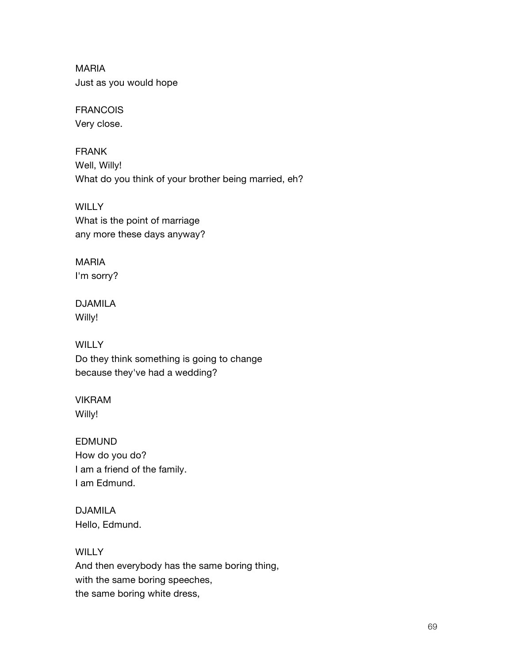MARIA Just as you would hope

FRANCOIS Very close.

FRANK Well, Willy! What do you think of your brother being married, eh?

**WILLY** What is the point of marriage any more these days anyway?

MARIA I'm sorry?

DJAMILA Willy!

**WILLY** Do they think something is going to change because they've had a wedding?

VIKRAM Willy!

EDMUND How do you do? I am a friend of the family. I am Edmund.

DJAMILA Hello, Edmund.

**WILLY** And then everybody has the same boring thing, with the same boring speeches, the same boring white dress,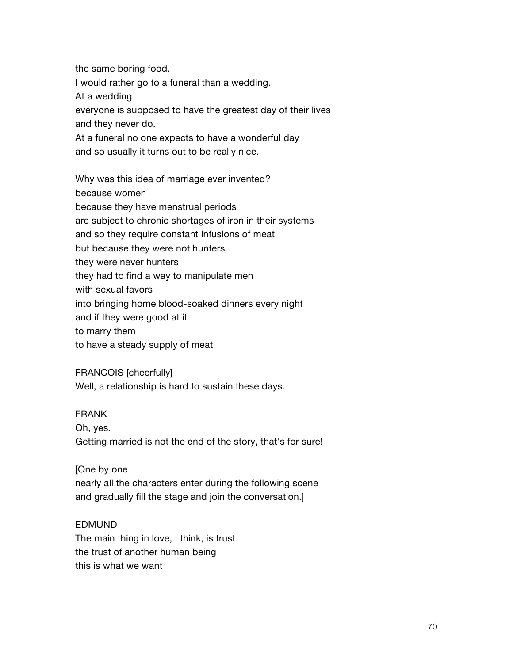the same boring food. I would rather go to a funeral than a wedding. At a wedding everyone is supposed to have the greatest day of their lives and they never do. At a funeral no one expects to have a wonderful day and so usually it turns out to be really nice. Why was this idea of marriage ever invented?

because women because they have menstrual periods are subject to chronic shortages of iron in their systems and so they require constant infusions of meat but because they were not hunters they were never hunters they had to find a way to manipulate men with sexual favors into bringing home blood-soaked dinners every night and if they were good at it to marry them to have a steady supply of meat

FRANCOIS [cheerfully] Well, a relationship is hard to sustain these days.

#### FRANK

Oh, yes. Getting married is not the end of the story, that's for sure!

## [One by one

nearly all the characters enter during the following scene and gradually fill the stage and join the conversation.]

#### EDMUND

The main thing in love, I think, is trust the trust of another human being this is what we want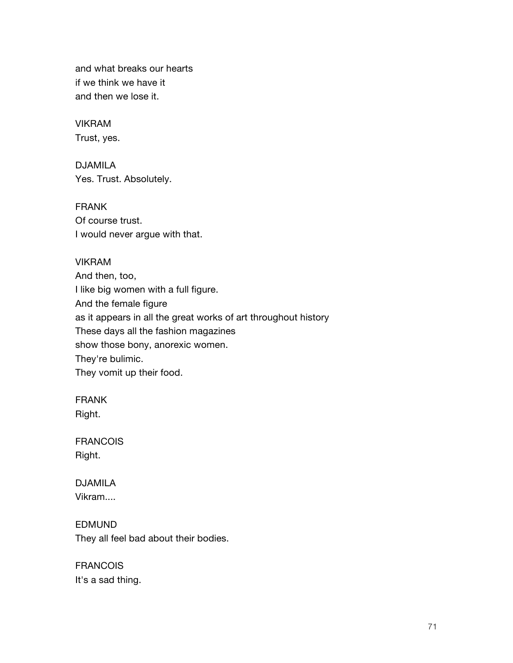and what breaks our hearts if we think we have it and then we lose it.

VIKRAM Trust, yes.

DJAMILA Yes. Trust. Absolutely.

FRANK Of course trust. I would never argue with that.

VIKRAM

And then, too, I like big women with a full figure. And the female figure as it appears in all the great works of art throughout history These days all the fashion magazines show those bony, anorexic women. They're bulimic. They vomit up their food.

FRANK Right.

**FRANCOIS** Right.

DJAMILA Vikram....

EDMUND They all feel bad about their bodies.

**FRANCOIS** It's a sad thing.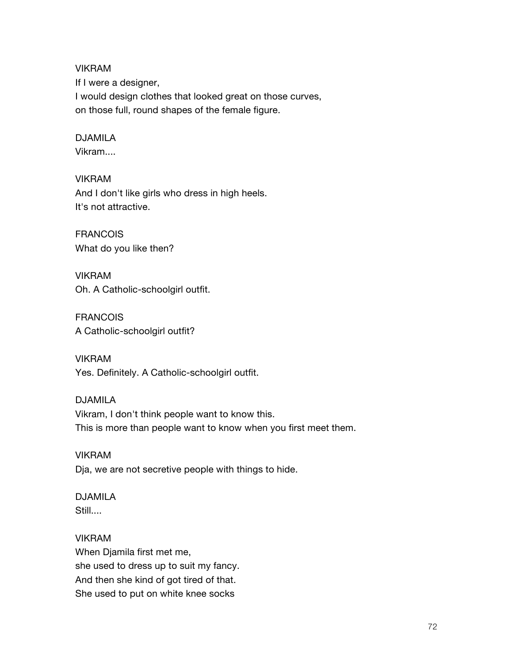VIKRAM If I were a designer, I would design clothes that looked great on those curves, on those full, round shapes of the female figure.

#### DJAMILA Vikram....

VIKRAM And I don't like girls who dress in high heels. It's not attractive.

FRANCOIS What do you like then?

VIKRAM Oh. A Catholic-schoolgirl outfit.

**FRANCOIS** A Catholic-schoolgirl outfit?

VIKRAM Yes. Definitely. A Catholic-schoolgirl outfit.

DJAMILA Vikram, I don't think people want to know this. This is more than people want to know when you first meet them.

VIKRAM Dja, we are not secretive people with things to hide.

# DJAMILA Still....

VIKRAM When Djamila first met me, she used to dress up to suit my fancy. And then she kind of got tired of that. She used to put on white knee socks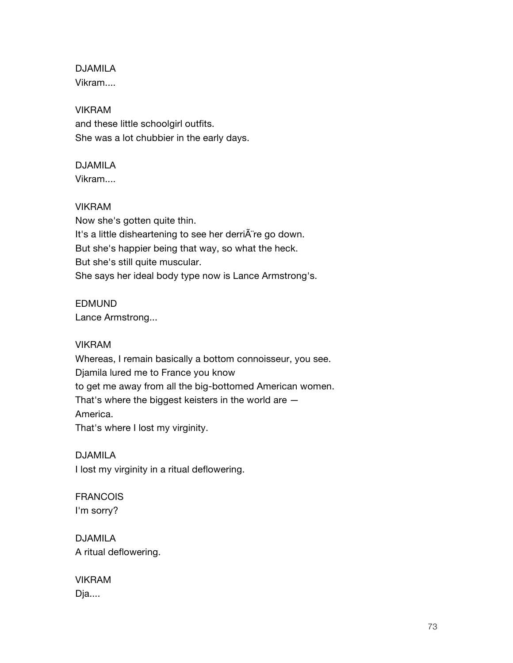DJAMILA Vikram....

## VIKRAM

and these little schoolgirl outfits. She was a lot chubbier in the early days.

## DJAMILA

Vikram....

#### VIKRAM

Now she's gotten quite thin. It's a little disheartening to see her derriA re go down. But she's happier being that way, so what the heck. But she's still quite muscular. She says her ideal body type now is Lance Armstrong's.

## EDMUND

Lance Armstrong...

#### VIKRAM

Whereas, I remain basically a bottom connoisseur, you see. Djamila lured me to France you know to get me away from all the big-bottomed American women. That's where the biggest keisters in the world are — America. That's where I lost my virginity.

DJAMILA I lost my virginity in a ritual deflowering.

FRANCOIS I'm sorry?

DJAMILA A ritual deflowering.

VIKRAM Dja....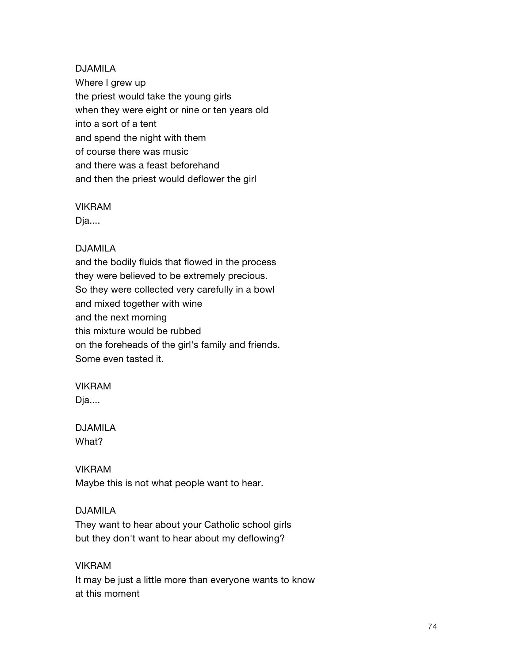DJAMILA Where I grew up the priest would take the young girls when they were eight or nine or ten years old into a sort of a tent and spend the night with them of course there was music and there was a feast beforehand and then the priest would deflower the girl

#### VIKRAM

Dja....

#### DJAMILA

and the bodily fluids that flowed in the process they were believed to be extremely precious. So they were collected very carefully in a bowl and mixed together with wine and the next morning this mixture would be rubbed on the foreheads of the girl's family and friends. Some even tasted it.

#### VIKRAM

Dja....

## DJAMILA What?

## VIKRAM

Maybe this is not what people want to hear.

#### DJAMILA

They want to hear about your Catholic school girls but they don't want to hear about my deflowing?

#### VIKRAM

It may be just a little more than everyone wants to know at this moment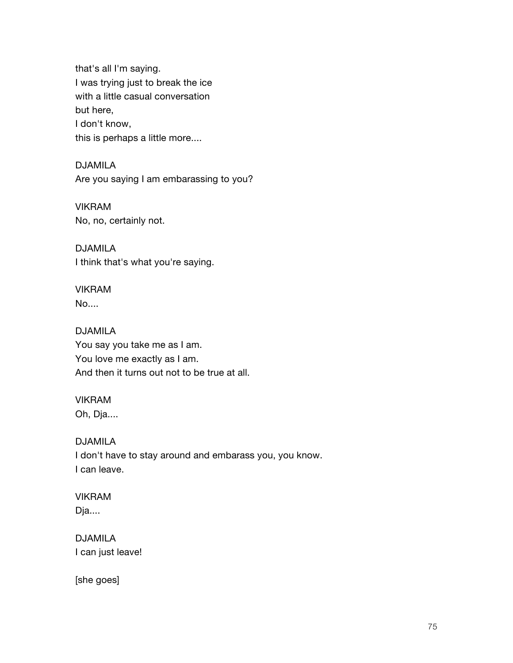that's all I'm saying. I was trying just to break the ice with a little casual conversation but here, I don't know, this is perhaps a little more....

DJAMILA Are you saying I am embarassing to you?

VIKRAM No, no, certainly not.

DJAMILA I think that's what you're saying.

VIKRAM No....

DJAMILA You say you take me as I am. You love me exactly as I am. And then it turns out not to be true at all.

VIKRAM Oh, Dja....

DJAMILA I don't have to stay around and embarass you, you know. I can leave.

VIKRAM Dja....

DJAMILA I can just leave!

[she goes]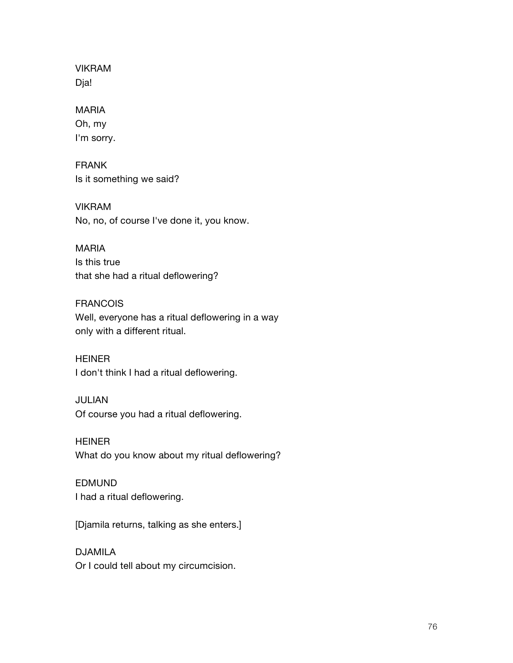VIKRAM Dja!

#### MARIA

Oh, my I'm sorry.

FRANK Is it something we said?

VIKRAM No, no, of course I've done it, you know.

#### MARIA

Is this true that she had a ritual deflowering?

#### FRANCOIS

Well, everyone has a ritual deflowering in a way only with a different ritual.

HEINER I don't think I had a ritual deflowering.

#### JULIAN

Of course you had a ritual deflowering.

HEINER What do you know about my ritual deflowering?

#### EDMUND I had a ritual deflowering.

[Djamila returns, talking as she enters.]

## DJAMILA Or I could tell about my circumcision.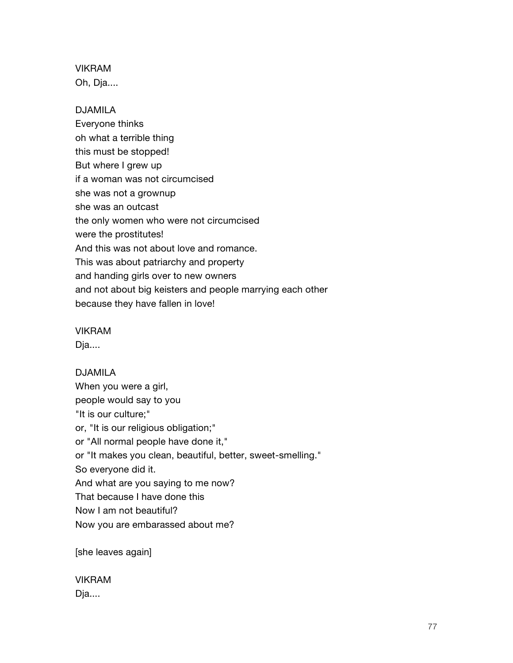VIKRAM Oh, Dja....

#### DJAMILA

Everyone thinks oh what a terrible thing this must be stopped! But where I grew up if a woman was not circumcised she was not a grownup she was an outcast the only women who were not circumcised were the prostitutes! And this was not about love and romance. This was about patriarchy and property and handing girls over to new owners and not about big keisters and people marrying each other because they have fallen in love!

VIKRAM

Dja....

DJAMILA When you were a girl, people would say to you "It is our culture;" or, "It is our religious obligation;" or "All normal people have done it," or "It makes you clean, beautiful, better, sweet-smelling." So everyone did it. And what are you saying to me now? That because I have done this Now I am not beautiful? Now you are embarassed about me?

[she leaves again]

VIKRAM Dja....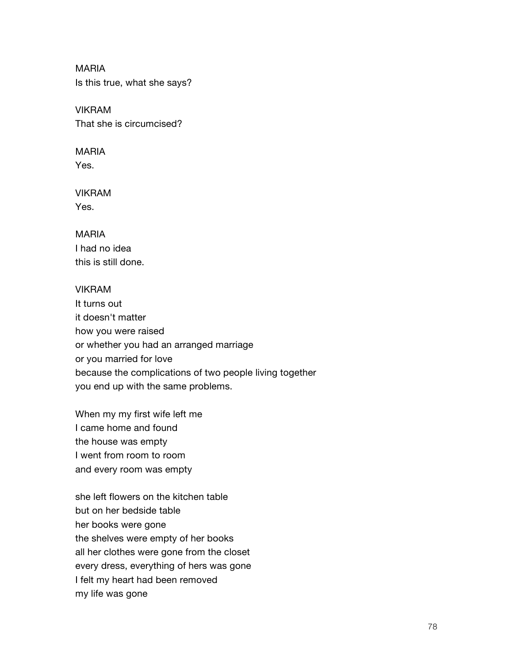MARIA Is this true, what she says?

VIKRAM That she is circumcised?

MARIA Yes.

VIKRAM Yes.

MARIA I had no idea this is still done.

#### VIKRAM

It turns out it doesn't matter how you were raised or whether you had an arranged marriage or you married for love because the complications of two people living together you end up with the same problems.

When my my first wife left me I came home and found the house was empty I went from room to room and every room was empty

she left flowers on the kitchen table but on her bedside table her books were gone the shelves were empty of her books all her clothes were gone from the closet every dress, everything of hers was gone I felt my heart had been removed my life was gone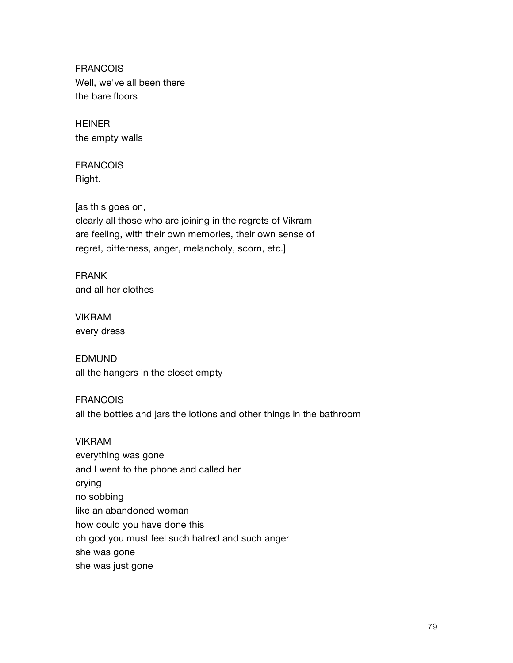FRANCOIS Well, we've all been there the bare floors

HEINER the empty walls

FRANCOIS Right.

[as this goes on,

clearly all those who are joining in the regrets of Vikram are feeling, with their own memories, their own sense of regret, bitterness, anger, melancholy, scorn, etc.]

FRANK and all her clothes

VIKRAM every dress

EDMUND all the hangers in the closet empty

FRANCOIS all the bottles and jars the lotions and other things in the bathroom

#### VIKRAM

everything was gone and I went to the phone and called her crying no sobbing like an abandoned woman how could you have done this oh god you must feel such hatred and such anger she was gone she was just gone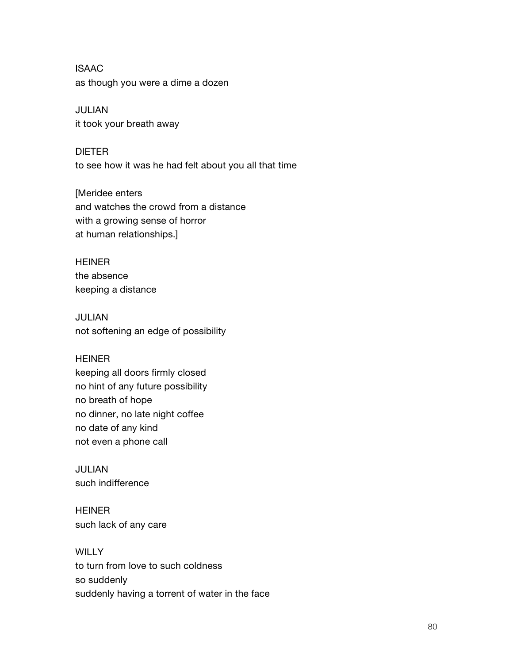ISAAC as though you were a dime a dozen

JULIAN it took your breath away

DIETER to see how it was he had felt about you all that time

[Meridee enters and watches the crowd from a distance with a growing sense of horror at human relationships.]

**HEINER** the absence keeping a distance

JULIAN not softening an edge of possibility

#### HEINER

keeping all doors firmly closed no hint of any future possibility no breath of hope no dinner, no late night coffee no date of any kind not even a phone call

JULIAN such indifference

HEINER such lack of any care

**WILLY** to turn from love to such coldness so suddenly suddenly having a torrent of water in the face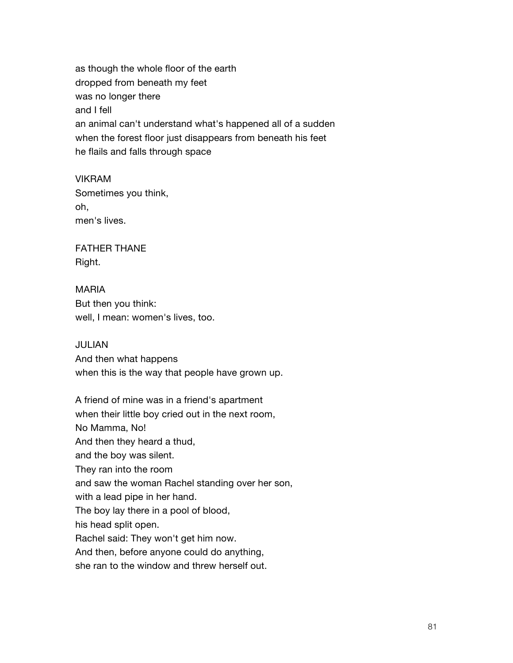as though the whole floor of the earth dropped from beneath my feet was no longer there and I fell an animal can't understand what's happened all of a sudden when the forest floor just disappears from beneath his feet he flails and falls through space

VIKRAM Sometimes you think, oh, men's lives.

FATHER THANE Right.

MARIA But then you think: well, I mean: women's lives, too.

JULIAN And then what happens when this is the way that people have grown up.

A friend of mine was in a friend's apartment when their little boy cried out in the next room, No Mamma, No! And then they heard a thud, and the boy was silent. They ran into the room and saw the woman Rachel standing over her son, with a lead pipe in her hand. The boy lay there in a pool of blood, his head split open. Rachel said: They won't get him now. And then, before anyone could do anything, she ran to the window and threw herself out.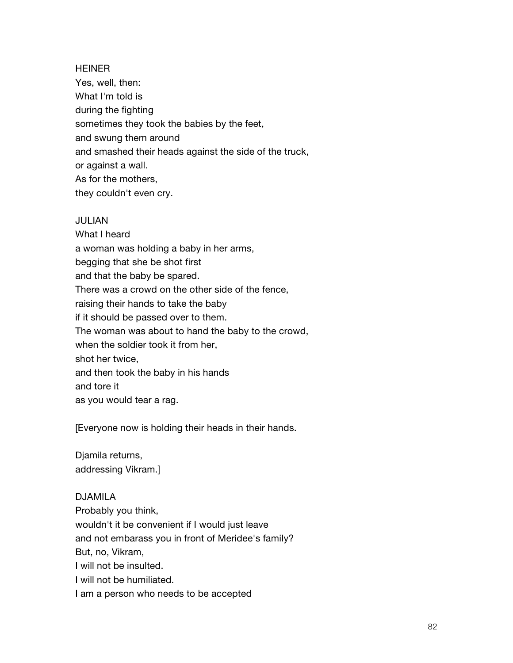#### **HEINER**

Yes, well, then: What I'm told is during the fighting sometimes they took the babies by the feet, and swung them around and smashed their heads against the side of the truck, or against a wall. As for the mothers, they couldn't even cry.

#### JULIAN

What I heard a woman was holding a baby in her arms, begging that she be shot first and that the baby be spared. There was a crowd on the other side of the fence, raising their hands to take the baby if it should be passed over to them. The woman was about to hand the baby to the crowd, when the soldier took it from her, shot her twice, and then took the baby in his hands and tore it as you would tear a rag.

[Everyone now is holding their heads in their hands.

Djamila returns, addressing Vikram.]

#### DJAMILA

Probably you think, wouldn't it be convenient if I would just leave and not embarass you in front of Meridee's family? But, no, Vikram, I will not be insulted. I will not be humiliated. I am a person who needs to be accepted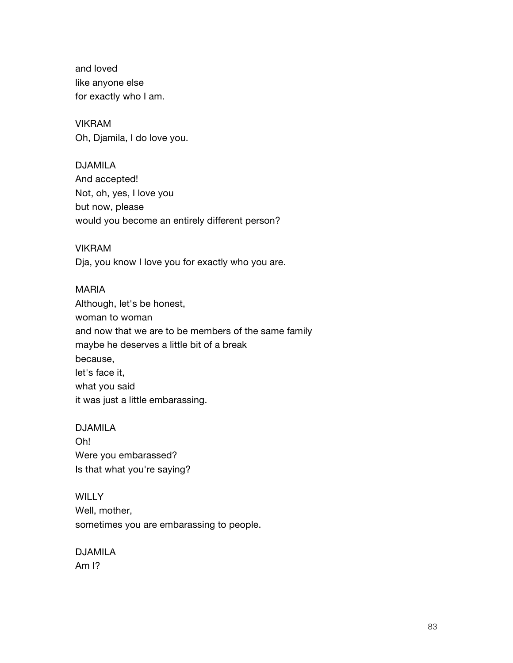and loved like anyone else for exactly who I am.

VIKRAM Oh, Djamila, I do love you.

DJAMILA And accepted! Not, oh, yes, I love you but now, please would you become an entirely different person?

#### VIKRAM

Dja, you know I love you for exactly who you are.

#### MARIA

Although, let's be honest, woman to woman and now that we are to be members of the same family maybe he deserves a little bit of a break because, let's face it, what you said it was just a little embarassing.

#### DJAMILA

Oh! Were you embarassed? Is that what you're saying?

**WILLY** Well, mother, sometimes you are embarassing to people.

DJAMILA Am I?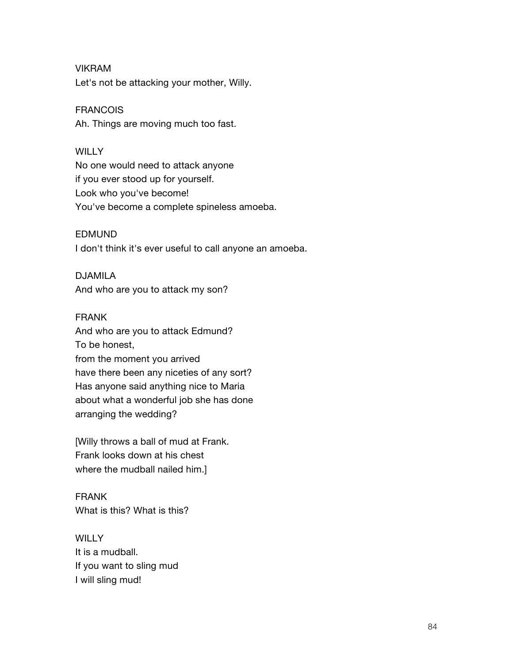VIKRAM Let's not be attacking your mother, Willy.

FRANCOIS Ah. Things are moving much too fast.

#### **WILLY**

No one would need to attack anyone if you ever stood up for yourself. Look who you've become! You've become a complete spineless amoeba.

#### EDMUND

I don't think it's ever useful to call anyone an amoeba.

DJAMILA

And who are you to attack my son?

#### FRANK

And who are you to attack Edmund? To be honest, from the moment you arrived have there been any niceties of any sort? Has anyone said anything nice to Maria about what a wonderful job she has done arranging the wedding?

[Willy throws a ball of mud at Frank. Frank looks down at his chest where the mudball nailed him.]

FRANK What is this? What is this?

**WILLY** It is a mudball. If you want to sling mud I will sling mud!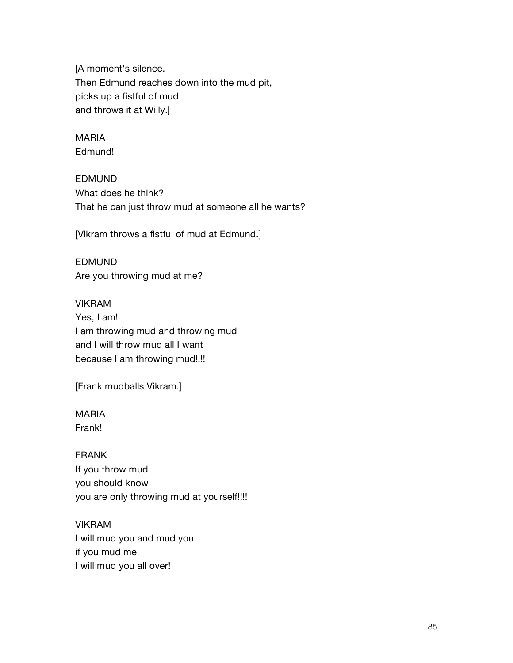[A moment's silence. Then Edmund reaches down into the mud pit, picks up a fistful of mud and throws it at Willy.]

MARIA Edmund!

EDMUND What does he think? That he can just throw mud at someone all he wants?

[Vikram throws a fistful of mud at Edmund.]

EDMUND Are you throwing mud at me?

VIKRAM Yes, I am! I am throwing mud and throwing mud and I will throw mud all I want because I am throwing mud!!!!

[Frank mudballs Vikram.]

MARIA Frank!

FRANK If you throw mud you should know you are only throwing mud at yourself!!!!

VIKRAM I will mud you and mud you if you mud me I will mud you all over!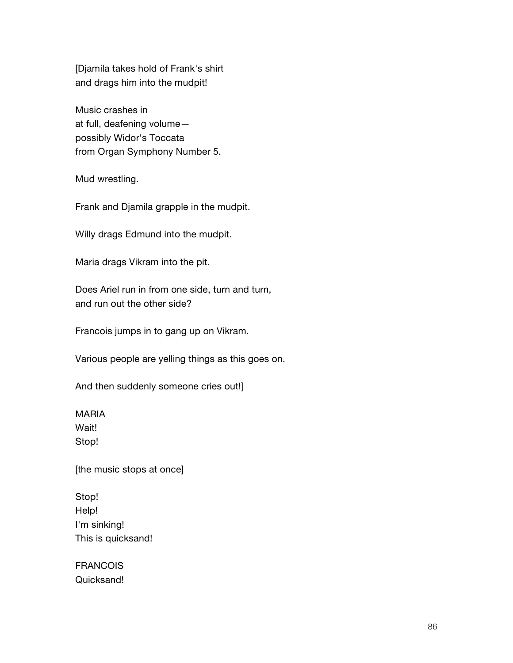[Djamila takes hold of Frank's shirt and drags him into the mudpit!

Music crashes in at full, deafening volume possibly Widor's Toccata from Organ Symphony Number 5.

Mud wrestling.

Frank and Djamila grapple in the mudpit.

Willy drags Edmund into the mudpit.

Maria drags Vikram into the pit.

Does Ariel run in from one side, turn and turn, and run out the other side?

Francois jumps in to gang up on Vikram.

Various people are yelling things as this goes on.

And then suddenly someone cries out!]

MARIA Wait! Stop!

[the music stops at once]

Stop! Help! I'm sinking! This is quicksand!

**FRANCOIS** Quicksand!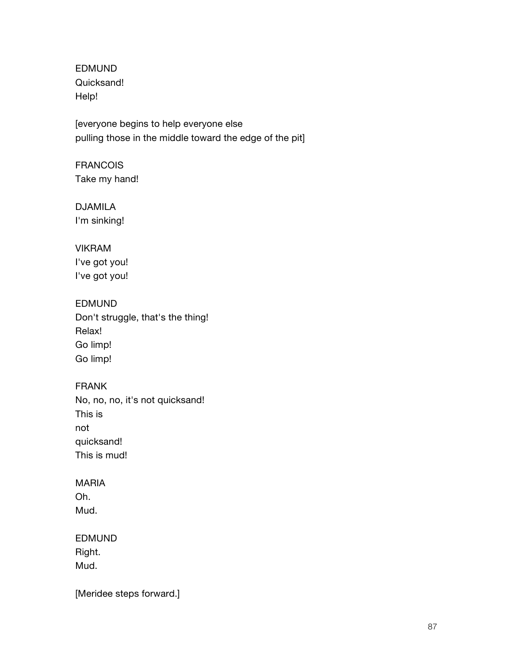EDMUND Quicksand! Help!

[everyone begins to help everyone else pulling those in the middle toward the edge of the pit]

**FRANCOIS** Take my hand!

DJAMILA I'm sinking!

# VIKRAM

I've got you! I've got you!

## EDMUND

Don't struggle, that's the thing! Relax! Go limp! Go limp!

## FRANK

No, no, no, it's not quicksand! This is not quicksand! This is mud!

## MARIA

Oh. Mud.

## EDMUND

Right. Mud.

[Meridee steps forward.]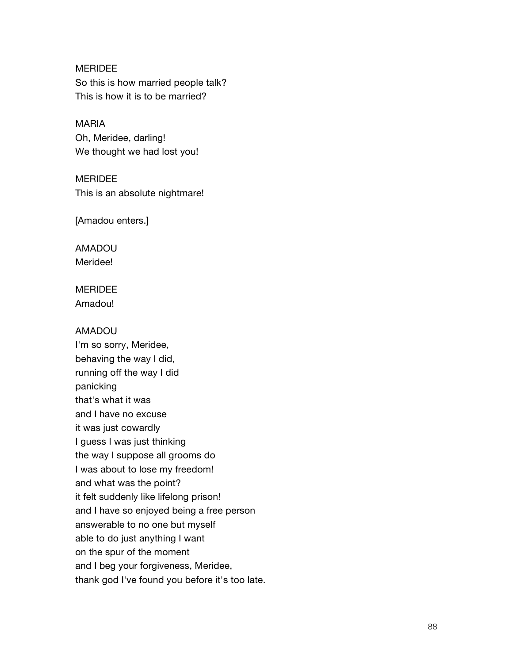MERIDEE So this is how married people talk? This is how it is to be married?

MARIA Oh, Meridee, darling! We thought we had lost you!

**MERIDEE** This is an absolute nightmare!

[Amadou enters.]

AMADOU Meridee!

MERIDEE Amadou!

#### AMADOU

I'm so sorry, Meridee, behaving the way I did, running off the way I did panicking that's what it was and I have no excuse it was just cowardly I guess I was just thinking the way I suppose all grooms do I was about to lose my freedom! and what was the point? it felt suddenly like lifelong prison! and I have so enjoyed being a free person answerable to no one but myself able to do just anything I want on the spur of the moment and I beg your forgiveness, Meridee, thank god I've found you before it's too late.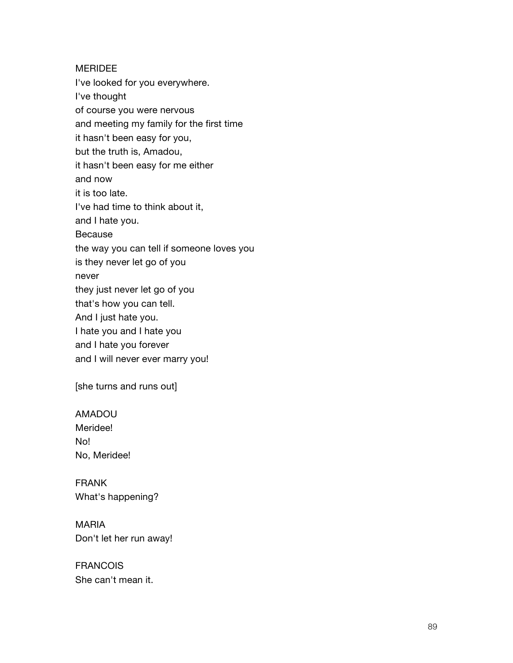MERIDEE I've looked for you everywhere. I've thought of course you were nervous and meeting my family for the first time it hasn't been easy for you, but the truth is, Amadou, it hasn't been easy for me either and now it is too late. I've had time to think about it, and I hate you. Because the way you can tell if someone loves you is they never let go of you never they just never let go of you that's how you can tell. And I just hate you. I hate you and I hate you and I hate you forever and I will never ever marry you!

[she turns and runs out]

AMADOU Meridee! No! No, Meridee!

FRANK What's happening?

MARIA Don't let her run away!

FRANCOIS She can't mean it.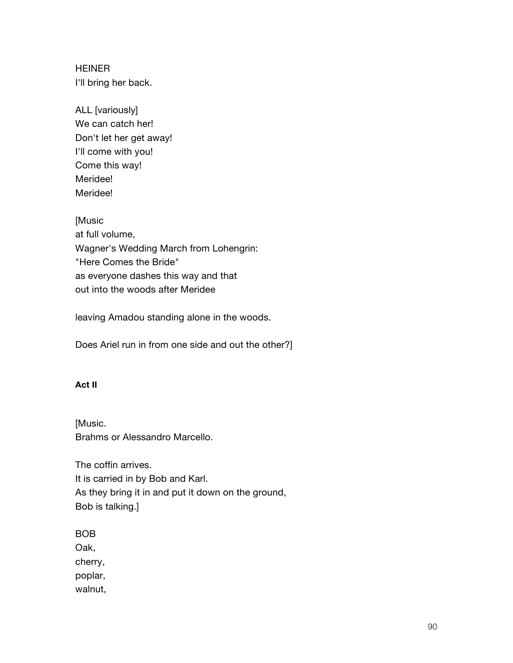HEINER I'll bring her back.

ALL [variously] We can catch her! Don't let her get away! I'll come with you! Come this way! Meridee! Meridee!

[Music at full volume, Wagner's Wedding March from Lohengrin: "Here Comes the Bride" as everyone dashes this way and that out into the woods after Meridee

leaving Amadou standing alone in the woods.

Does Ariel run in from one side and out the other?]

#### **Act II**

[Music. Brahms or Alessandro Marcello.

The coffin arrives. It is carried in by Bob and Karl. As they bring it in and put it down on the ground, Bob is talking.]

BOB

Oak,

cherry, poplar,

walnut,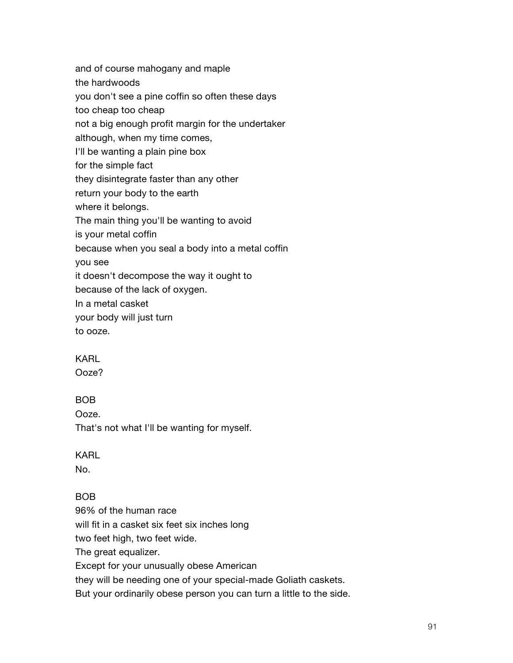and of course mahogany and maple the hardwoods you don't see a pine coffin so often these days too cheap too cheap not a big enough profit margin for the undertaker although, when my time comes, I'll be wanting a plain pine box for the simple fact they disintegrate faster than any other return your body to the earth where it belongs. The main thing you'll be wanting to avoid is your metal coffin because when you seal a body into a metal coffin you see it doesn't decompose the way it ought to because of the lack of oxygen. In a metal casket your body will just turn

to ooze.

## KARL

Ooze?

## BOB

Ooze.

That's not what I'll be wanting for myself.

#### KARL

No.

## BOB

96% of the human race

will fit in a casket six feet six inches long

two feet high, two feet wide.

The great equalizer.

Except for your unusually obese American

they will be needing one of your special-made Goliath caskets.

But your ordinarily obese person you can turn a little to the side.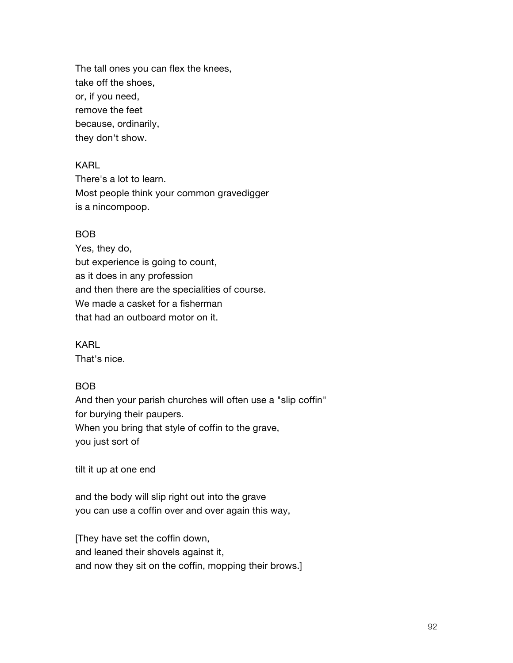The tall ones you can flex the knees, take off the shoes, or, if you need, remove the feet because, ordinarily, they don't show.

#### KARL

There's a lot to learn. Most people think your common gravedigger is a nincompoop.

#### BOB

Yes, they do, but experience is going to count, as it does in any profession and then there are the specialities of course. We made a casket for a fisherman that had an outboard motor on it.

KARL That's nice.

#### BOB

And then your parish churches will often use a "slip coffin" for burying their paupers. When you bring that style of coffin to the grave, you just sort of

tilt it up at one end

and the body will slip right out into the grave you can use a coffin over and over again this way,

[They have set the coffin down, and leaned their shovels against it, and now they sit on the coffin, mopping their brows.]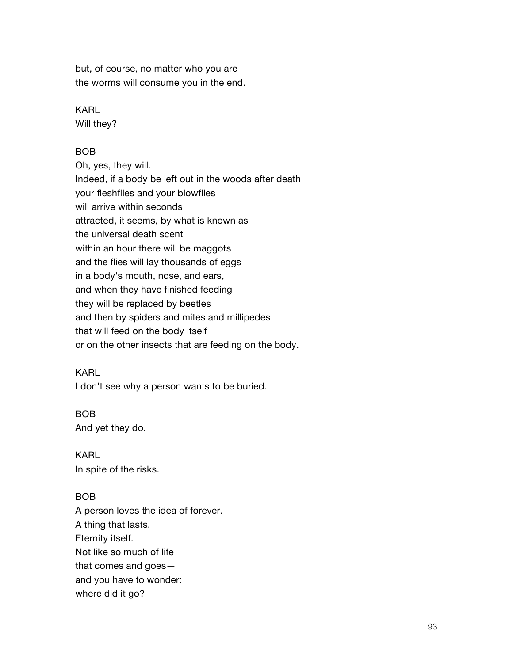but, of course, no matter who you are the worms will consume you in the end.

#### KARL

Will they?

## BOB

Oh, yes, they will. Indeed, if a body be left out in the woods after death your fleshflies and your blowflies will arrive within seconds attracted, it seems, by what is known as the universal death scent within an hour there will be maggots and the flies will lay thousands of eggs in a body's mouth, nose, and ears, and when they have finished feeding they will be replaced by beetles and then by spiders and mites and millipedes that will feed on the body itself or on the other insects that are feeding on the body.

#### KARL

I don't see why a person wants to be buried.

#### BOB

And yet they do.

KARL In spite of the risks.

#### BOB

A person loves the idea of forever. A thing that lasts. Eternity itself. Not like so much of life that comes and goes and you have to wonder: where did it go?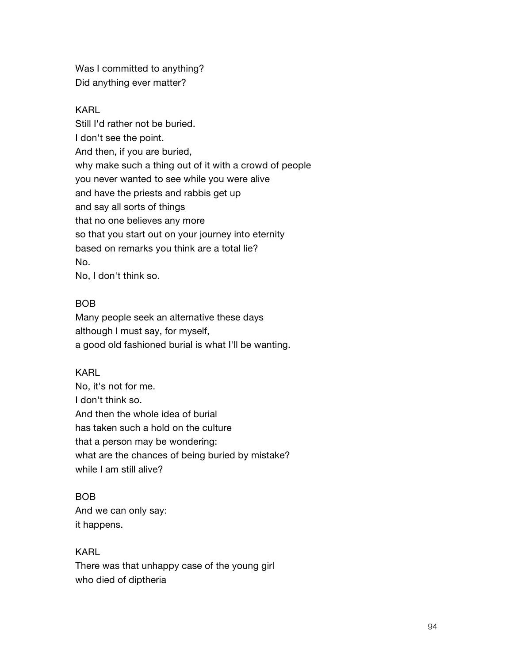Was I committed to anything? Did anything ever matter?

#### KARL

Still I'd rather not be buried. I don't see the point. And then, if you are buried, why make such a thing out of it with a crowd of people you never wanted to see while you were alive and have the priests and rabbis get up and say all sorts of things that no one believes any more so that you start out on your journey into eternity based on remarks you think are a total lie? No. No, I don't think so.

#### BOB

Many people seek an alternative these days although I must say, for myself, a good old fashioned burial is what I'll be wanting.

#### KARL

No, it's not for me. I don't think so. And then the whole idea of burial has taken such a hold on the culture that a person may be wondering: what are the chances of being buried by mistake? while I am still alive?

#### BOB

And we can only say: it happens.

#### KARL

There was that unhappy case of the young girl who died of diptheria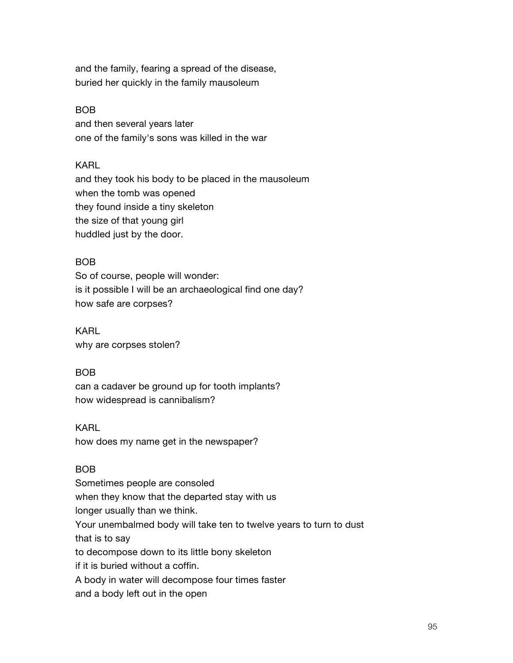and the family, fearing a spread of the disease, buried her quickly in the family mausoleum

#### BOB

and then several years later one of the family's sons was killed in the war

#### KARL

and they took his body to be placed in the mausoleum when the tomb was opened they found inside a tiny skeleton the size of that young girl huddled just by the door.

#### BOB

So of course, people will wonder: is it possible I will be an archaeological find one day? how safe are corpses?

KARL why are corpses stolen?

#### BOB

can a cadaver be ground up for tooth implants? how widespread is cannibalism?

#### KARL

how does my name get in the newspaper?

#### BOB

Sometimes people are consoled when they know that the departed stay with us longer usually than we think. Your unembalmed body will take ten to twelve years to turn to dust that is to say to decompose down to its little bony skeleton if it is buried without a coffin. A body in water will decompose four times faster and a body left out in the open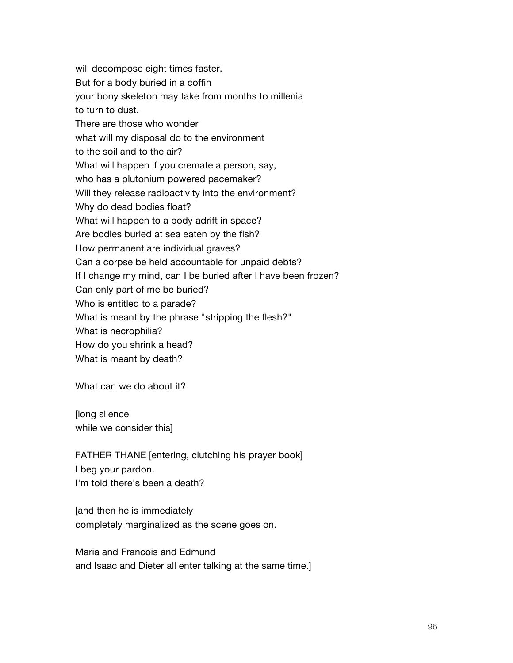will decompose eight times faster. But for a body buried in a coffin your bony skeleton may take from months to millenia to turn to dust. There are those who wonder what will my disposal do to the environment to the soil and to the air? What will happen if you cremate a person, say, who has a plutonium powered pacemaker? Will they release radioactivity into the environment? Why do dead bodies float? What will happen to a body adrift in space? Are bodies buried at sea eaten by the fish? How permanent are individual graves? Can a corpse be held accountable for unpaid debts? If I change my mind, can I be buried after I have been frozen? Can only part of me be buried? Who is entitled to a parade? What is meant by the phrase "stripping the flesh?" What is necrophilia? How do you shrink a head? What is meant by death?

What can we do about it?

[long silence while we consider this]

FATHER THANE [entering, clutching his prayer book] I beg your pardon. I'm told there's been a death?

[and then he is immediately completely marginalized as the scene goes on.

Maria and Francois and Edmund and Isaac and Dieter all enter talking at the same time.]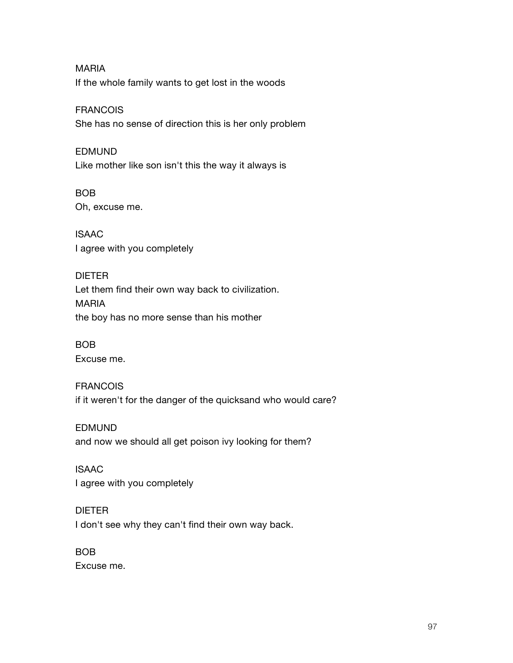MARIA If the whole family wants to get lost in the woods

#### FRANCOIS

She has no sense of direction this is her only problem

#### EDMUND

Like mother like son isn't this the way it always is

#### BOB

Oh, excuse me.

ISAAC I agree with you completely

#### DIETER

Let them find their own way back to civilization. MARIA the boy has no more sense than his mother

## BOB

Excuse me.

## FRANCOIS

if it weren't for the danger of the quicksand who would care?

## EDMUND

and now we should all get poison ivy looking for them?

## ISAAC

I agree with you completely

## DIETER

I don't see why they can't find their own way back.

## BOB

Excuse me.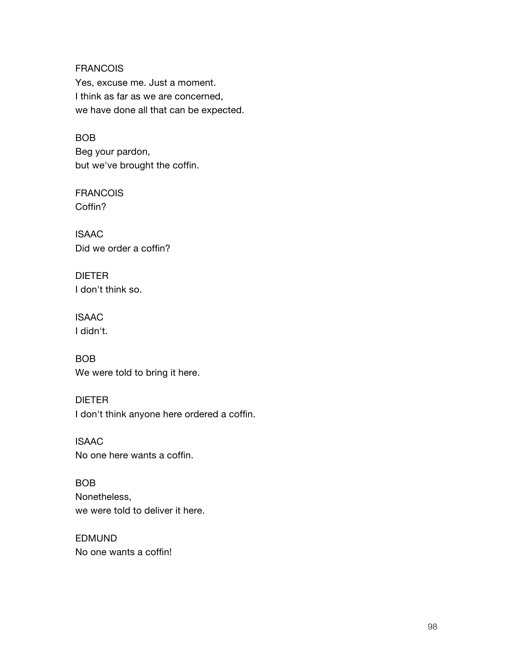#### **FRANCOIS**

Yes, excuse me. Just a moment. I think as far as we are concerned, we have done all that can be expected.

#### BOB

Beg your pardon, but we've brought the coffin.

FRANCOIS Coffin?

ISAAC Did we order a coffin?

DIETER I don't think so.

ISAAC I didn't.

BOB We were told to bring it here.

#### DIETER

I don't think anyone here ordered a coffin.

ISAAC No one here wants a coffin.

BOB Nonetheless, we were told to deliver it here.

EDMUND No one wants a coffin!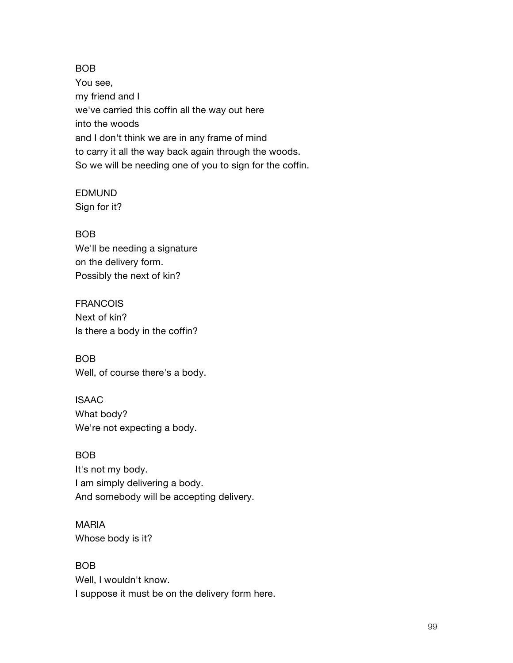#### BOB

You see, my friend and I we've carried this coffin all the way out here into the woods and I don't think we are in any frame of mind to carry it all the way back again through the woods. So we will be needing one of you to sign for the coffin.

## EDMUND

Sign for it?

## BOB

We'll be needing a signature on the delivery form. Possibly the next of kin?

FRANCOIS Next of kin? Is there a body in the coffin?

BOB Well, of course there's a body.

ISAAC What body? We're not expecting a body.

BOB It's not my body. I am simply delivering a body. And somebody will be accepting delivery.

## MARIA

Whose body is it?

BOB

Well, I wouldn't know. I suppose it must be on the delivery form here.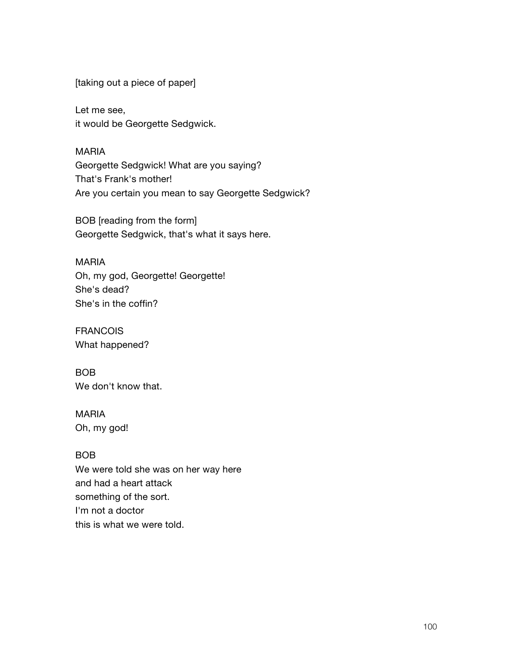[taking out a piece of paper]

Let me see, it would be Georgette Sedgwick.

MARIA

Georgette Sedgwick! What are you saying? That's Frank's mother! Are you certain you mean to say Georgette Sedgwick?

BOB [reading from the form] Georgette Sedgwick, that's what it says here.

#### MARIA

Oh, my god, Georgette! Georgette! She's dead? She's in the coffin?

FRANCOIS What happened?

BOB We don't know that.

# MARIA

Oh, my god!

## BOB

We were told she was on her way here and had a heart attack something of the sort. I'm not a doctor this is what we were told.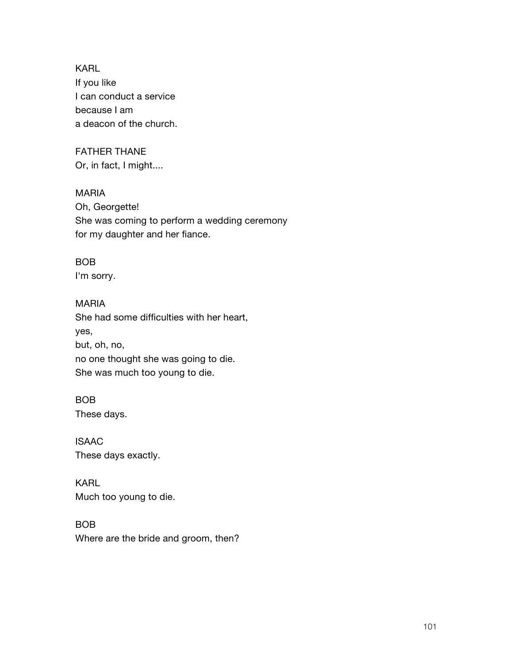KARL If you like I can conduct a service because I am a deacon of the church.

#### FATHER THANE Or, in fact, I might....

MARIA Oh, Georgette! She was coming to perform a wedding ceremony for my daughter and her fiance.

## BOB

I'm sorry.

## MARIA

She had some difficulties with her heart, yes, but, oh, no, no one thought she was going to die. She was much too young to die.

## BOB

These days.

ISAAC These days exactly.

## KARL Much too young to die.

## BOB

Where are the bride and groom, then?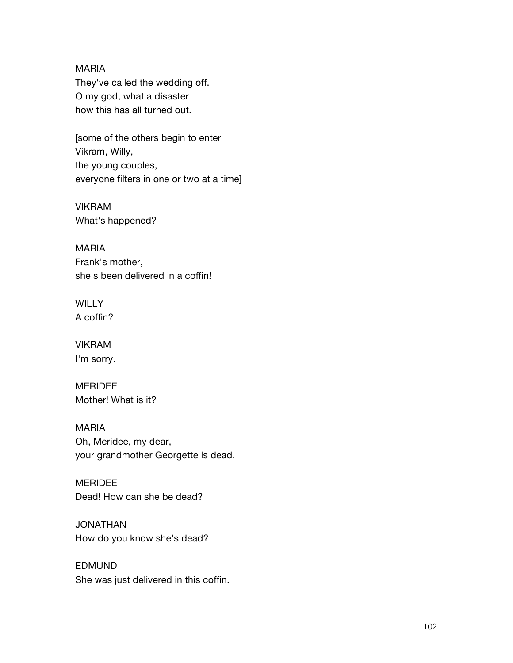#### MARIA

They've called the wedding off. O my god, what a disaster how this has all turned out.

[some of the others begin to enter Vikram, Willy, the young couples, everyone filters in one or two at a time]

VIKRAM What's happened?

MARIA Frank's mother, she's been delivered in a coffin!

**WILLY** A coffin?

VIKRAM I'm sorry.

MERIDEE Mother! What is it?

MARIA Oh, Meridee, my dear, your grandmother Georgette is dead.

MERIDEE Dead! How can she be dead?

JONATHAN How do you know she's dead?

EDMUND She was just delivered in this coffin.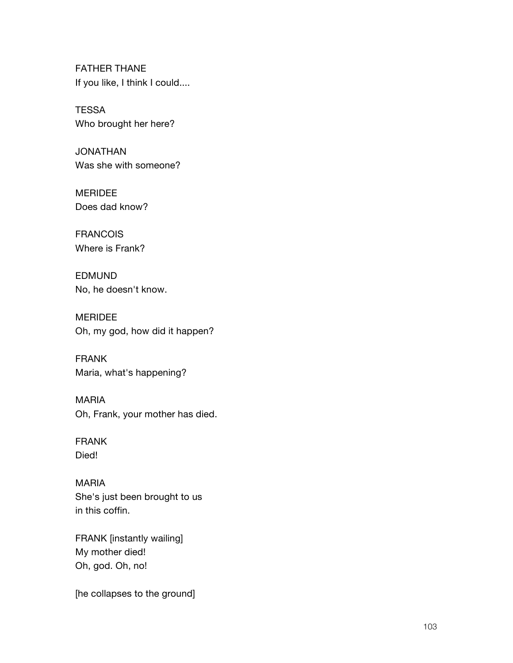FATHER THANE If you like, I think I could....

**TESSA** Who brought her here?

JONATHAN Was she with someone?

MERIDEE Does dad know?

FRANCOIS Where is Frank?

EDMUND No, he doesn't know.

MERIDEE Oh, my god, how did it happen?

FRANK Maria, what's happening?

MARIA Oh, Frank, your mother has died.

FRANK Died!

MARIA She's just been brought to us in this coffin.

FRANK [instantly wailing] My mother died! Oh, god. Oh, no!

[he collapses to the ground]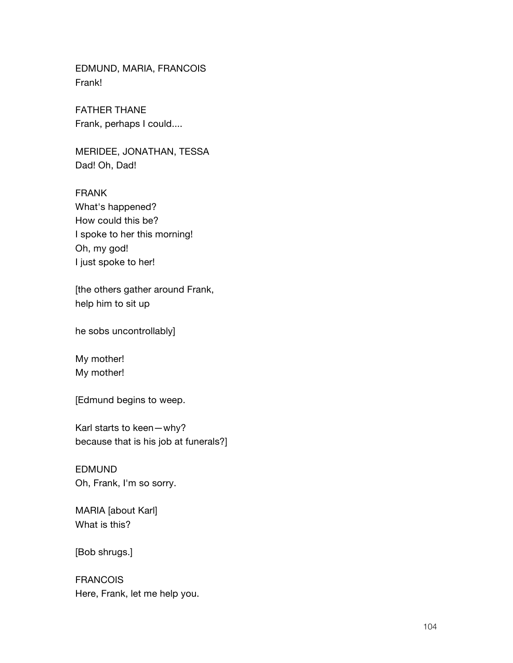EDMUND, MARIA, FRANCOIS Frank!

FATHER THANE Frank, perhaps I could....

MERIDEE, JONATHAN, TESSA Dad! Oh, Dad!

FRANK What's happened? How could this be? I spoke to her this morning! Oh, my god! I just spoke to her!

[the others gather around Frank, help him to sit up

he sobs uncontrollably]

My mother! My mother!

[Edmund begins to weep.

Karl starts to keen—why? because that is his job at funerals?]

EDMUND Oh, Frank, I'm so sorry.

MARIA [about Karl] What is this?

[Bob shrugs.]

FRANCOIS Here, Frank, let me help you.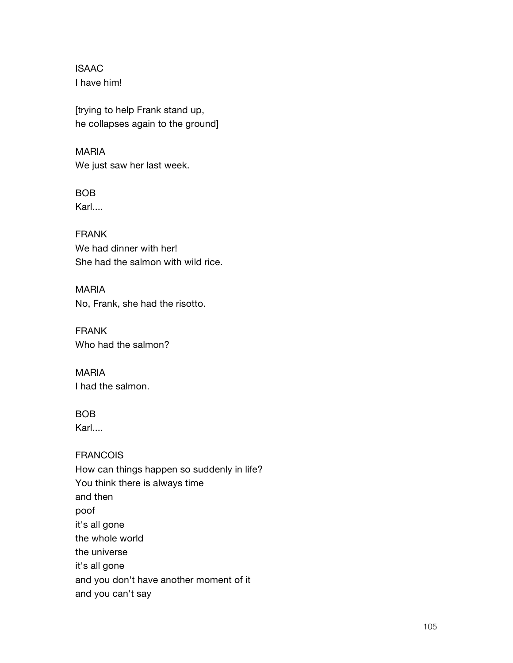ISAAC I have him!

[trying to help Frank stand up, he collapses again to the ground]

MARIA We just saw her last week.

BOB Karl....

FRANK We had dinner with her! She had the salmon with wild rice.

MARIA No, Frank, she had the risotto.

FRANK Who had the salmon?

MARIA I had the salmon.

## BOB

Karl....

FRANCOIS How can things happen so suddenly in life? You think there is always time and then poof it's all gone the whole world the universe it's all gone and you don't have another moment of it and you can't say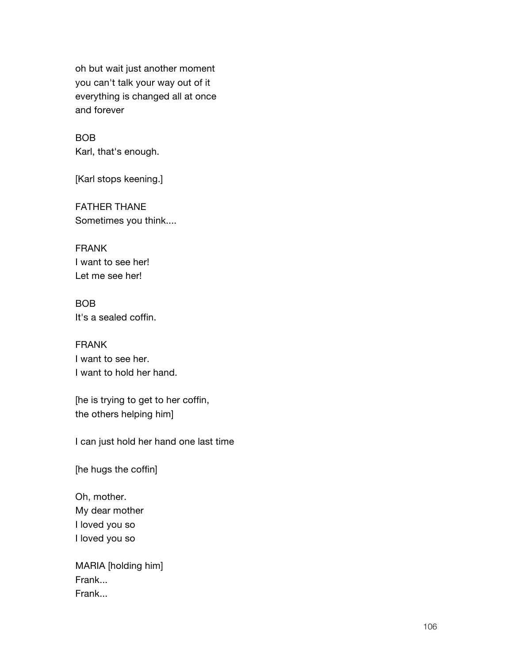oh but wait just another moment you can't talk your way out of it everything is changed all at once and forever

BOB Karl, that's enough.

[Karl stops keening.]

FATHER THANE Sometimes you think....

FRANK I want to see her! Let me see her!

BOB It's a sealed coffin.

FRANK I want to see her. I want to hold her hand.

[he is trying to get to her coffin, the others helping him]

I can just hold her hand one last time

[he hugs the coffin]

Oh, mother. My dear mother I loved you so I loved you so

MARIA [holding him] Frank... Frank...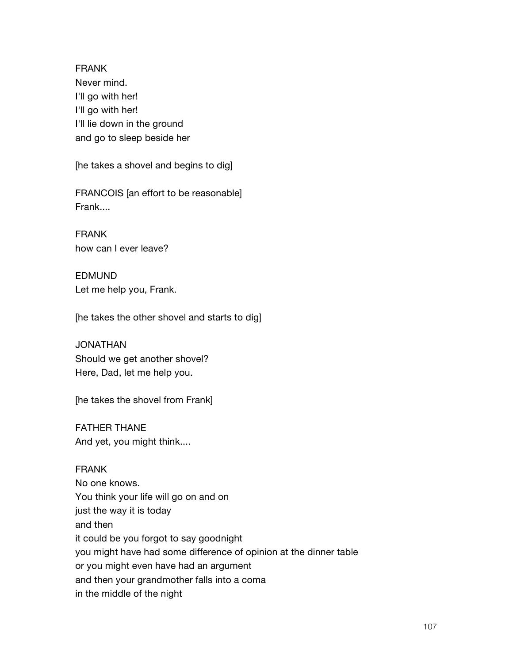FRANK Never mind. I'll go with her! I'll go with her! I'll lie down in the ground and go to sleep beside her

[he takes a shovel and begins to dig]

FRANCOIS [an effort to be reasonable] Frank....

FRANK how can I ever leave?

EDMUND Let me help you, Frank.

[he takes the other shovel and starts to dig]

JONATHAN Should we get another shovel? Here, Dad, let me help you.

[he takes the shovel from Frank]

FATHER THANE And yet, you might think....

#### FRANK

No one knows. You think your life will go on and on just the way it is today and then it could be you forgot to say goodnight you might have had some difference of opinion at the dinner table or you might even have had an argument and then your grandmother falls into a coma in the middle of the night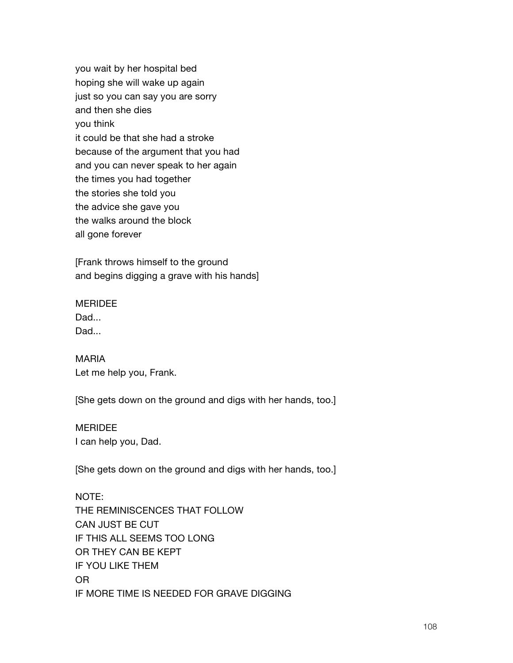you wait by her hospital bed hoping she will wake up again just so you can say you are sorry and then she dies you think it could be that she had a stroke because of the argument that you had and you can never speak to her again the times you had together the stories she told you the advice she gave you the walks around the block all gone forever

[Frank throws himself to the ground and begins digging a grave with his hands]

## **MERIDEE**

Dad... Dad...

MARIA Let me help you, Frank.

[She gets down on the ground and digs with her hands, too.]

#### MERIDEE

I can help you, Dad.

[She gets down on the ground and digs with her hands, too.]

NOTE: THE REMINISCENCES THAT FOLLOW CAN JUST BE CUT IF THIS ALL SEEMS TOO LONG OR THEY CAN BE KEPT IF YOU LIKE THEM OR IF MORE TIME IS NEEDED FOR GRAVE DIGGING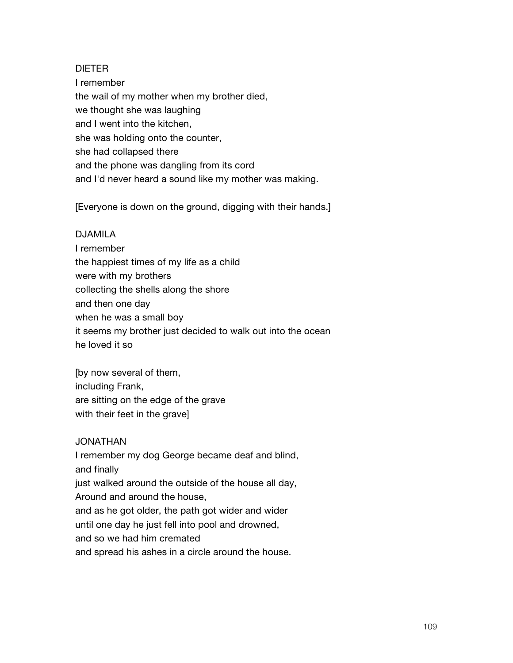### DIETER

I remember the wail of my mother when my brother died, we thought she was laughing and I went into the kitchen, she was holding onto the counter, she had collapsed there and the phone was dangling from its cord and I'd never heard a sound like my mother was making.

[Everyone is down on the ground, digging with their hands.]

#### DJAMILA

I remember the happiest times of my life as a child were with my brothers collecting the shells along the shore and then one day when he was a small boy it seems my brother just decided to walk out into the ocean he loved it so

[by now several of them, including Frank, are sitting on the edge of the grave with their feet in the grave]

### JONATHAN

I remember my dog George became deaf and blind, and finally just walked around the outside of the house all day, Around and around the house, and as he got older, the path got wider and wider until one day he just fell into pool and drowned,

and so we had him cremated

and spread his ashes in a circle around the house.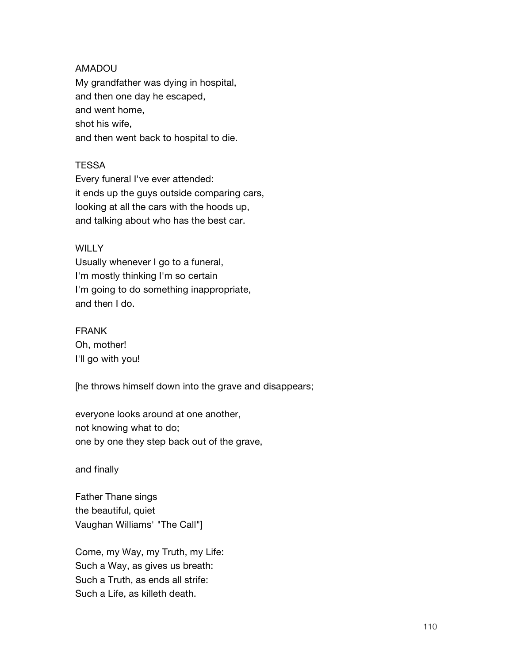## AMADOU

My grandfather was dying in hospital, and then one day he escaped, and went home, shot his wife, and then went back to hospital to die.

### **TESSA**

Every funeral I've ever attended: it ends up the guys outside comparing cars, looking at all the cars with the hoods up, and talking about who has the best car.

### **WILLY**

Usually whenever I go to a funeral, I'm mostly thinking I'm so certain I'm going to do something inappropriate, and then I do.

## FRANK

Oh, mother! I'll go with you!

[he throws himself down into the grave and disappears;

everyone looks around at one another, not knowing what to do; one by one they step back out of the grave,

and finally

Father Thane sings the beautiful, quiet Vaughan Williams' "The Call"]

Come, my Way, my Truth, my Life: Such a Way, as gives us breath: Such a Truth, as ends all strife: Such a Life, as killeth death.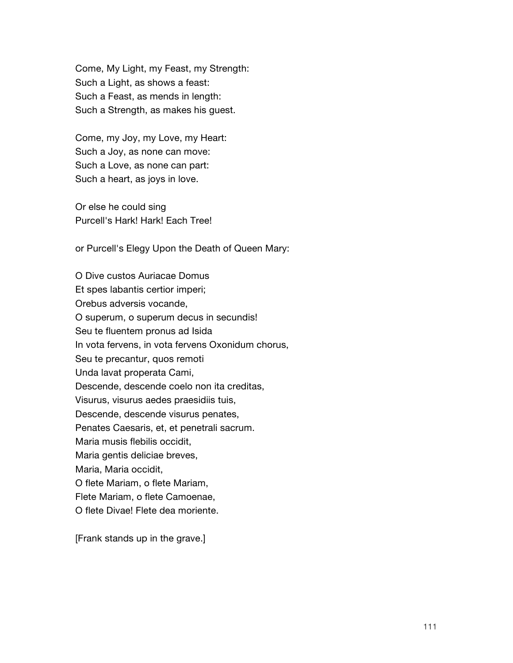Come, My Light, my Feast, my Strength: Such a Light, as shows a feast: Such a Feast, as mends in length: Such a Strength, as makes his guest.

Come, my Joy, my Love, my Heart: Such a Joy, as none can move: Such a Love, as none can part: Such a heart, as joys in love.

Or else he could sing Purcell's Hark! Hark! Each Tree!

or Purcell's Elegy Upon the Death of Queen Mary:

O Dive custos Auriacae Domus Et spes labantis certior imperi; Orebus adversis vocande, O superum, o superum decus in secundis! Seu te fluentem pronus ad Isida In vota fervens, in vota fervens Oxonidum chorus, Seu te precantur, quos remoti Unda lavat properata Cami, Descende, descende coelo non ita creditas, Visurus, visurus aedes praesidiis tuis, Descende, descende visurus penates, Penates Caesaris, et, et penetrali sacrum. Maria musis flebilis occidit, Maria gentis deliciae breves, Maria, Maria occidit, O flete Mariam, o flete Mariam, Flete Mariam, o flete Camoenae, O flete Divae! Flete dea moriente.

[Frank stands up in the grave.]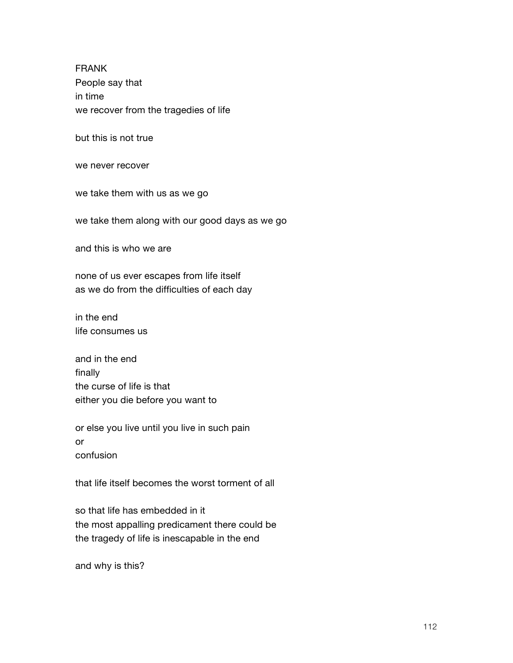FRANK People say that in time we recover from the tragedies of life

but this is not true

we never recover

we take them with us as we go

we take them along with our good days as we go

and this is who we are

none of us ever escapes from life itself as we do from the difficulties of each day

in the end life consumes us

and in the end finally the curse of life is that either you die before you want to

or else you live until you live in such pain or confusion

that life itself becomes the worst torment of all

so that life has embedded in it the most appalling predicament there could be the tragedy of life is inescapable in the end

and why is this?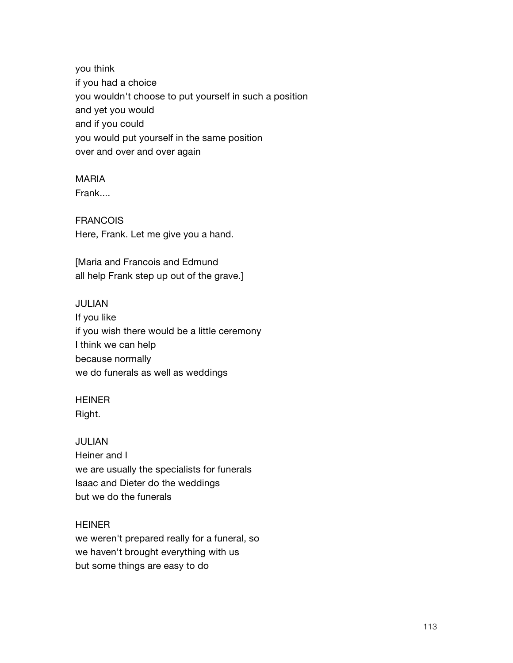you think if you had a choice you wouldn't choose to put yourself in such a position and yet you would and if you could you would put yourself in the same position over and over and over again

### MARIA

Frank....

### FRANCOIS

Here, Frank. Let me give you a hand.

[Maria and Francois and Edmund all help Frank step up out of the grave.]

### JULIAN

If you like if you wish there would be a little ceremony I think we can help because normally we do funerals as well as weddings

# HEINER

Right.

### JULIAN

Heiner and I we are usually the specialists for funerals Isaac and Dieter do the weddings but we do the funerals

### **HEINER**

we weren't prepared really for a funeral, so we haven't brought everything with us but some things are easy to do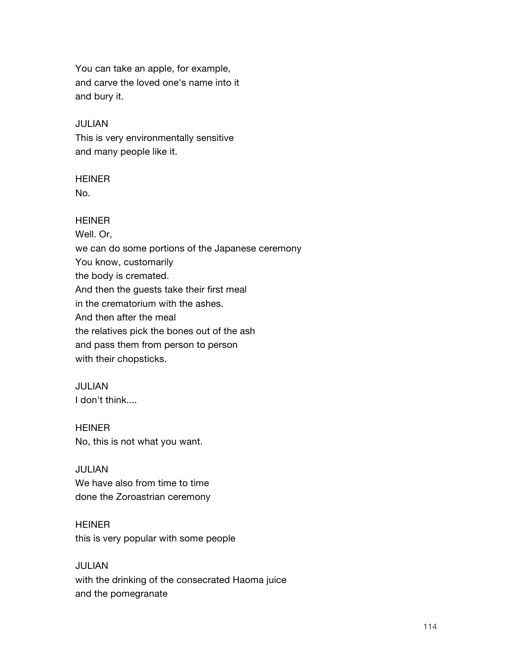You can take an apple, for example, and carve the loved one's name into it and bury it.

### JULIAN

This is very environmentally sensitive and many people like it.

# **HEINER**

No.

### **HEINER**

Well. Or, we can do some portions of the Japanese ceremony You know, customarily the body is cremated. And then the guests take their first meal in the crematorium with the ashes. And then after the meal the relatives pick the bones out of the ash and pass them from person to person with their chopsticks.

### JULIAN

I don't think....

# HEINER No, this is not what you want.

# JULIAN We have also from time to time done the Zoroastrian ceremony

### **HEINER**

this is very popular with some people

# JULIAN

with the drinking of the consecrated Haoma juice and the pomegranate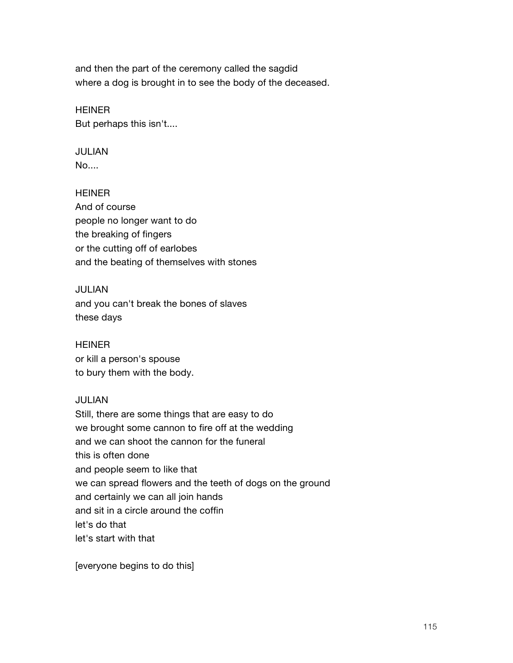and then the part of the ceremony called the sagdid where a dog is brought in to see the body of the deceased.

# **HEINER** But perhaps this isn't....

# JULIAN

No....

# **HEINER**

And of course people no longer want to do the breaking of fingers or the cutting off of earlobes and the beating of themselves with stones

# JULIAN

and you can't break the bones of slaves these days

# **HEINER**

or kill a person's spouse to bury them with the body.

# JULIAN

Still, there are some things that are easy to do we brought some cannon to fire off at the wedding and we can shoot the cannon for the funeral this is often done and people seem to like that we can spread flowers and the teeth of dogs on the ground and certainly we can all join hands and sit in a circle around the coffin let's do that let's start with that

[everyone begins to do this]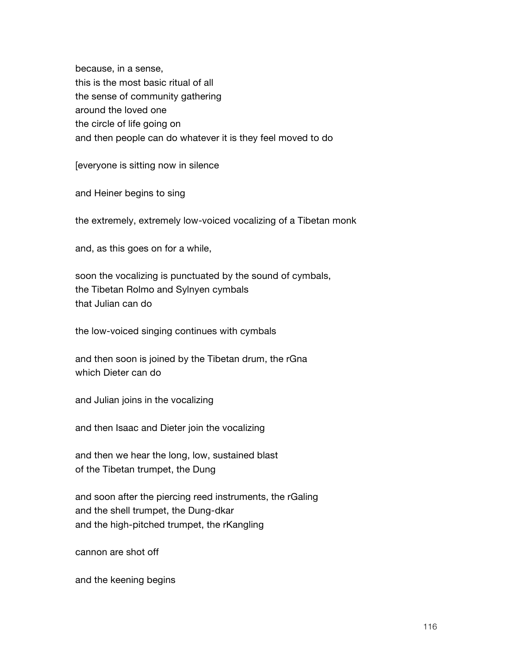because, in a sense, this is the most basic ritual of all the sense of community gathering around the loved one the circle of life going on and then people can do whatever it is they feel moved to do

[everyone is sitting now in silence

and Heiner begins to sing

the extremely, extremely low-voiced vocalizing of a Tibetan monk

and, as this goes on for a while,

soon the vocalizing is punctuated by the sound of cymbals, the Tibetan Rolmo and Sylnyen cymbals that Julian can do

the low-voiced singing continues with cymbals

and then soon is joined by the Tibetan drum, the rGna which Dieter can do

and Julian joins in the vocalizing

and then Isaac and Dieter join the vocalizing

and then we hear the long, low, sustained blast of the Tibetan trumpet, the Dung

and soon after the piercing reed instruments, the rGaling and the shell trumpet, the Dung-dkar and the high-pitched trumpet, the rKangling

cannon are shot off

and the keening begins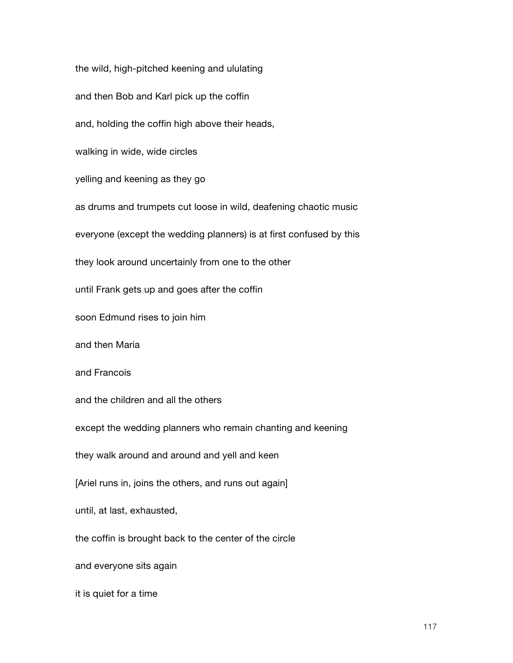the wild, high-pitched keening and ululating and then Bob and Karl pick up the coffin and, holding the coffin high above their heads, walking in wide, wide circles yelling and keening as they go as drums and trumpets cut loose in wild, deafening chaotic music everyone (except the wedding planners) is at first confused by this they look around uncertainly from one to the other until Frank gets up and goes after the coffin soon Edmund rises to join him and then Maria and Francois and the children and all the others except the wedding planners who remain chanting and keening they walk around and around and yell and keen [Ariel runs in, joins the others, and runs out again] until, at last, exhausted, the coffin is brought back to the center of the circle and everyone sits again it is quiet for a time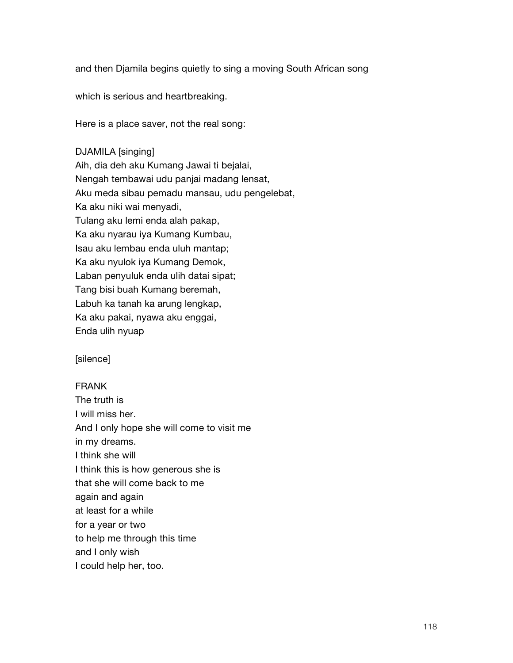and then Djamila begins quietly to sing a moving South African song

which is serious and heartbreaking.

Here is a place saver, not the real song:

DJAMILA [singing] Aih, dia deh aku Kumang Jawai ti bejalai, Nengah tembawai udu panjai madang lensat, Aku meda sibau pemadu mansau, udu pengelebat, Ka aku niki wai menyadi, Tulang aku lemi enda alah pakap, Ka aku nyarau iya Kumang Kumbau, Isau aku lembau enda uluh mantap; Ka aku nyulok iya Kumang Demok, Laban penyuluk enda ulih datai sipat; Tang bisi buah Kumang beremah, Labuh ka tanah ka arung lengkap, Ka aku pakai, nyawa aku enggai, Enda ulih nyuap

[silence]

### FRANK

The truth is I will miss her. And I only hope she will come to visit me in my dreams. I think she will I think this is how generous she is that she will come back to me again and again at least for a while for a year or two to help me through this time and I only wish I could help her, too.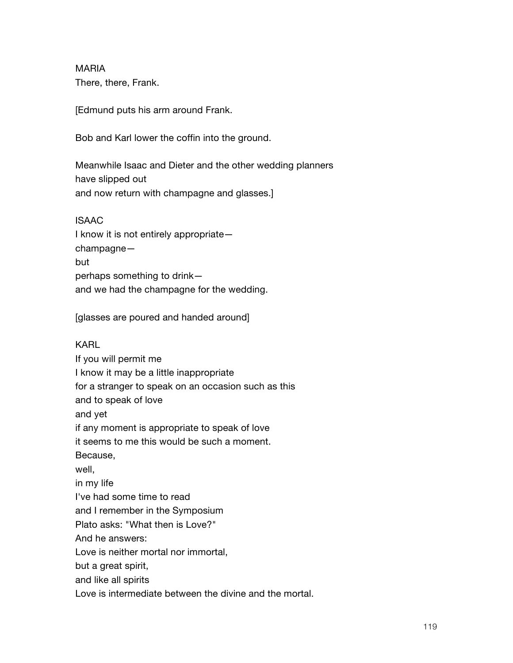MARIA There, there, Frank.

[Edmund puts his arm around Frank.

Bob and Karl lower the coffin into the ground.

Meanwhile Isaac and Dieter and the other wedding planners have slipped out and now return with champagne and glasses.]

ISAAC I know it is not entirely appropriate champagne but perhaps something to drink and we had the champagne for the wedding.

[glasses are poured and handed around]

KARL

If you will permit me I know it may be a little inappropriate for a stranger to speak on an occasion such as this and to speak of love and yet if any moment is appropriate to speak of love it seems to me this would be such a moment. Because, well, in my life I've had some time to read and I remember in the Symposium Plato asks: "What then is Love?" And he answers: Love is neither mortal nor immortal, but a great spirit, and like all spirits Love is intermediate between the divine and the mortal.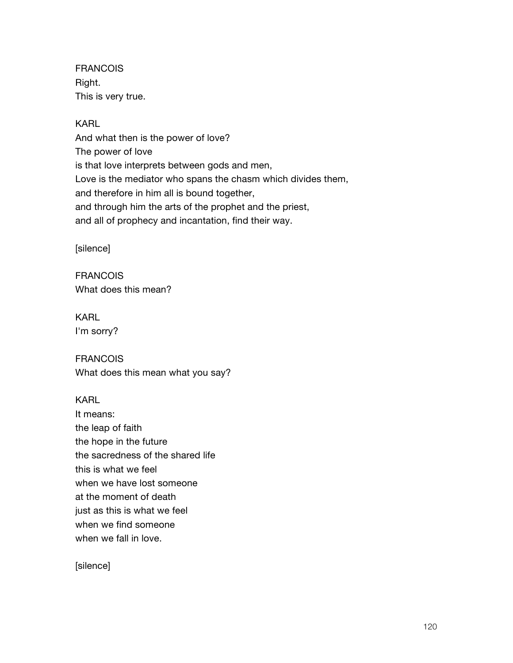FRANCOIS Right. This is very true.

KARL And what then is the power of love? The power of love is that love interprets between gods and men, Love is the mediator who spans the chasm which divides them, and therefore in him all is bound together, and through him the arts of the prophet and the priest, and all of prophecy and incantation, find their way.

[silence]

**FRANCOIS** What does this mean?

KARL I'm sorry?

FRANCOIS What does this mean what you say?

KARL It means: the leap of faith the hope in the future the sacredness of the shared life this is what we feel when we have lost someone at the moment of death just as this is what we feel when we find someone when we fall in love.

[silence]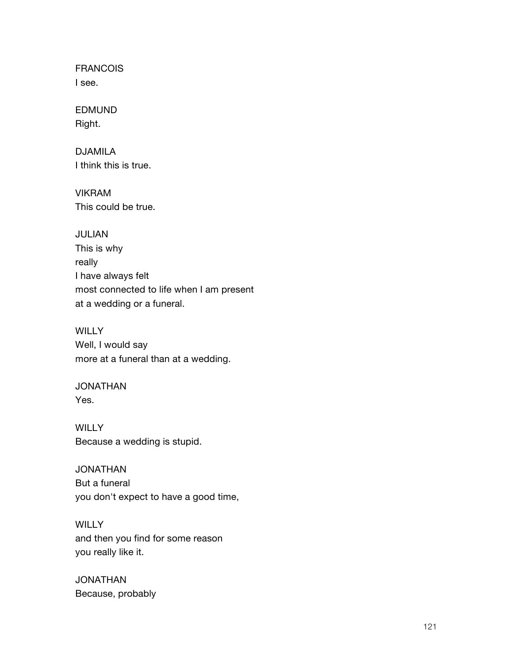FRANCOIS I see.

EDMUND Right.

DJAMILA I think this is true.

VIKRAM This could be true.

JULIAN This is why really I have always felt most connected to life when I am present at a wedding or a funeral.

**WILLY** Well, I would say more at a funeral than at a wedding.

JONATHAN Yes.

**WILLY** Because a wedding is stupid.

JONATHAN But a funeral you don't expect to have a good time,

**WILLY** and then you find for some reason you really like it.

JONATHAN Because, probably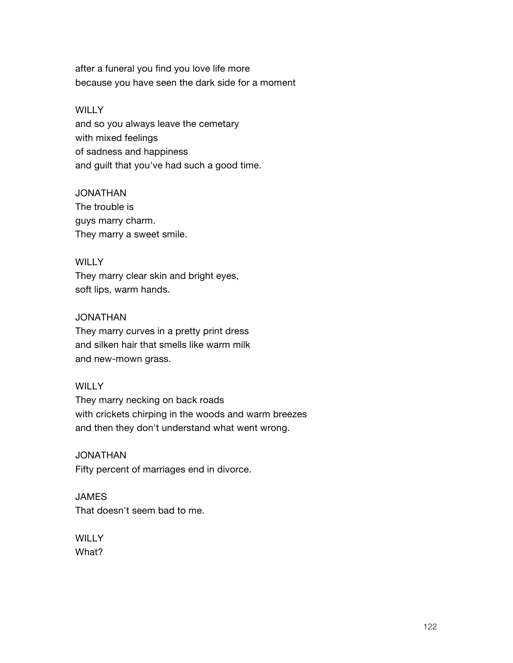after a funeral you find you love life more because you have seen the dark side for a moment

### **WILLY**

and so you always leave the cemetary with mixed feelings of sadness and happiness and guilt that you've had such a good time.

### JONATHAN

The trouble is guys marry charm. They marry a sweet smile.

# **WILLY**

They marry clear skin and bright eyes, soft lips, warm hands.

# JONATHAN

They marry curves in a pretty print dress and silken hair that smells like warm milk and new-mown grass.

# **WILLY**

They marry necking on back roads with crickets chirping in the woods and warm breezes and then they don't understand what went wrong.

JONATHAN Fifty percent of marriages end in divorce.

**JAMES** That doesn't seem bad to me.

**WILLY** What?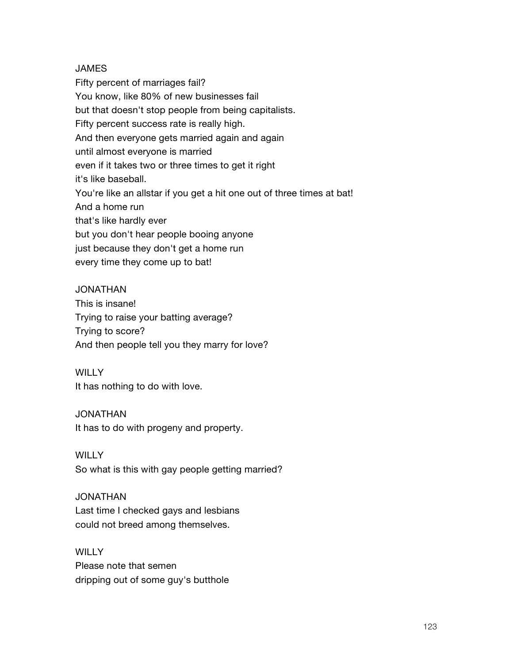# JAMES

Fifty percent of marriages fail? You know, like 80% of new businesses fail but that doesn't stop people from being capitalists. Fifty percent success rate is really high. And then everyone gets married again and again until almost everyone is married even if it takes two or three times to get it right it's like baseball. You're like an allstar if you get a hit one out of three times at bat! And a home run that's like hardly ever but you don't hear people booing anyone just because they don't get a home run every time they come up to bat!

# JONATHAN

This is insane! Trying to raise your batting average? Trying to score? And then people tell you they marry for love?

### **WILLY**

It has nothing to do with love.

### JONATHAN

It has to do with progeny and property.

# **WILLY**

So what is this with gay people getting married?

# JONATHAN

Last time I checked gays and lesbians could not breed among themselves.

### WILLY

Please note that semen dripping out of some guy's butthole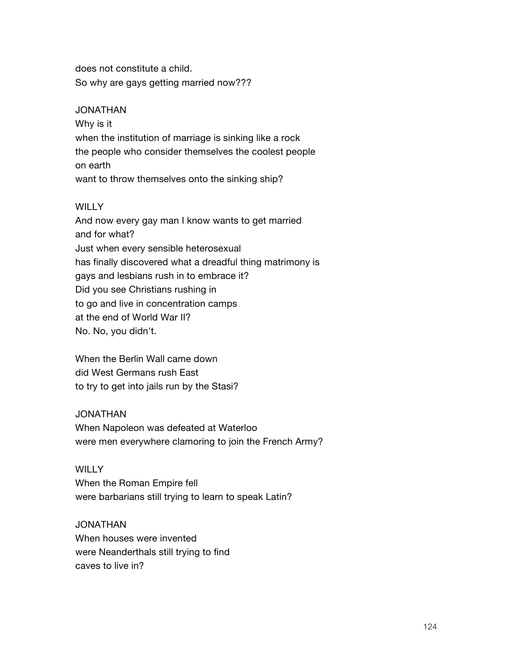does not constitute a child. So why are gays getting married now???

### JONATHAN

Why is it when the institution of marriage is sinking like a rock the people who consider themselves the coolest people on earth want to throw themselves onto the sinking ship?

# **WILLY**

And now every gay man I know wants to get married and for what? Just when every sensible heterosexual has finally discovered what a dreadful thing matrimony is gays and lesbians rush in to embrace it? Did you see Christians rushing in to go and live in concentration camps at the end of World War II? No. No, you didn't.

When the Berlin Wall came down did West Germans rush East to try to get into jails run by the Stasi?

# JONATHAN

When Napoleon was defeated at Waterloo were men everywhere clamoring to join the French Army?

### **WILLY**

When the Roman Empire fell were barbarians still trying to learn to speak Latin?

JONATHAN When houses were invented were Neanderthals still trying to find caves to live in?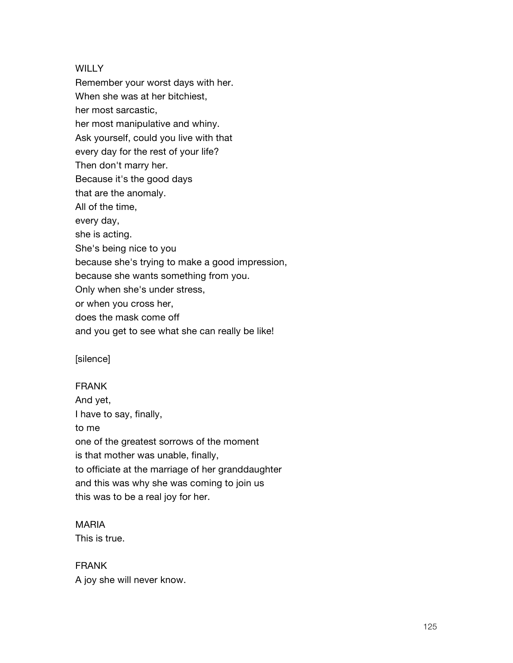### **WILLY**

Remember your worst days with her. When she was at her bitchiest, her most sarcastic, her most manipulative and whiny. Ask yourself, could you live with that every day for the rest of your life? Then don't marry her. Because it's the good days that are the anomaly. All of the time, every day, she is acting. She's being nice to you because she's trying to make a good impression, because she wants something from you. Only when she's under stress, or when you cross her, does the mask come off and you get to see what she can really be like!

[silence]

### FRANK

And yet, I have to say, finally, to me one of the greatest sorrows of the moment is that mother was unable, finally, to officiate at the marriage of her granddaughter and this was why she was coming to join us this was to be a real joy for her.

## MARIA

This is true.

# FRANK

A joy she will never know.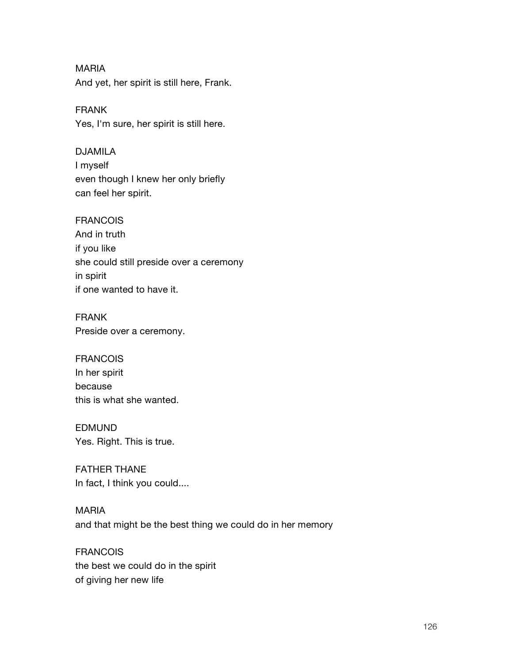MARIA And yet, her spirit is still here, Frank.

FRANK Yes, I'm sure, her spirit is still here.

DJAMILA I myself even though I knew her only briefly can feel her spirit.

# FRANCOIS And in truth if you like she could still preside over a ceremony in spirit if one wanted to have it.

FRANK Preside over a ceremony.

FRANCOIS In her spirit because this is what she wanted.

EDMUND Yes. Right. This is true.

FATHER THANE In fact, I think you could....

MARIA and that might be the best thing we could do in her memory

FRANCOIS the best we could do in the spirit of giving her new life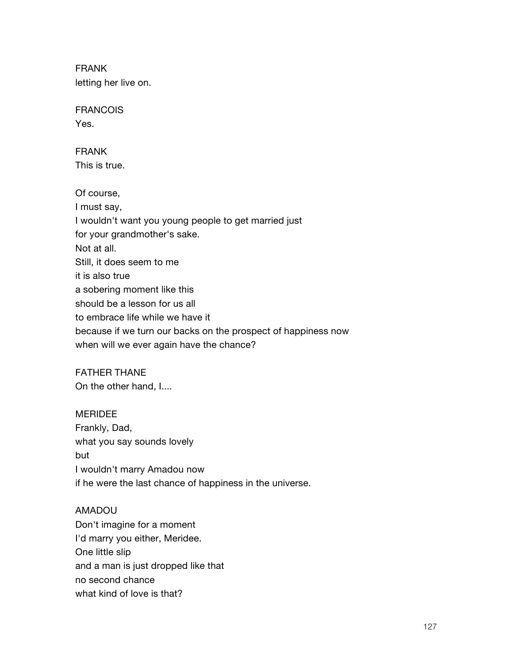FRANK letting her live on.

FRANCOIS

Yes.

FRANK This is true.

Of course, I must say, I wouldn't want you young people to get married just for your grandmother's sake. Not at all. Still, it does seem to me it is also true a sobering moment like this should be a lesson for us all to embrace life while we have it because if we turn our backs on the prospect of happiness now when will we ever again have the chance?

FATHER THANE On the other hand, I....

# MERIDEE Frankly, Dad, what you say sounds lovely but I wouldn't marry Amadou now

if he were the last chance of happiness in the universe.

# AMADOU

Don't imagine for a moment I'd marry you either, Meridee. One little slip and a man is just dropped like that no second chance what kind of love is that?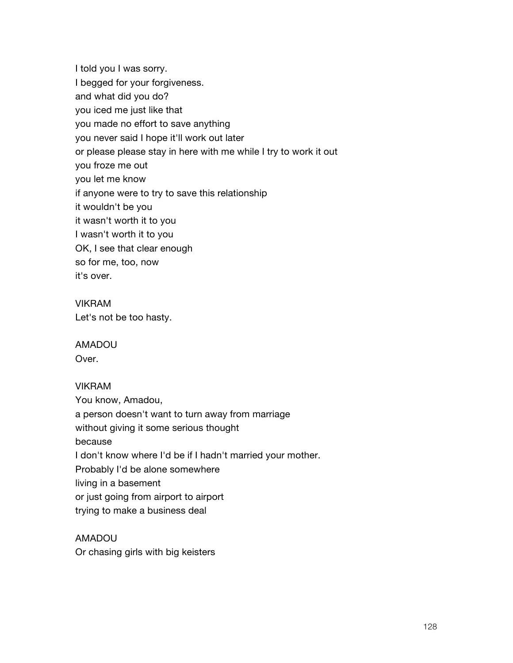I told you I was sorry. I begged for your forgiveness. and what did you do? you iced me just like that you made no effort to save anything you never said I hope it'll work out later or please please stay in here with me while I try to work it out you froze me out you let me know if anyone were to try to save this relationship it wouldn't be you it wasn't worth it to you I wasn't worth it to you OK, I see that clear enough so for me, too, now it's over.

# VIKRAM Let's not be too hasty.

# AMADOU

Over.

# VIKRAM

You know, Amadou, a person doesn't want to turn away from marriage without giving it some serious thought because I don't know where I'd be if I hadn't married your mother. Probably I'd be alone somewhere living in a basement or just going from airport to airport trying to make a business deal

AMADOU Or chasing girls with big keisters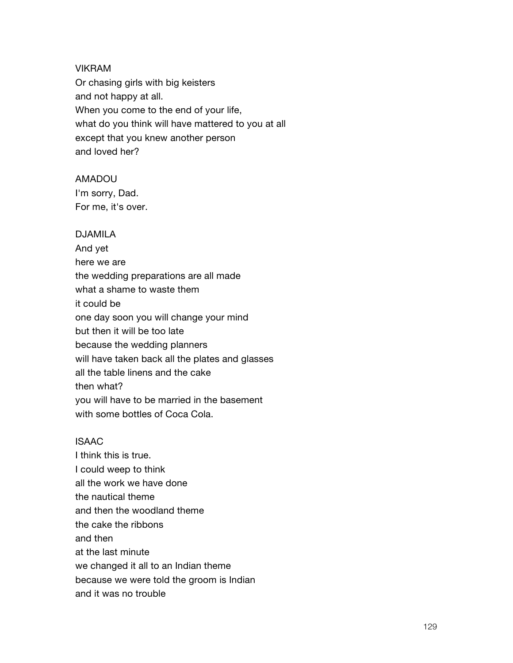#### VIKRAM

Or chasing girls with big keisters and not happy at all. When you come to the end of your life, what do you think will have mattered to you at all except that you knew another person and loved her?

#### AMADOU

I'm sorry, Dad. For me, it's over.

### DJAMILA

And yet here we are the wedding preparations are all made what a shame to waste them it could be one day soon you will change your mind but then it will be too late because the wedding planners will have taken back all the plates and glasses all the table linens and the cake then what? you will have to be married in the basement with some bottles of Coca Cola.

### ISAAC

I think this is true. I could weep to think all the work we have done the nautical theme and then the woodland theme the cake the ribbons and then at the last minute we changed it all to an Indian theme because we were told the groom is Indian and it was no trouble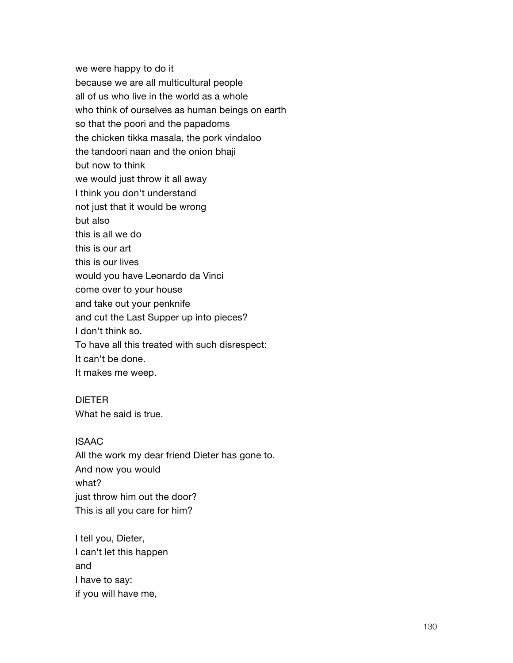we were happy to do it because we are all multicultural people all of us who live in the world as a whole who think of ourselves as human beings on earth so that the poori and the papadoms the chicken tikka masala, the pork vindaloo the tandoori naan and the onion bhaji but now to think we would just throw it all away I think you don't understand not just that it would be wrong but also this is all we do this is our art this is our lives would you have Leonardo da Vinci come over to your house and take out your penknife and cut the Last Supper up into pieces? I don't think so. To have all this treated with such disrespect: It can't be done. It makes me weep.

# DIETER

What he said is true.

### ISAAC

All the work my dear friend Dieter has gone to. And now you would what? just throw him out the door? This is all you care for him?

I tell you, Dieter, I can't let this happen and I have to say: if you will have me,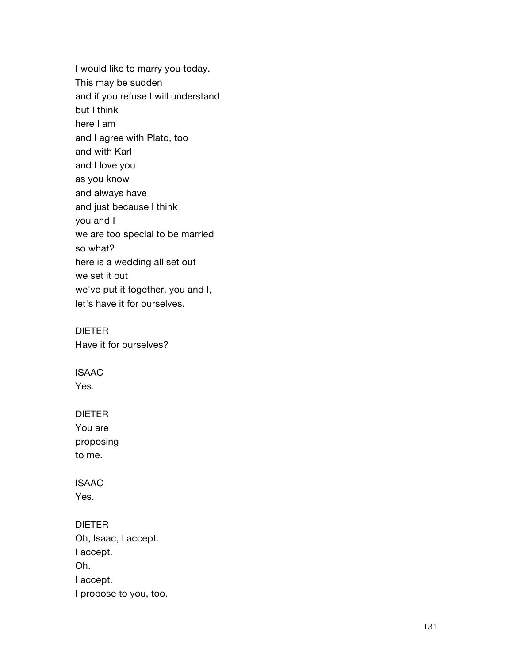I would like to marry you today. This may be sudden and if you refuse I will understand but I think here I am and I agree with Plato, too and with Karl and I love you as you know and always have and just because I think you and I we are too special to be married so what? here is a wedding all set out we set it out we've put it together, you and I, let's have it for ourselves.

DIETER Have it for ourselves?

ISAAC Yes.

# DIETER

You are proposing to me.

ISAAC Yes.

# DIETER

Oh, Isaac, I accept. I accept. Oh. I accept. I propose to you, too.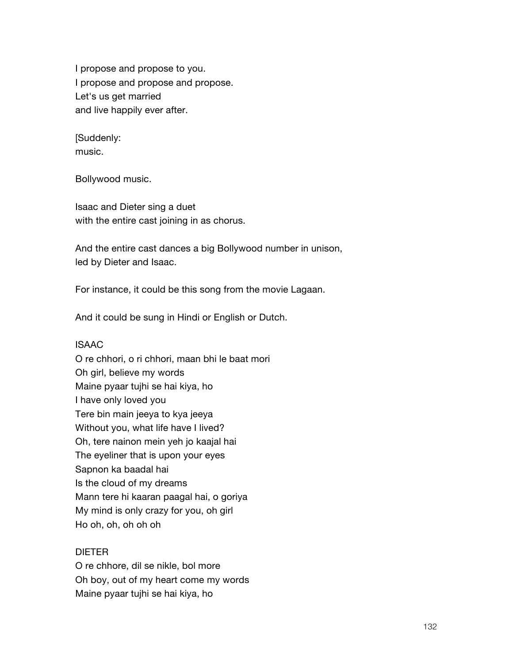I propose and propose to you. I propose and propose and propose. Let's us get married and live happily ever after.

[Suddenly: music.

Bollywood music.

Isaac and Dieter sing a duet with the entire cast joining in as chorus.

And the entire cast dances a big Bollywood number in unison, led by Dieter and Isaac.

For instance, it could be this song from the movie Lagaan.

And it could be sung in Hindi or English or Dutch.

# ISAAC

O re chhori, o ri chhori, maan bhi le baat mori Oh girl, believe my words Maine pyaar tujhi se hai kiya, ho I have only loved you Tere bin main jeeya to kya jeeya Without you, what life have I lived? Oh, tere nainon mein yeh jo kaajal hai The eyeliner that is upon your eyes Sapnon ka baadal hai Is the cloud of my dreams Mann tere hi kaaran paagal hai, o goriya My mind is only crazy for you, oh girl Ho oh, oh, oh oh oh

# DIETER

O re chhore, dil se nikle, bol more Oh boy, out of my heart come my words Maine pyaar tujhi se hai kiya, ho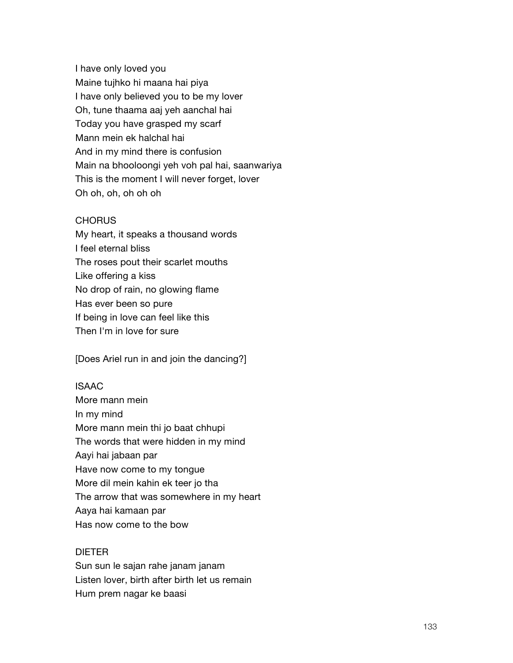I have only loved you Maine tujhko hi maana hai piya I have only believed you to be my lover Oh, tune thaama aaj yeh aanchal hai Today you have grasped my scarf Mann mein ek halchal hai And in my mind there is confusion Main na bhooloongi yeh voh pal hai, saanwariya This is the moment I will never forget, lover Oh oh, oh, oh oh oh

#### **CHORUS**

My heart, it speaks a thousand words I feel eternal bliss The roses pout their scarlet mouths Like offering a kiss No drop of rain, no glowing flame Has ever been so pure If being in love can feel like this Then I'm in love for sure

[Does Ariel run in and join the dancing?]

### ISAAC

More mann mein In my mind More mann mein thi jo baat chhupi The words that were hidden in my mind Aayi hai jabaan par Have now come to my tongue More dil mein kahin ek teer jo tha The arrow that was somewhere in my heart Aaya hai kamaan par Has now come to the bow

### DIETER

Sun sun le sajan rahe janam janam Listen lover, birth after birth let us remain Hum prem nagar ke baasi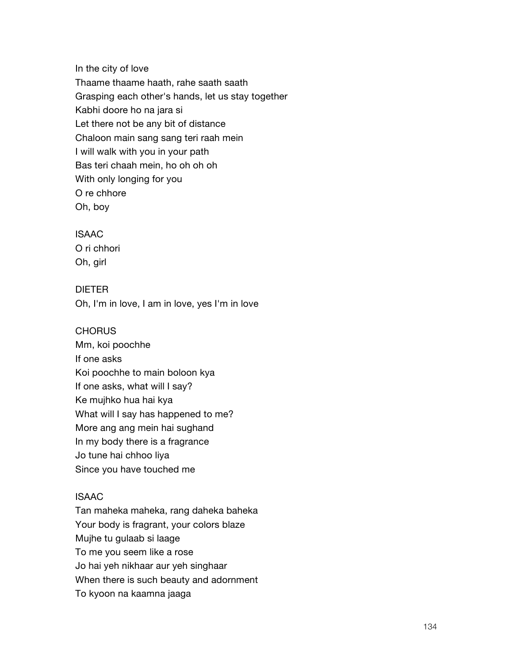In the city of love Thaame thaame haath, rahe saath saath Grasping each other's hands, let us stay together Kabhi doore ho na jara si Let there not be any bit of distance Chaloon main sang sang teri raah mein I will walk with you in your path Bas teri chaah mein, ho oh oh oh With only longing for you O re chhore Oh, boy

# ISAAC O ri chhori Oh, girl

DIETER Oh, I'm in love, I am in love, yes I'm in love

### **CHORUS**

Mm, koi poochhe If one asks Koi poochhe to main boloon kya If one asks, what will I say? Ke mujhko hua hai kya What will I say has happened to me? More ang ang mein hai sughand In my body there is a fragrance Jo tune hai chhoo liya Since you have touched me

### ISAAC

Tan maheka maheka, rang daheka baheka Your body is fragrant, your colors blaze Mujhe tu gulaab si laage To me you seem like a rose Jo hai yeh nikhaar aur yeh singhaar When there is such beauty and adornment To kyoon na kaamna jaaga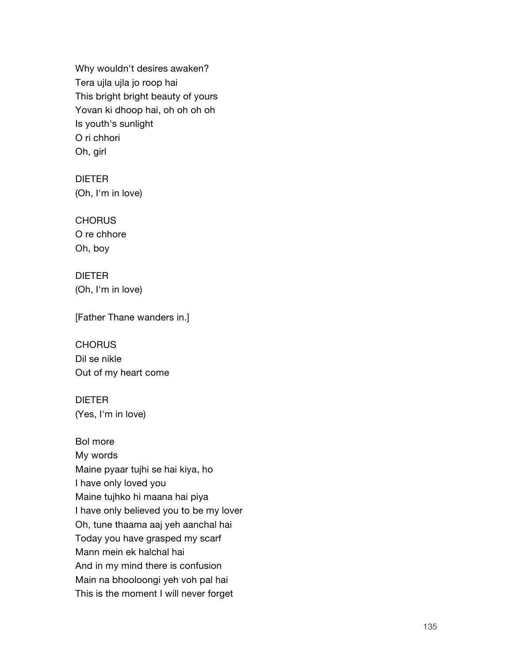Why wouldn't desires awaken? Tera ujla ujla jo roop hai This bright bright beauty of yours Yovan ki dhoop hai, oh oh oh oh Is youth's sunlight O ri chhori Oh, girl

## DIETER

(Oh, I'm in love)

#### **CHORUS**

O re chhore Oh, boy

### DIETER

(Oh, I'm in love)

### [Father Thane wanders in.]

**CHORUS** Dil se nikle Out of my heart come

# DIETER (Yes, I'm in love)

### Bol more

My words Maine pyaar tujhi se hai kiya, ho I have only loved you Maine tujhko hi maana hai piya I have only believed you to be my lover Oh, tune thaama aaj yeh aanchal hai Today you have grasped my scarf Mann mein ek halchal hai And in my mind there is confusion Main na bhooloongi yeh voh pal hai This is the moment I will never forget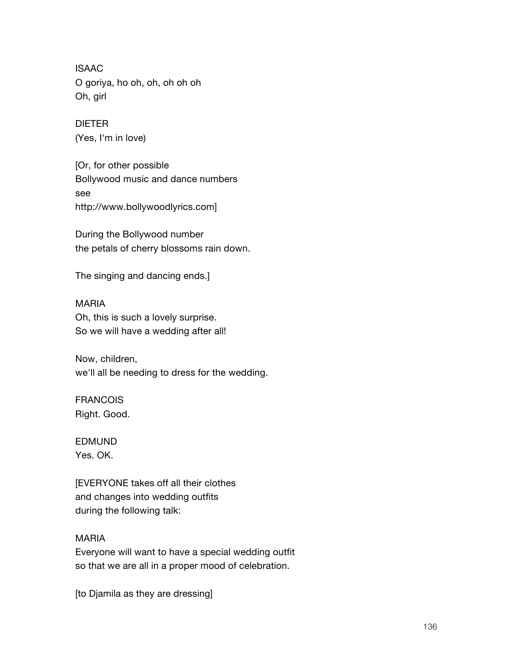ISAAC O goriya, ho oh, oh, oh oh oh Oh, girl

DIETER (Yes, I'm in love)

[Or, for other possible Bollywood music and dance numbers see http://www.bollywoodlyrics.com]

During the Bollywood number the petals of cherry blossoms rain down.

The singing and dancing ends.]

MARIA Oh, this is such a lovely surprise. So we will have a wedding after all!

Now, children, we'll all be needing to dress for the wedding.

FRANCOIS Right. Good.

EDMUND Yes. OK.

[EVERYONE takes off all their clothes and changes into wedding outfits during the following talk:

### MARIA

Everyone will want to have a special wedding outfit so that we are all in a proper mood of celebration.

[to Djamila as they are dressing]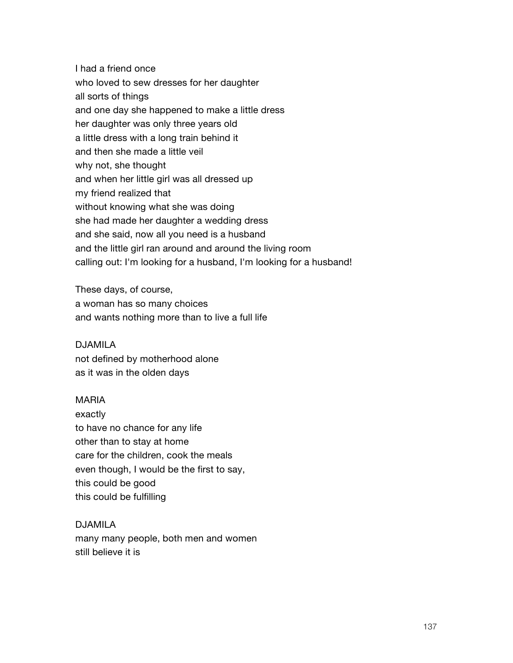I had a friend once who loved to sew dresses for her daughter all sorts of things and one day she happened to make a little dress her daughter was only three years old a little dress with a long train behind it and then she made a little veil why not, she thought and when her little girl was all dressed up my friend realized that without knowing what she was doing she had made her daughter a wedding dress and she said, now all you need is a husband and the little girl ran around and around the living room calling out: I'm looking for a husband, I'm looking for a husband!

These days, of course, a woman has so many choices and wants nothing more than to live a full life

#### DJAMILA

not defined by motherhood alone as it was in the olden days

#### MARIA

exactly to have no chance for any life other than to stay at home care for the children, cook the meals even though, I would be the first to say, this could be good this could be fulfilling

### DJAMILA

many many people, both men and women still believe it is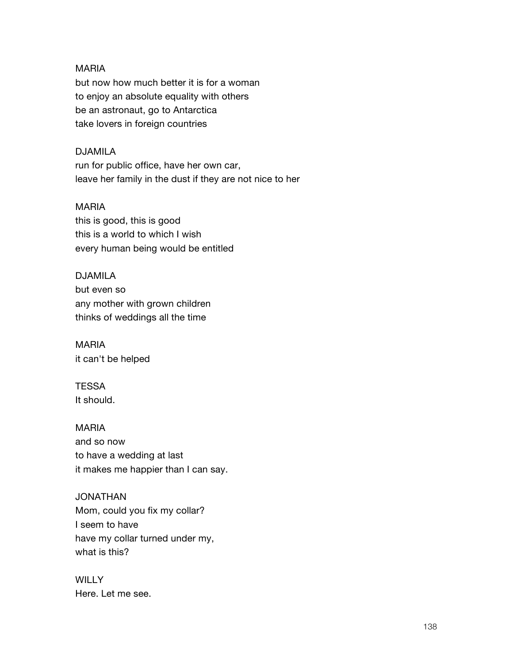### MARIA

but now how much better it is for a woman to enjoy an absolute equality with others be an astronaut, go to Antarctica take lovers in foreign countries

### DJAMILA

run for public office, have her own car, leave her family in the dust if they are not nice to her

### MARIA

this is good, this is good this is a world to which I wish every human being would be entitled

# DJAMILA

but even so any mother with grown children thinks of weddings all the time

MARIA it can't be helped

**TESSA** It should.

MARIA and so now to have a wedding at last it makes me happier than I can say.

# JONATHAN

Mom, could you fix my collar? I seem to have have my collar turned under my, what is this?

**WILLY** Here. Let me see.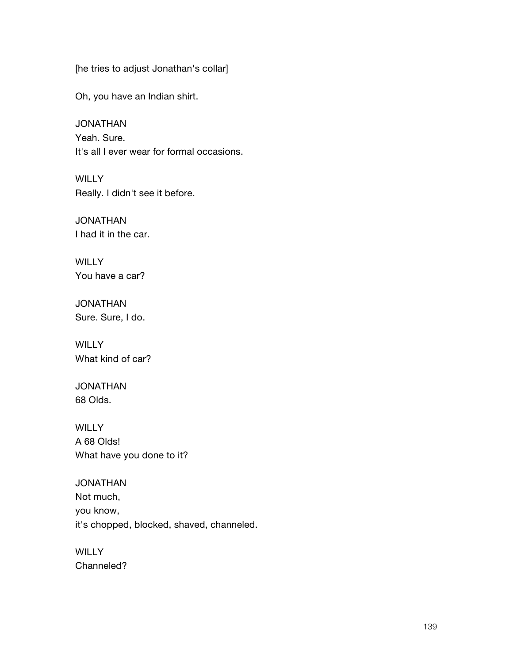[he tries to adjust Jonathan's collar]

Oh, you have an Indian shirt.

JONATHAN Yeah. Sure. It's all I ever wear for formal occasions.

**WILLY** Really. I didn't see it before.

JONATHAN I had it in the car.

**WILLY** You have a car?

JONATHAN Sure. Sure, I do.

**WILLY** What kind of car?

JONATHAN 68 Olds.

WILLY A 68 Olds! What have you done to it?

JONATHAN Not much, you know, it's chopped, blocked, shaved, channeled.

**WILLY** Channeled?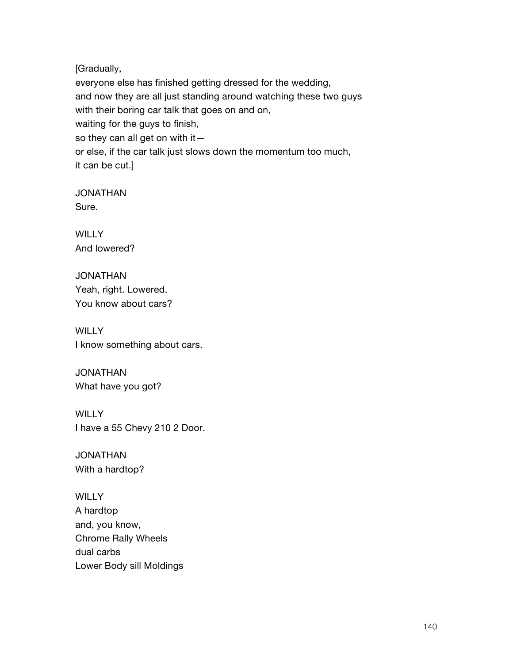[Gradually,

everyone else has finished getting dressed for the wedding, and now they are all just standing around watching these two guys with their boring car talk that goes on and on, waiting for the guys to finish, so they can all get on with it or else, if the car talk just slows down the momentum too much, it can be cut.]

JONATHAN Sure.

**WILLY** And lowered?

JONATHAN Yeah, right. Lowered. You know about cars?

**WILLY** I know something about cars.

JONATHAN What have you got?

**WILLY** I have a 55 Chevy 210 2 Door.

JONATHAN With a hardtop?

**WILLY** A hardtop and, you know, Chrome Rally Wheels dual carbs Lower Body sill Moldings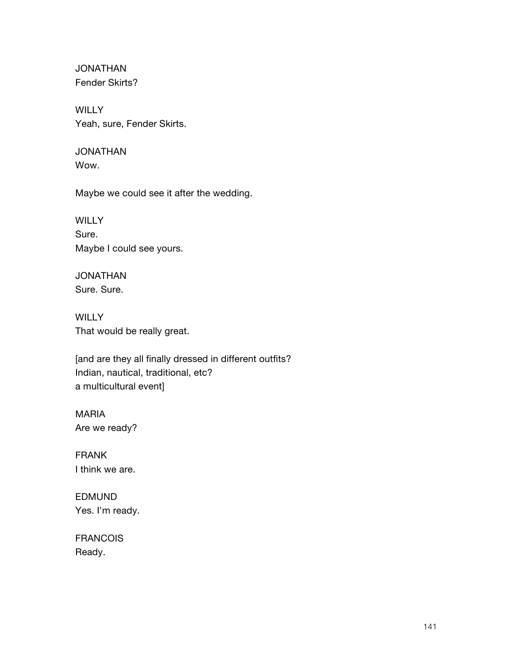JONATHAN Fender Skirts?

**WILLY** Yeah, sure, Fender Skirts.

### JONATHAN Wow.

Maybe we could see it after the wedding.

**WILLY** Sure. Maybe I could see yours.

JONATHAN Sure. Sure.

**WILLY** That would be really great.

[and are they all finally dressed in different outfits? Indian, nautical, traditional, etc? a multicultural event]

MARIA Are we ready?

FRANK I think we are.

EDMUND Yes. I'm ready.

FRANCOIS Ready.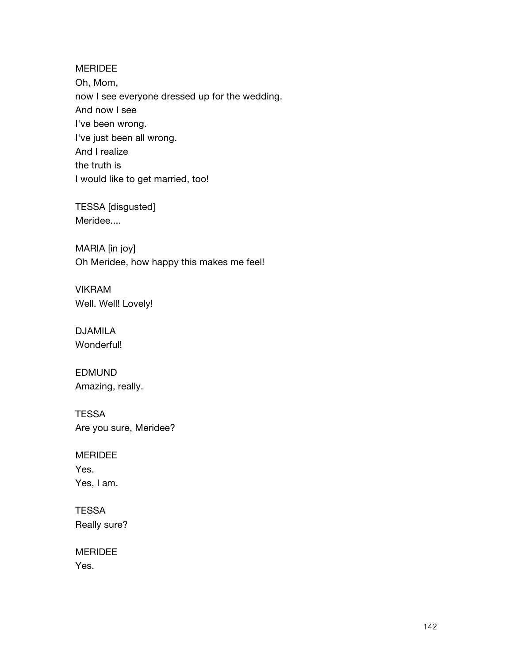### MERIDEE

Oh, Mom, now I see everyone dressed up for the wedding. And now I see I've been wrong. I've just been all wrong. And I realize the truth is I would like to get married, too!

TESSA [disgusted] Meridee....

MARIA [in joy] Oh Meridee, how happy this makes me feel!

VIKRAM Well. Well! Lovely!

DJAMILA Wonderful!

EDMUND Amazing, really.

**TESSA** Are you sure, Meridee?

MERIDEE Yes. Yes, I am.

**TESSA** Really sure?

MERIDEE Yes.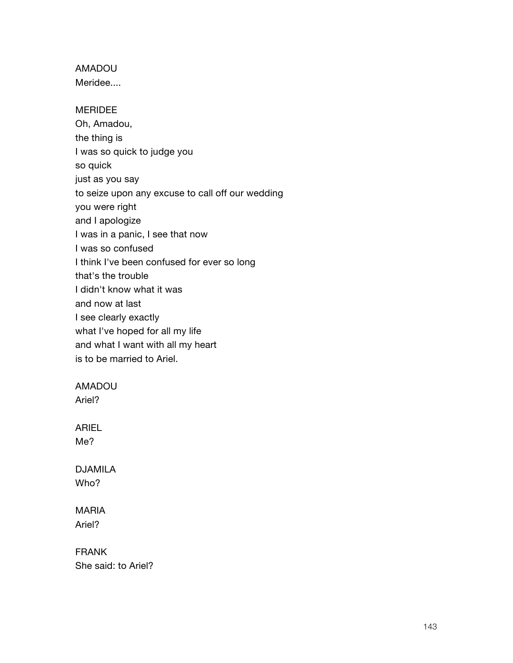# AMADOU

Meridee....

### MERIDEE

Oh, Amadou, the thing is I was so quick to judge you so quick just as you say to seize upon any excuse to call off our wedding you were right and I apologize I was in a panic, I see that now I was so confused I think I've been confused for ever so long that's the trouble I didn't know what it was and now at last I see clearly exactly what I've hoped for all my life and what I want with all my heart is to be married to Ariel.

### AMADOU

Ariel?

# ARIEL Me?

DJAMILA Who?

# MARIA Ariel?

FRANK She said: to Ariel?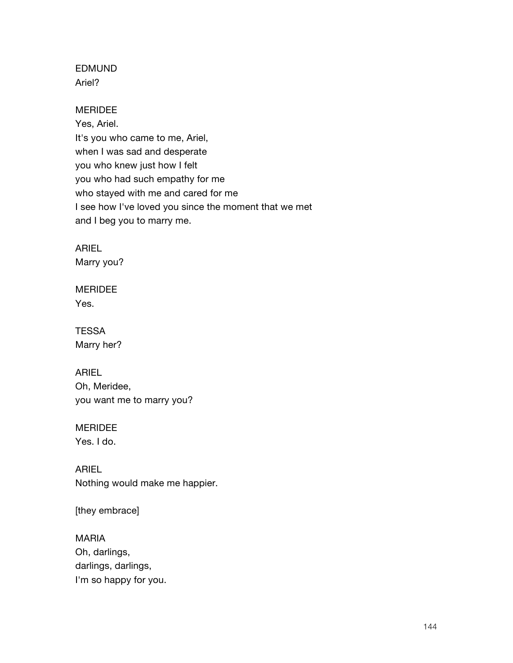# EDMUND Ariel?

MERIDEE Yes, Ariel. It's you who came to me, Ariel, when I was sad and desperate you who knew just how I felt you who had such empathy for me who stayed with me and cared for me I see how I've loved you since the moment that we met and I beg you to marry me.

ARIEL

Marry you?

MERIDEE Yes.

**TESSA** Marry her?

ARIEL Oh, Meridee, you want me to marry you?

MERIDEE Yes. I do.

ARIEL Nothing would make me happier.

[they embrace]

MARIA Oh, darlings, darlings, darlings, I'm so happy for you.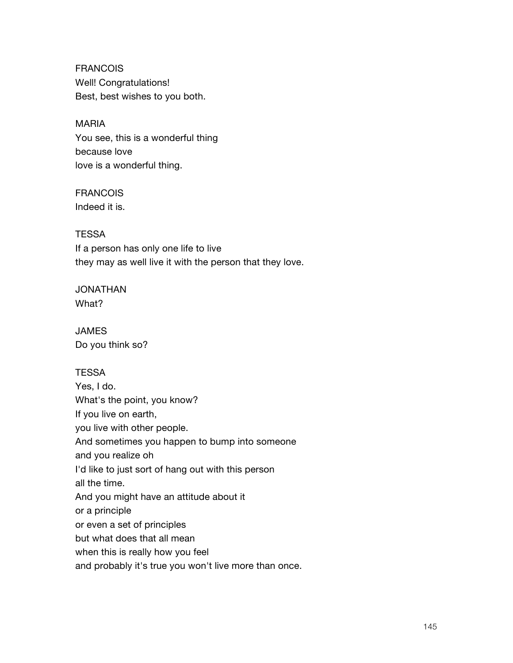FRANCOIS Well! Congratulations! Best, best wishes to you both.

MARIA You see, this is a wonderful thing because love love is a wonderful thing.

# FRANCOIS

Indeed it is.

## **TESSA**

If a person has only one life to live they may as well live it with the person that they love.

JONATHAN What?

JAMES Do you think so?

## **TESSA**

Yes, I do. What's the point, you know? If you live on earth, you live with other people. And sometimes you happen to bump into someone and you realize oh I'd like to just sort of hang out with this person all the time. And you might have an attitude about it or a principle or even a set of principles but what does that all mean when this is really how you feel and probably it's true you won't live more than once.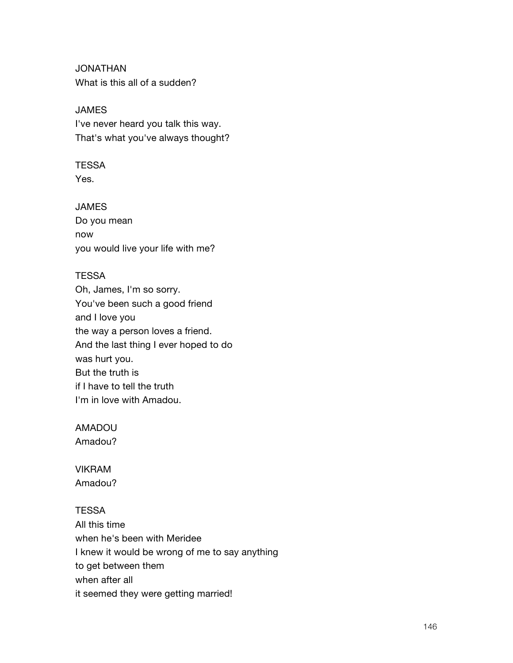JONATHAN What is this all of a sudden?

JAMES I've never heard you talk this way. That's what you've always thought?

## **TESSA**

Yes.

JAMES

Do you mean now you would live your life with me?

## **TESSA**

Oh, James, I'm so sorry. You've been such a good friend and I love you the way a person loves a friend. And the last thing I ever hoped to do was hurt you. But the truth is if I have to tell the truth I'm in love with Amadou.

### AMADOU

Amadou?

VIKRAM Amadou?

## **TESSA**

All this time when he's been with Meridee I knew it would be wrong of me to say anything to get between them when after all it seemed they were getting married!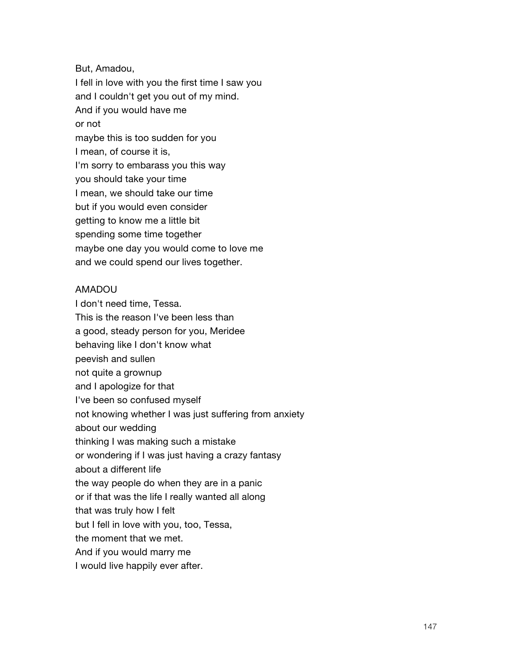But, Amadou,

I fell in love with you the first time I saw you and I couldn't get you out of my mind. And if you would have me or not maybe this is too sudden for you I mean, of course it is, I'm sorry to embarass you this way you should take your time I mean, we should take our time but if you would even consider getting to know me a little bit spending some time together maybe one day you would come to love me and we could spend our lives together.

### AMADOU

I don't need time, Tessa. This is the reason I've been less than a good, steady person for you, Meridee behaving like I don't know what peevish and sullen not quite a grownup and I apologize for that I've been so confused myself not knowing whether I was just suffering from anxiety about our wedding thinking I was making such a mistake or wondering if I was just having a crazy fantasy about a different life the way people do when they are in a panic or if that was the life I really wanted all along that was truly how I felt but I fell in love with you, too, Tessa, the moment that we met. And if you would marry me I would live happily ever after.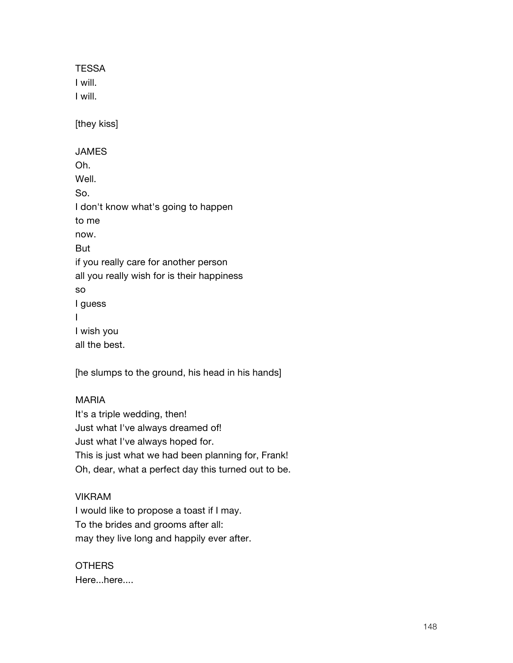**TESSA** I will. I will. [they kiss] JAMES Oh. Well. So. I don't know what's going to happen to me now. But if you really care for another person all you really wish for is their happiness so I guess I I wish you all the best.

[he slumps to the ground, his head in his hands]

## MARIA

It's a triple wedding, then! Just what I've always dreamed of! Just what I've always hoped for. This is just what we had been planning for, Frank! Oh, dear, what a perfect day this turned out to be.

## VIKRAM

I would like to propose a toast if I may. To the brides and grooms after all: may they live long and happily ever after.

## OTHERS Here...here....

148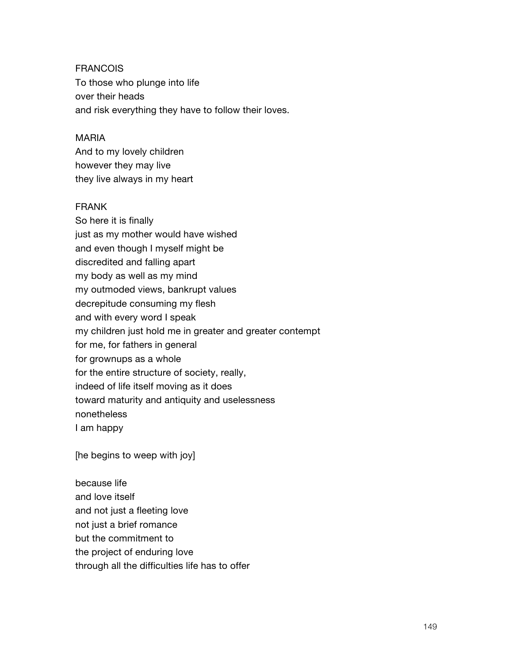FRANCOIS To those who plunge into life over their heads and risk everything they have to follow their loves.

#### MARIA

And to my lovely children however they may live they live always in my heart

## FRANK

So here it is finally just as my mother would have wished and even though I myself might be discredited and falling apart my body as well as my mind my outmoded views, bankrupt values decrepitude consuming my flesh and with every word I speak my children just hold me in greater and greater contempt for me, for fathers in general for grownups as a whole for the entire structure of society, really, indeed of life itself moving as it does toward maturity and antiquity and uselessness nonetheless I am happy

[he begins to weep with joy]

because life and love itself and not just a fleeting love not just a brief romance but the commitment to the project of enduring love through all the difficulties life has to offer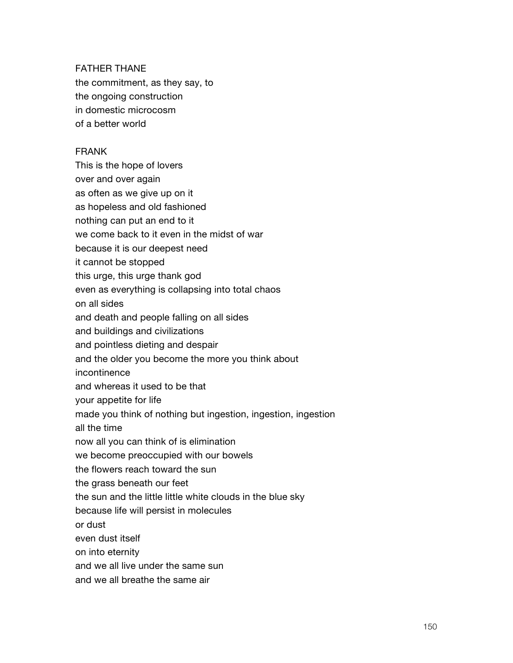#### FATHER THANE

the commitment, as they say, to the ongoing construction in domestic microcosm of a better world

### FRANK

This is the hope of lovers over and over again as often as we give up on it as hopeless and old fashioned nothing can put an end to it we come back to it even in the midst of war because it is our deepest need it cannot be stopped this urge, this urge thank god even as everything is collapsing into total chaos on all sides and death and people falling on all sides and buildings and civilizations and pointless dieting and despair and the older you become the more you think about incontinence and whereas it used to be that your appetite for life made you think of nothing but ingestion, ingestion, ingestion all the time now all you can think of is elimination we become preoccupied with our bowels the flowers reach toward the sun the grass beneath our feet the sun and the little little white clouds in the blue sky because life will persist in molecules or dust even dust itself on into eternity and we all live under the same sun and we all breathe the same air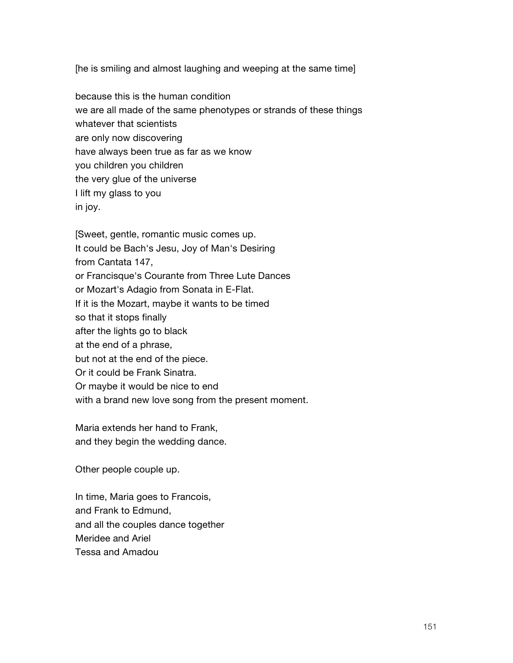[he is smiling and almost laughing and weeping at the same time]

because this is the human condition we are all made of the same phenotypes or strands of these things whatever that scientists are only now discovering have always been true as far as we know you children you children the very glue of the universe I lift my glass to you in joy.

[Sweet, gentle, romantic music comes up. It could be Bach's Jesu, Joy of Man's Desiring from Cantata 147, or Francisque's Courante from Three Lute Dances or Mozart's Adagio from Sonata in E-Flat. If it is the Mozart, maybe it wants to be timed so that it stops finally after the lights go to black at the end of a phrase, but not at the end of the piece. Or it could be Frank Sinatra. Or maybe it would be nice to end with a brand new love song from the present moment.

Maria extends her hand to Frank, and they begin the wedding dance.

Other people couple up.

In time, Maria goes to Francois, and Frank to Edmund, and all the couples dance together Meridee and Ariel Tessa and Amadou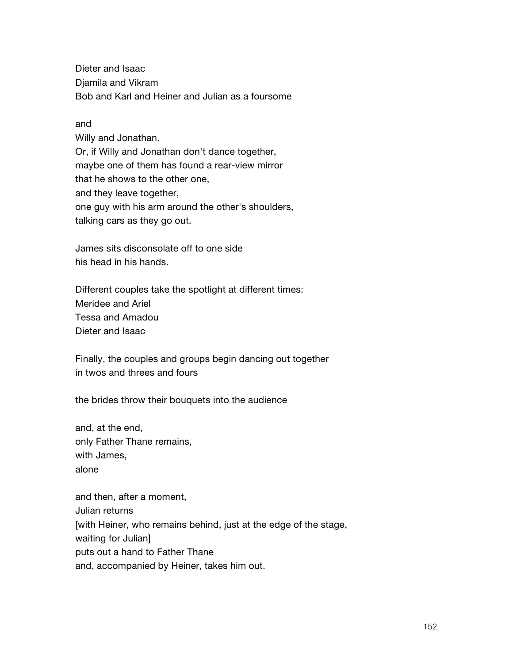Dieter and Isaac Djamila and Vikram Bob and Karl and Heiner and Julian as a foursome

### and

Willy and Jonathan. Or, if Willy and Jonathan don't dance together, maybe one of them has found a rear-view mirror that he shows to the other one, and they leave together, one guy with his arm around the other's shoulders, talking cars as they go out.

James sits disconsolate off to one side his head in his hands.

Different couples take the spotlight at different times: Meridee and Ariel Tessa and Amadou Dieter and Isaac

Finally, the couples and groups begin dancing out together in twos and threes and fours

the brides throw their bouquets into the audience

and, at the end, only Father Thane remains, with James, alone

and then, after a moment, Julian returns [with Heiner, who remains behind, just at the edge of the stage, waiting for Julian] puts out a hand to Father Thane and, accompanied by Heiner, takes him out.